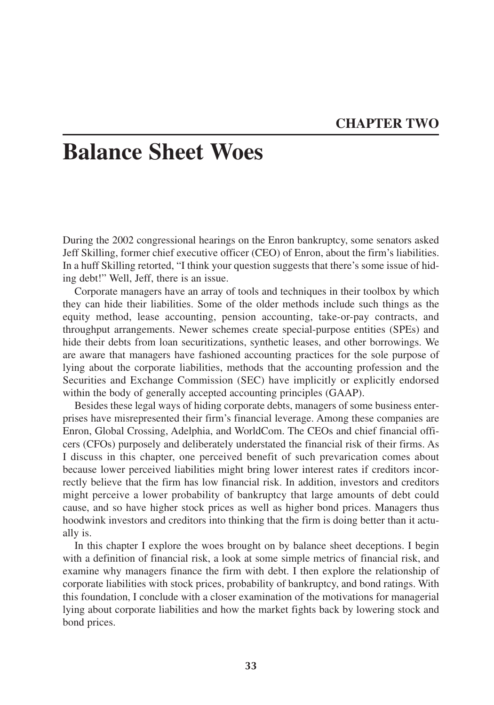# **CHAPTER TWO**

# **Balance Sheet Woes**

During the 2002 congressional hearings on the Enron bankruptcy, some senators asked Jeff Skilling, former chief executive officer (CEO) of Enron, about the firm's liabilities. In a huff Skilling retorted, "I think your question suggests that there's some issue of hiding debt!" Well, Jeff, there is an issue.

Corporate managers have an array of tools and techniques in their toolbox by which they can hide their liabilities. Some of the older methods include such things as the equity method, lease accounting, pension accounting, take-or-pay contracts, and throughput arrangements. Newer schemes create special-purpose entities (SPEs) and hide their debts from loan securitizations, synthetic leases, and other borrowings. We are aware that managers have fashioned accounting practices for the sole purpose of lying about the corporate liabilities, methods that the accounting profession and the Securities and Exchange Commission (SEC) have implicitly or explicitly endorsed within the body of generally accepted accounting principles (GAAP).

Besides these legal ways of hiding corporate debts, managers of some business enterprises have misrepresented their firm's financial leverage. Among these companies are Enron, Global Crossing, Adelphia, and WorldCom. The CEOs and chief financial officers (CFOs) purposely and deliberately understated the financial risk of their firms. As I discuss in this chapter, one perceived benefit of such prevarication comes about because lower perceived liabilities might bring lower interest rates if creditors incorrectly believe that the firm has low financial risk. In addition, investors and creditors might perceive a lower probability of bankruptcy that large amounts of debt could cause, and so have higher stock prices as well as higher bond prices. Managers thus hoodwink investors and creditors into thinking that the firm is doing better than it actually is.

In this chapter I explore the woes brought on by balance sheet deceptions. I begin with a definition of financial risk, a look at some simple metrics of financial risk, and examine why managers finance the firm with debt. I then explore the relationship of corporate liabilities with stock prices, probability of bankruptcy, and bond ratings. With this foundation, I conclude with a closer examination of the motivations for managerial lying about corporate liabilities and how the market fights back by lowering stock and bond prices.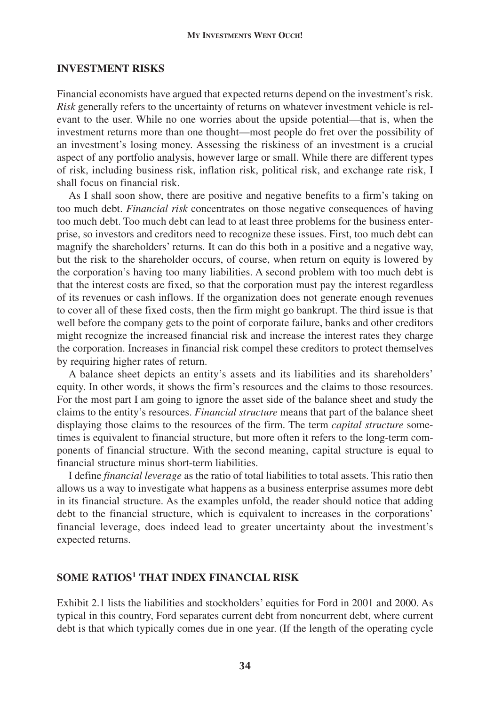#### **INVESTMENT RISKS**

Financial economists have argued that expected returns depend on the investment's risk. *Risk* generally refers to the uncertainty of returns on whatever investment vehicle is relevant to the user. While no one worries about the upside potential—that is, when the investment returns more than one thought—most people do fret over the possibility of an investment's losing money. Assessing the riskiness of an investment is a crucial aspect of any portfolio analysis, however large or small. While there are different types of risk, including business risk, inflation risk, political risk, and exchange rate risk, I shall focus on financial risk.

As I shall soon show, there are positive and negative benefits to a firm's taking on too much debt. *Financial risk* concentrates on those negative consequences of having too much debt. Too much debt can lead to at least three problems for the business enterprise, so investors and creditors need to recognize these issues. First, too much debt can magnify the shareholders' returns. It can do this both in a positive and a negative way, but the risk to the shareholder occurs, of course, when return on equity is lowered by the corporation's having too many liabilities. A second problem with too much debt is that the interest costs are fixed, so that the corporation must pay the interest regardless of its revenues or cash inflows. If the organization does not generate enough revenues to cover all of these fixed costs, then the firm might go bankrupt. The third issue is that well before the company gets to the point of corporate failure, banks and other creditors might recognize the increased financial risk and increase the interest rates they charge the corporation. Increases in financial risk compel these creditors to protect themselves by requiring higher rates of return.

A balance sheet depicts an entity's assets and its liabilities and its shareholders' equity. In other words, it shows the firm's resources and the claims to those resources. For the most part I am going to ignore the asset side of the balance sheet and study the claims to the entity's resources. *Financial structure* means that part of the balance sheet displaying those claims to the resources of the firm. The term *capital structure* sometimes is equivalent to financial structure, but more often it refers to the long-term components of financial structure. With the second meaning, capital structure is equal to financial structure minus short-term liabilities.

I define *financial leverage* as the ratio of total liabilities to total assets. This ratio then allows us a way to investigate what happens as a business enterprise assumes more debt in its financial structure. As the examples unfold, the reader should notice that adding debt to the financial structure, which is equivalent to increases in the corporations' financial leverage, does indeed lead to greater uncertainty about the investment's expected returns.

### **SOME RATIOS<sup>1</sup> THAT INDEX FINANCIAL RISK**

Exhibit 2.1 lists the liabilities and stockholders' equities for Ford in 2001 and 2000. As typical in this country, Ford separates current debt from noncurrent debt, where current debt is that which typically comes due in one year. (If the length of the operating cycle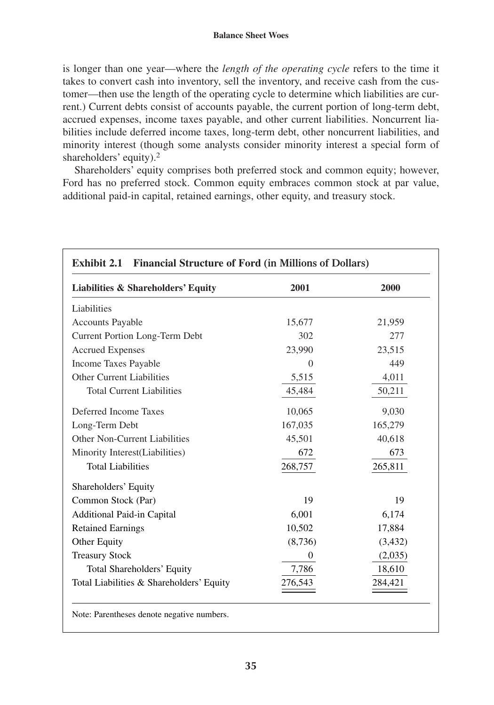is longer than one year—where the *length of the operating cycle* refers to the time it takes to convert cash into inventory, sell the inventory, and receive cash from the customer—then use the length of the operating cycle to determine which liabilities are current.) Current debts consist of accounts payable, the current portion of long-term debt, accrued expenses, income taxes payable, and other current liabilities. Noncurrent liabilities include deferred income taxes, long-term debt, other noncurrent liabilities, and minority interest (though some analysts consider minority interest a special form of shareholders' equity).<sup>2</sup>

Shareholders' equity comprises both preferred stock and common equity; however, Ford has no preferred stock. Common equity embraces common stock at par value, additional paid-in capital, retained earnings, other equity, and treasury stock.

| <b>Liabilities &amp; Shareholders' Equity</b> | 2001     | 2000     |
|-----------------------------------------------|----------|----------|
| Liabilities                                   |          |          |
| <b>Accounts Payable</b>                       | 15,677   | 21,959   |
| <b>Current Portion Long-Term Debt</b>         | 302      | 277      |
| <b>Accrued Expenses</b>                       | 23,990   | 23,515   |
| <b>Income Taxes Payable</b>                   | $\theta$ | 449      |
| <b>Other Current Liabilities</b>              | 5,515    | 4,011    |
| <b>Total Current Liabilities</b>              | 45,484   | 50,211   |
| Deferred Income Taxes                         | 10,065   | 9,030    |
| Long-Term Debt                                | 167,035  | 165,279  |
| Other Non-Current Liabilities                 | 45,501   | 40,618   |
| Minority Interest(Liabilities)                | 672      | 673      |
| <b>Total Liabilities</b>                      | 268,757  | 265,811  |
| Shareholders' Equity                          |          |          |
| Common Stock (Par)                            | 19       | 19       |
| Additional Paid-in Capital                    | 6,001    | 6,174    |
| <b>Retained Earnings</b>                      | 10,502   | 17,884   |
| Other Equity                                  | (8,736)  | (3, 432) |
| <b>Treasury Stock</b>                         | $\theta$ | (2,035)  |
| Total Shareholders' Equity                    | 7,786    | 18,610   |
| Total Liabilities & Shareholders' Equity      | 276,543  | 284,421  |

Note: Parentheses denote negative numbers.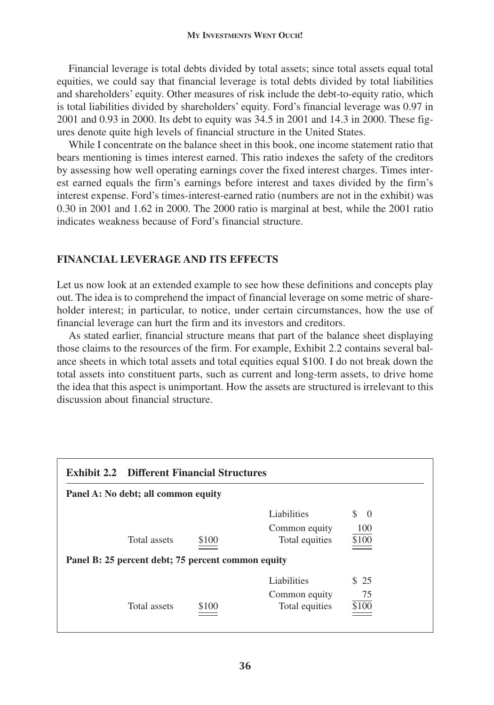Financial leverage is total debts divided by total assets; since total assets equal total equities, we could say that financial leverage is total debts divided by total liabilities and shareholders' equity. Other measures of risk include the debt-to-equity ratio, which is total liabilities divided by shareholders' equity. Ford's financial leverage was 0.97 in 2001 and 0.93 in 2000. Its debt to equity was 34.5 in 2001 and 14.3 in 2000. These figures denote quite high levels of financial structure in the United States.

While I concentrate on the balance sheet in this book, one income statement ratio that bears mentioning is times interest earned. This ratio indexes the safety of the creditors by assessing how well operating earnings cover the fixed interest charges. Times interest earned equals the firm's earnings before interest and taxes divided by the firm's interest expense. Ford's times-interest-earned ratio (numbers are not in the exhibit) was 0.30 in 2001 and 1.62 in 2000. The 2000 ratio is marginal at best, while the 2001 ratio indicates weakness because of Ford's financial structure.

#### **FINANCIAL LEVERAGE AND ITS EFFECTS**

Let us now look at an extended example to see how these definitions and concepts play out. The idea is to comprehend the impact of financial leverage on some metric of shareholder interest; in particular, to notice, under certain circumstances, how the use of financial leverage can hurt the firm and its investors and creditors.

As stated earlier, financial structure means that part of the balance sheet displaying those claims to the resources of the firm. For example, Exhibit 2.2 contains several balance sheets in which total assets and total equities equal \$100. I do not break down the total assets into constituent parts, such as current and long-term assets, to drive home the idea that this aspect is unimportant. How the assets are structured is irrelevant to this discussion about financial structure.

| <b>Exhibit 2.2 Different Financial Structures</b>                  |                                     |                                                |                                                    |  |  |  |
|--------------------------------------------------------------------|-------------------------------------|------------------------------------------------|----------------------------------------------------|--|--|--|
|                                                                    | Panel A: No debt; all common equity |                                                |                                                    |  |  |  |
| Total assets<br>Panel B: 25 percent debt; 75 percent common equity | \$100                               | Liabilities<br>Common equity<br>Total equities | S.<br>$\overline{0}$<br>100<br>$\underline{\$100}$ |  |  |  |
| Total assets                                                       | \$100                               | Liabilities<br>Common equity<br>Total equities | \$25<br>75<br>\$100                                |  |  |  |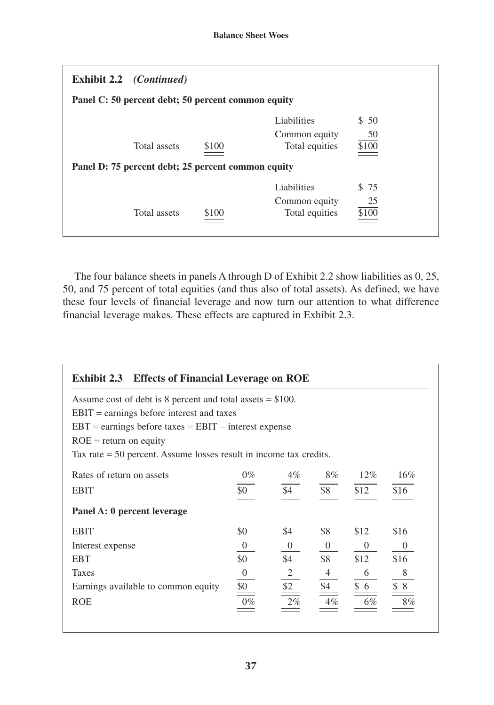|                                                    |       | Panel C: 50 percent debt; 50 percent common equity |       |  |  |
|----------------------------------------------------|-------|----------------------------------------------------|-------|--|--|
|                                                    |       | Liabilities                                        | \$50  |  |  |
|                                                    |       | Common equity                                      | 50    |  |  |
| Total assets                                       | \$100 | Total equities                                     | \$100 |  |  |
| Panel D: 75 percent debt; 25 percent common equity |       |                                                    |       |  |  |
|                                                    |       | Liabilities                                        | \$75  |  |  |
|                                                    |       | Common equity                                      | 25    |  |  |
| Total assets                                       | \$100 | Total equities                                     | \$100 |  |  |

The four balance sheets in panels A through D of Exhibit 2.2 show liabilities as 0, 25, 50, and 75 percent of total equities (and thus also of total assets). As defined, we have these four levels of financial leverage and now turn our attention to what difference financial leverage makes. These effects are captured in Exhibit 2.3.

| Assume cost of debt is 8 percent and total assets $= $100$ .         |          |          |          |          |          |
|----------------------------------------------------------------------|----------|----------|----------|----------|----------|
| $EBIT =$ earnings before interest and taxes                          |          |          |          |          |          |
| $EBT =$ earnings before taxes = $EBIT -$ interest expense            |          |          |          |          |          |
| $ROE = return on equity$                                             |          |          |          |          |          |
| Tax rate $= 50$ percent. Assume losses result in income tax credits. |          |          |          |          |          |
| Rates of return on assets                                            | 0%       |          | 8%       | 12%      | 16%      |
| <b>EBIT</b>                                                          | \$0      |          | \$8      | \$12     | \$16     |
| Panel A: 0 percent leverage                                          |          |          |          |          |          |
| <b>EBIT</b>                                                          | \$0      | \$4      | \$8      | \$12     | \$16     |
| Interest expense                                                     | $\Omega$ | $\Omega$ | $\theta$ | $\theta$ | $\theta$ |
| <b>EBT</b>                                                           | \$0      | \$4      | \$8      | \$12     | \$16     |
| Taxes                                                                | $\theta$ |          | 4        | 6        | 8        |
| Earnings available to common equity                                  | \$0      | \$2      | \$4      | \$6      | 8        |
| <b>ROE</b>                                                           | $0\%$    | 2%       | 4%       | 6%       | 8%       |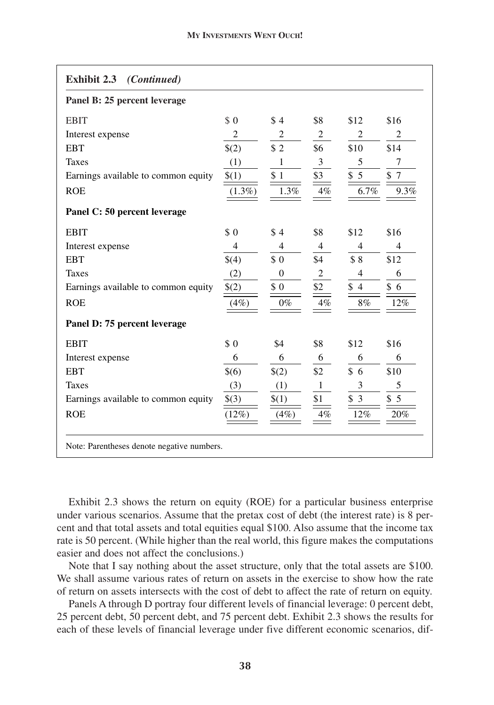| Panel B: 25 percent leverage        |           |                |                |                |         |
|-------------------------------------|-----------|----------------|----------------|----------------|---------|
| <b>EBIT</b>                         | \$0       | \$4            | \$8            | \$12           | \$16    |
| Interest expense                    | 2         | 2              | $\overline{c}$ | 2              | 2       |
| <b>EBT</b>                          | \$(2)     | \$2            | \$6            | \$10           | \$14    |
| <b>Taxes</b>                        | (1)       | 1              | 3              | 5              | 7       |
| Earnings available to common equity | \$(1)     | \$1            | \$3            | 5<br>\$        | \$<br>7 |
| <b>ROE</b>                          | $(1.3\%)$ | 1.3%           | 4%             | 6.7%           | $9.3\%$ |
| Panel C: 50 percent leverage        |           |                |                |                |         |
| <b>EBIT</b>                         | \$0       | \$4            | \$8            | \$12           | \$16    |
| Interest expense                    | 4         | $\overline{4}$ | $\overline{4}$ | $\overline{4}$ | 4       |
| <b>EBT</b>                          | \$(4)     | \$0            | \$4            | \$8            | \$12    |
| <b>Taxes</b>                        | (2)       | $\mathbf{0}$   | $\overline{2}$ | $\overline{4}$ | 6       |
| Earnings available to common equity | \$(2)     | \$0            | \$2            | \$4            | \$6     |
| <b>ROE</b>                          | (4%)      | $0\%$          | 4%             | $8\%$          | 12%     |
| Panel D: 75 percent leverage        |           |                |                |                |         |
| <b>EBIT</b>                         | \$0       | \$4            | \$8            | \$12           | \$16    |
| Interest expense                    | 6         | 6              | 6              | 6              | 6       |
| <b>EBT</b>                          | \$(6)     | \$(2)          | \$2            | \$6            | \$10    |
| <b>Taxes</b>                        | (3)       | (1)            | $\mathbf{1}$   | 3              | 5       |
| Earnings available to common equity | \$(3)     | \$(1)          | \$1            | 3<br>\$        | 5<br>\$ |
| <b>ROE</b>                          | (12%)     | (4%)           | 4%             | 12%            | 20%     |

Exhibit 2.3 shows the return on equity (ROE) for a particular business enterprise under various scenarios. Assume that the pretax cost of debt (the interest rate) is 8 percent and that total assets and total equities equal \$100. Also assume that the income tax rate is 50 percent. (While higher than the real world, this figure makes the computations easier and does not affect the conclusions.)

Note that I say nothing about the asset structure, only that the total assets are \$100. We shall assume various rates of return on assets in the exercise to show how the rate of return on assets intersects with the cost of debt to affect the rate of return on equity.

Panels A through D portray four different levels of financial leverage: 0 percent debt, 25 percent debt, 50 percent debt, and 75 percent debt. Exhibit 2.3 shows the results for each of these levels of financial leverage under five different economic scenarios, dif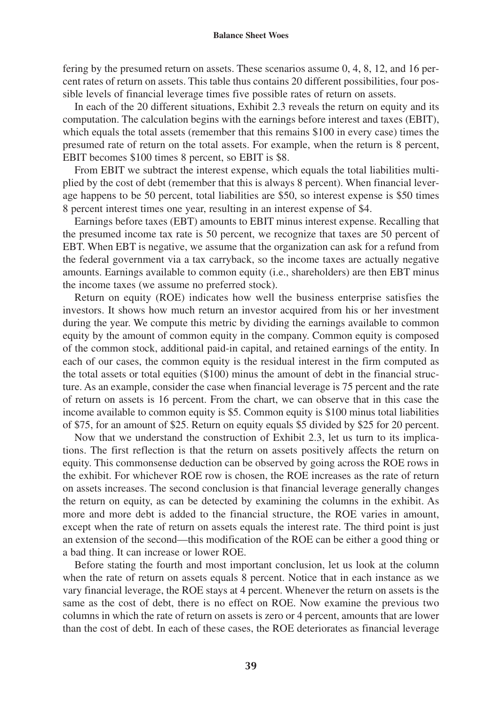fering by the presumed return on assets. These scenarios assume 0, 4, 8, 12, and 16 percent rates of return on assets. This table thus contains 20 different possibilities, four possible levels of financial leverage times five possible rates of return on assets.

In each of the 20 different situations, Exhibit 2.3 reveals the return on equity and its computation. The calculation begins with the earnings before interest and taxes (EBIT), which equals the total assets (remember that this remains \$100 in every case) times the presumed rate of return on the total assets. For example, when the return is 8 percent, EBIT becomes \$100 times 8 percent, so EBIT is \$8.

From EBIT we subtract the interest expense, which equals the total liabilities multiplied by the cost of debt (remember that this is always 8 percent). When financial leverage happens to be 50 percent, total liabilities are \$50, so interest expense is \$50 times 8 percent interest times one year, resulting in an interest expense of \$4.

Earnings before taxes (EBT) amounts to EBIT minus interest expense. Recalling that the presumed income tax rate is 50 percent, we recognize that taxes are 50 percent of EBT. When EBT is negative, we assume that the organization can ask for a refund from the federal government via a tax carryback, so the income taxes are actually negative amounts. Earnings available to common equity (i.e., shareholders) are then EBT minus the income taxes (we assume no preferred stock).

Return on equity (ROE) indicates how well the business enterprise satisfies the investors. It shows how much return an investor acquired from his or her investment during the year. We compute this metric by dividing the earnings available to common equity by the amount of common equity in the company. Common equity is composed of the common stock, additional paid-in capital, and retained earnings of the entity. In each of our cases, the common equity is the residual interest in the firm computed as the total assets or total equities (\$100) minus the amount of debt in the financial structure. As an example, consider the case when financial leverage is 75 percent and the rate of return on assets is 16 percent. From the chart, we can observe that in this case the income available to common equity is \$5. Common equity is \$100 minus total liabilities of \$75, for an amount of \$25. Return on equity equals \$5 divided by \$25 for 20 percent.

Now that we understand the construction of Exhibit 2.3, let us turn to its implications. The first reflection is that the return on assets positively affects the return on equity. This commonsense deduction can be observed by going across the ROE rows in the exhibit. For whichever ROE row is chosen, the ROE increases as the rate of return on assets increases. The second conclusion is that financial leverage generally changes the return on equity, as can be detected by examining the columns in the exhibit. As more and more debt is added to the financial structure, the ROE varies in amount, except when the rate of return on assets equals the interest rate. The third point is just an extension of the second—this modification of the ROE can be either a good thing or a bad thing. It can increase or lower ROE.

Before stating the fourth and most important conclusion, let us look at the column when the rate of return on assets equals 8 percent. Notice that in each instance as we vary financial leverage, the ROE stays at 4 percent. Whenever the return on assets is the same as the cost of debt, there is no effect on ROE. Now examine the previous two columns in which the rate of return on assets is zero or 4 percent, amounts that are lower than the cost of debt. In each of these cases, the ROE deteriorates as financial leverage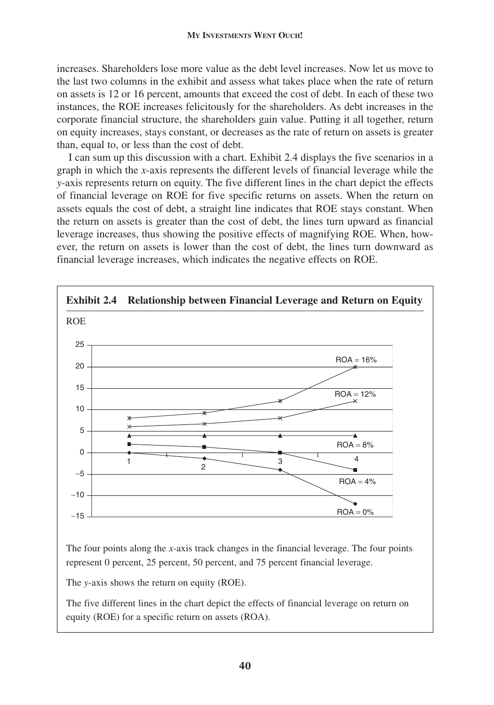increases. Shareholders lose more value as the debt level increases. Now let us move to the last two columns in the exhibit and assess what takes place when the rate of return on assets is 12 or 16 percent, amounts that exceed the cost of debt. In each of these two instances, the ROE increases felicitously for the shareholders. As debt increases in the corporate financial structure, the shareholders gain value. Putting it all together, return on equity increases, stays constant, or decreases as the rate of return on assets is greater than, equal to, or less than the cost of debt.

I can sum up this discussion with a chart. Exhibit 2.4 displays the five scenarios in a graph in which the *x*-axis represents the different levels of financial leverage while the *y*-axis represents return on equity. The five different lines in the chart depict the effects of financial leverage on ROE for five specific returns on assets. When the return on assets equals the cost of debt, a straight line indicates that ROE stays constant. When the return on assets is greater than the cost of debt, the lines turn upward as financial leverage increases, thus showing the positive effects of magnifying ROE. When, however, the return on assets is lower than the cost of debt, the lines turn downward as financial leverage increases, which indicates the negative effects on ROE.



The four points along the *x*-axis track changes in the financial leverage. The four points represent 0 percent, 25 percent, 50 percent, and 75 percent financial leverage.

The *y*-axis shows the return on equity (ROE).

The five different lines in the chart depict the effects of financial leverage on return on equity (ROE) for a specific return on assets (ROA).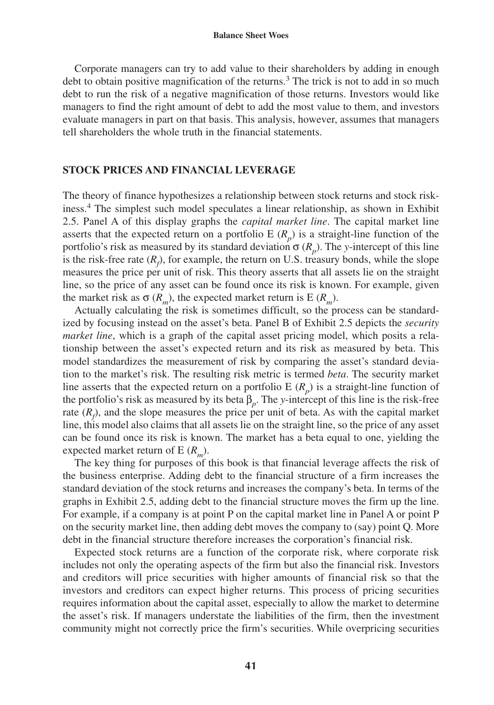Corporate managers can try to add value to their shareholders by adding in enough debt to obtain positive magnification of the returns.<sup>3</sup> The trick is not to add in so much debt to run the risk of a negative magnification of those returns. Investors would like managers to find the right amount of debt to add the most value to them, and investors evaluate managers in part on that basis. This analysis, however, assumes that managers tell shareholders the whole truth in the financial statements.

#### **STOCK PRICES AND FINANCIAL LEVERAGE**

The theory of finance hypothesizes a relationship between stock returns and stock riskiness.4 The simplest such model speculates a linear relationship, as shown in Exhibit 2.5. Panel A of this display graphs the *capital market line*. The capital market line asserts that the expected return on a portfolio E  $(R_p)$  is a straight-line function of the portfolio's risk as measured by its standard deviation  $\sigma(R_p)$ . The *y*-intercept of this line is the risk-free rate  $(R_f)$ , for example, the return on U.S. treasury bonds, while the slope measures the price per unit of risk. This theory asserts that all assets lie on the straight line, so the price of any asset can be found once its risk is known. For example, given the market risk as  $\sigma(R_m)$ , the expected market return is E  $(R_m)$ .

Actually calculating the risk is sometimes difficult, so the process can be standardized by focusing instead on the asset's beta. Panel B of Exhibit 2.5 depicts the *security market line*, which is a graph of the capital asset pricing model, which posits a relationship between the asset's expected return and its risk as measured by beta. This model standardizes the measurement of risk by comparing the asset's standard deviation to the market's risk. The resulting risk metric is termed *beta*. The security market line asserts that the expected return on a portfolio E  $(R_p)$  is a straight-line function of the portfolio's risk as measured by its beta  $\beta_p$ . The *y*-intercept of this line is the risk-free rate  $(R_f)$ , and the slope measures the price per unit of beta. As with the capital market line, this model also claims that all assets lie on the straight line, so the price of any asset can be found once its risk is known. The market has a beta equal to one, yielding the expected market return of E  $(R_m)$ .

The key thing for purposes of this book is that financial leverage affects the risk of the business enterprise. Adding debt to the financial structure of a firm increases the standard deviation of the stock returns and increases the company's beta. In terms of the graphs in Exhibit 2.5, adding debt to the financial structure moves the firm up the line. For example, if a company is at point P on the capital market line in Panel A or point P on the security market line, then adding debt moves the company to (say) point Q. More debt in the financial structure therefore increases the corporation's financial risk.

Expected stock returns are a function of the corporate risk, where corporate risk includes not only the operating aspects of the firm but also the financial risk. Investors and creditors will price securities with higher amounts of financial risk so that the investors and creditors can expect higher returns. This process of pricing securities requires information about the capital asset, especially to allow the market to determine the asset's risk. If managers understate the liabilities of the firm, then the investment community might not correctly price the firm's securities. While overpricing securities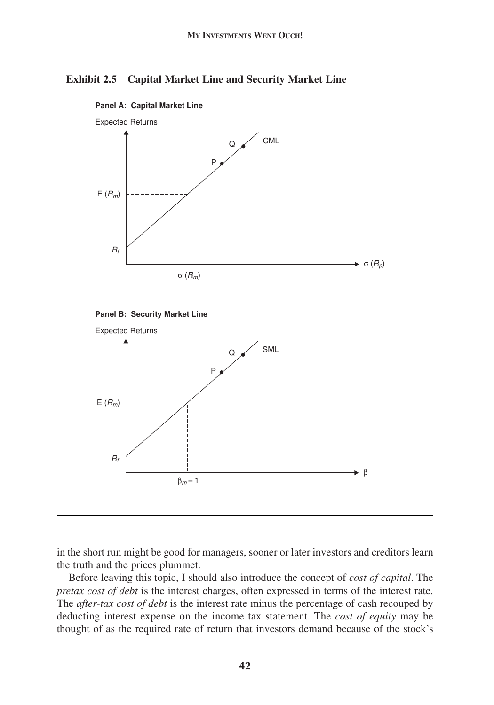

in the short run might be good for managers, sooner or later investors and creditors learn the truth and the prices plummet.

Before leaving this topic, I should also introduce the concept of *cost of capital*. The *pretax cost of debt* is the interest charges, often expressed in terms of the interest rate. The *after-tax cost of debt* is the interest rate minus the percentage of cash recouped by deducting interest expense on the income tax statement. The *cost of equity* may be thought of as the required rate of return that investors demand because of the stock's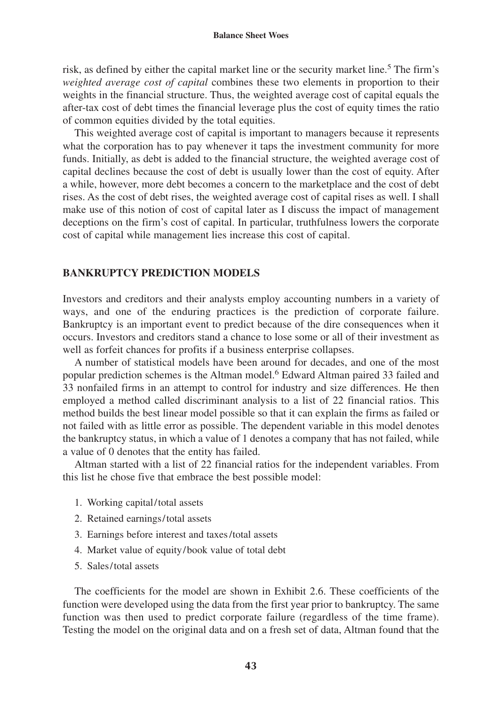risk, as defined by either the capital market line or the security market line.<sup>5</sup> The firm's *weighted average cost of capital* combines these two elements in proportion to their weights in the financial structure. Thus, the weighted average cost of capital equals the after-tax cost of debt times the financial leverage plus the cost of equity times the ratio of common equities divided by the total equities.

This weighted average cost of capital is important to managers because it represents what the corporation has to pay whenever it taps the investment community for more funds. Initially, as debt is added to the financial structure, the weighted average cost of capital declines because the cost of debt is usually lower than the cost of equity. After a while, however, more debt becomes a concern to the marketplace and the cost of debt rises. As the cost of debt rises, the weighted average cost of capital rises as well. I shall make use of this notion of cost of capital later as I discuss the impact of management deceptions on the firm's cost of capital. In particular, truthfulness lowers the corporate cost of capital while management lies increase this cost of capital.

#### **BANKRUPTCY PREDICTION MODELS**

Investors and creditors and their analysts employ accounting numbers in a variety of ways, and one of the enduring practices is the prediction of corporate failure. Bankruptcy is an important event to predict because of the dire consequences when it occurs. Investors and creditors stand a chance to lose some or all of their investment as well as forfeit chances for profits if a business enterprise collapses.

A number of statistical models have been around for decades, and one of the most popular prediction schemes is the Altman model.6 Edward Altman paired 33 failed and 33 nonfailed firms in an attempt to control for industry and size differences. He then employed a method called discriminant analysis to a list of 22 financial ratios. This method builds the best linear model possible so that it can explain the firms as failed or not failed with as little error as possible. The dependent variable in this model denotes the bankruptcy status, in which a value of 1 denotes a company that has not failed, while a value of 0 denotes that the entity has failed.

Altman started with a list of 22 financial ratios for the independent variables. From this list he chose five that embrace the best possible model:

- 1. Working capital/total assets
- 2. Retained earnings/total assets
- 3. Earnings before interest and taxes /total assets
- 4. Market value of equity/book value of total debt
- 5. Sales/total assets

The coefficients for the model are shown in Exhibit 2.6. These coefficients of the function were developed using the data from the first year prior to bankruptcy. The same function was then used to predict corporate failure (regardless of the time frame). Testing the model on the original data and on a fresh set of data, Altman found that the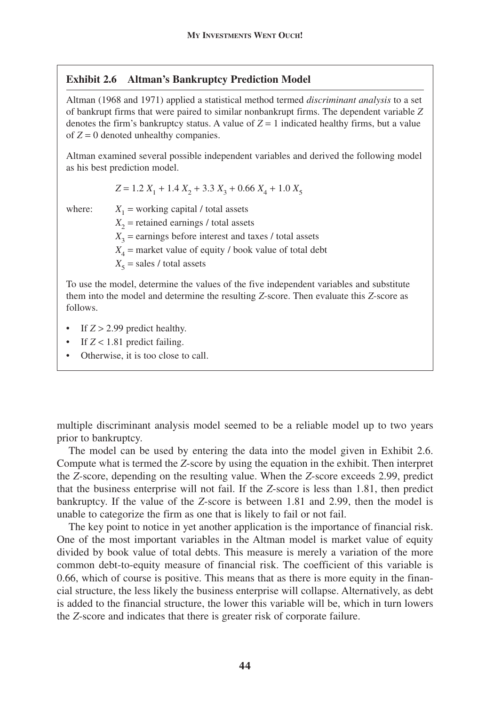#### **Exhibit 2.6 Altman's Bankruptcy Prediction Model**

Altman (1968 and 1971) applied a statistical method termed *discriminant analysis* to a set of bankrupt firms that were paired to similar nonbankrupt firms. The dependent variable *Z* denotes the firm's bankruptcy status. A value of  $Z = 1$  indicated healthy firms, but a value of  $Z = 0$  denoted unhealthy companies.

Altman examined several possible independent variables and derived the following model as his best prediction model.

 $Z = 1.2 X_1 + 1.4 X_2 + 3.3 X_3 + 0.66 X_4 + 1.0 X_5$ 

where:  $X_1$  = working capital / total assets

 $X_2$  = retained earnings / total assets

 $X_3$  = earnings before interest and taxes / total assets

 $X_4$  = market value of equity / book value of total debt

 $X_5$  = sales / total assets

To use the model, determine the values of the five independent variables and substitute them into the model and determine the resulting *Z*-score. Then evaluate this *Z*-score as follows.

- If  $Z > 2.99$  predict healthy.
- If  $Z < 1.81$  predict failing.
- Otherwise, it is too close to call.

multiple discriminant analysis model seemed to be a reliable model up to two years prior to bankruptcy.

The model can be used by entering the data into the model given in Exhibit 2.6. Compute what is termed the *Z*-score by using the equation in the exhibit. Then interpret the *Z-*score, depending on the resulting value. When the *Z*-score exceeds 2.99, predict that the business enterprise will not fail. If the *Z*-score is less than 1.81, then predict bankruptcy. If the value of the *Z*-score is between 1.81 and 2.99, then the model is unable to categorize the firm as one that is likely to fail or not fail.

The key point to notice in yet another application is the importance of financial risk. One of the most important variables in the Altman model is market value of equity divided by book value of total debts. This measure is merely a variation of the more common debt-to-equity measure of financial risk. The coefficient of this variable is 0.66, which of course is positive. This means that as there is more equity in the financial structure, the less likely the business enterprise will collapse. Alternatively, as debt is added to the financial structure, the lower this variable will be, which in turn lowers the *Z*-score and indicates that there is greater risk of corporate failure.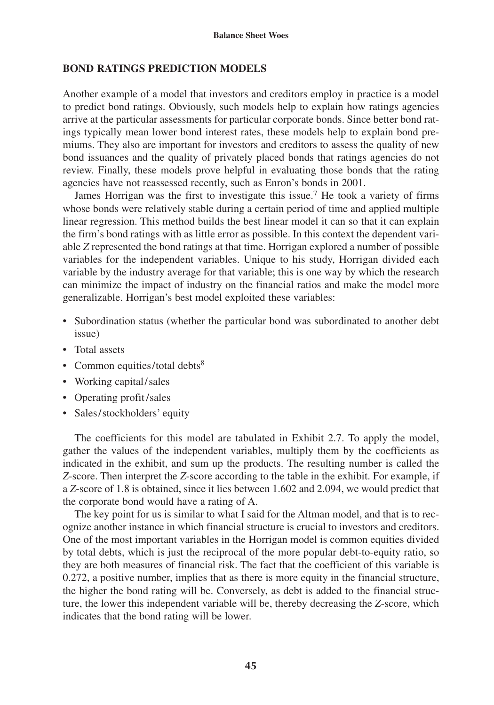#### **BOND RATINGS PREDICTION MODELS**

Another example of a model that investors and creditors employ in practice is a model to predict bond ratings. Obviously, such models help to explain how ratings agencies arrive at the particular assessments for particular corporate bonds. Since better bond ratings typically mean lower bond interest rates, these models help to explain bond premiums. They also are important for investors and creditors to assess the quality of new bond issuances and the quality of privately placed bonds that ratings agencies do not review. Finally, these models prove helpful in evaluating those bonds that the rating agencies have not reassessed recently, such as Enron's bonds in 2001.

James Horrigan was the first to investigate this issue.<sup>7</sup> He took a variety of firms whose bonds were relatively stable during a certain period of time and applied multiple linear regression. This method builds the best linear model it can so that it can explain the firm's bond ratings with as little error as possible. In this context the dependent variable *Z* represented the bond ratings at that time. Horrigan explored a number of possible variables for the independent variables. Unique to his study, Horrigan divided each variable by the industry average for that variable; this is one way by which the research can minimize the impact of industry on the financial ratios and make the model more generalizable. Horrigan's best model exploited these variables:

- Subordination status (whether the particular bond was subordinated to another debt issue)
- Total assets
- Common equities/total debts<sup>8</sup>
- Working capital/sales
- Operating profit/sales
- Sales/stockholders' equity

The coefficients for this model are tabulated in Exhibit 2.7. To apply the model, gather the values of the independent variables, multiply them by the coefficients as indicated in the exhibit, and sum up the products. The resulting number is called the *Z*-score. Then interpret the *Z*-score according to the table in the exhibit. For example, if a *Z*-score of 1.8 is obtained, since it lies between 1.602 and 2.094, we would predict that the corporate bond would have a rating of A.

The key point for us is similar to what I said for the Altman model, and that is to recognize another instance in which financial structure is crucial to investors and creditors. One of the most important variables in the Horrigan model is common equities divided by total debts, which is just the reciprocal of the more popular debt-to-equity ratio, so they are both measures of financial risk. The fact that the coefficient of this variable is 0.272, a positive number, implies that as there is more equity in the financial structure, the higher the bond rating will be. Conversely, as debt is added to the financial structure, the lower this independent variable will be, thereby decreasing the *Z*-score, which indicates that the bond rating will be lower.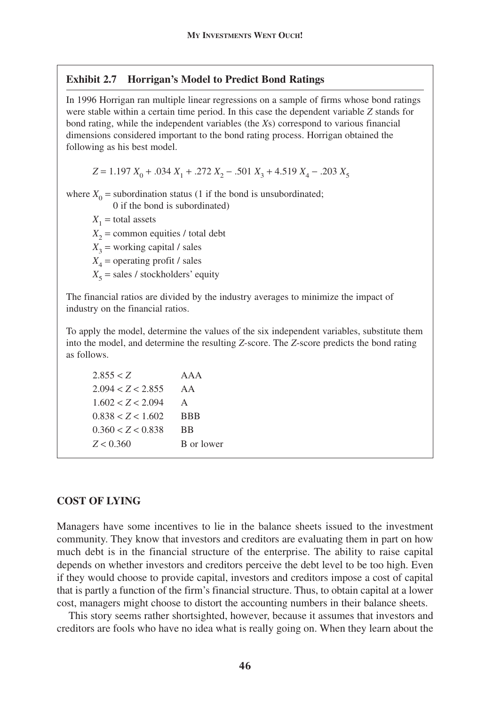#### **Exhibit 2.7 Horrigan's Model to Predict Bond Ratings**

In 1996 Horrigan ran multiple linear regressions on a sample of firms whose bond ratings were stable within a certain time period. In this case the dependent variable *Z* stands for bond rating, while the independent variables (the *X*s) correspond to various financial dimensions considered important to the bond rating process. Horrigan obtained the following as his best model.

 $Z = 1.197 X_0 + .034 X_1 + .272 X_2 - .501 X_3 + 4.519 X_4 - .203 X_5$ 

where  $X_0$  = subordination status (1 if the bond is unsubordinated;

0 if the bond is subordinated)

 $X_1$  = total assets

 $X_2$  = common equities / total debt

 $X_3$  = working capital / sales

 $X_4$  = operating profit / sales

 $X_5$  = sales / stockholders' equity

The financial ratios are divided by the industry averages to minimize the impact of industry on the financial ratios.

To apply the model, determine the values of the six independent variables, substitute them into the model, and determine the resulting *Z*-score. The *Z*-score predicts the bond rating as follows.

 $2.855 < Z$  AAA  $2.094 < Z < 2.855$  AA  $1.602 < Z < 2.094$  A  $0.838 < Z < 1.602$  BBB  $0.360 < Z < 0.838$  BB  $Z < 0.360$  B or lower

#### **COST OF LYING**

Managers have some incentives to lie in the balance sheets issued to the investment community. They know that investors and creditors are evaluating them in part on how much debt is in the financial structure of the enterprise. The ability to raise capital depends on whether investors and creditors perceive the debt level to be too high. Even if they would choose to provide capital, investors and creditors impose a cost of capital that is partly a function of the firm's financial structure. Thus, to obtain capital at a lower cost, managers might choose to distort the accounting numbers in their balance sheets.

This story seems rather shortsighted, however, because it assumes that investors and creditors are fools who have no idea what is really going on. When they learn about the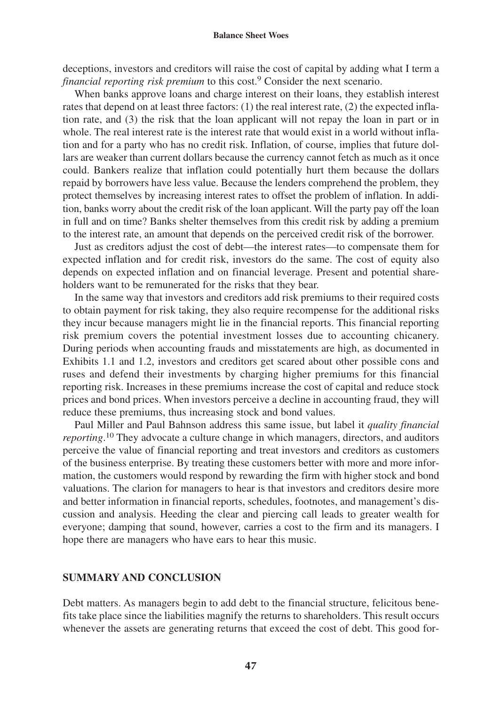deceptions, investors and creditors will raise the cost of capital by adding what I term a *financial reporting risk premium* to this cost.<sup>9</sup> Consider the next scenario.

When banks approve loans and charge interest on their loans, they establish interest rates that depend on at least three factors: (1) the real interest rate, (2) the expected inflation rate, and (3) the risk that the loan applicant will not repay the loan in part or in whole. The real interest rate is the interest rate that would exist in a world without inflation and for a party who has no credit risk. Inflation, of course, implies that future dollars are weaker than current dollars because the currency cannot fetch as much as it once could. Bankers realize that inflation could potentially hurt them because the dollars repaid by borrowers have less value. Because the lenders comprehend the problem, they protect themselves by increasing interest rates to offset the problem of inflation. In addition, banks worry about the credit risk of the loan applicant. Will the party pay off the loan in full and on time? Banks shelter themselves from this credit risk by adding a premium to the interest rate, an amount that depends on the perceived credit risk of the borrower.

Just as creditors adjust the cost of debt—the interest rates—to compensate them for expected inflation and for credit risk, investors do the same. The cost of equity also depends on expected inflation and on financial leverage. Present and potential shareholders want to be remunerated for the risks that they bear.

In the same way that investors and creditors add risk premiums to their required costs to obtain payment for risk taking, they also require recompense for the additional risks they incur because managers might lie in the financial reports. This financial reporting risk premium covers the potential investment losses due to accounting chicanery. During periods when accounting frauds and misstatements are high, as documented in Exhibits 1.1 and 1.2, investors and creditors get scared about other possible cons and ruses and defend their investments by charging higher premiums for this financial reporting risk. Increases in these premiums increase the cost of capital and reduce stock prices and bond prices. When investors perceive a decline in accounting fraud, they will reduce these premiums, thus increasing stock and bond values.

Paul Miller and Paul Bahnson address this same issue, but label it *quality financial reporting*. <sup>10</sup> They advocate a culture change in which managers, directors, and auditors perceive the value of financial reporting and treat investors and creditors as customers of the business enterprise. By treating these customers better with more and more information, the customers would respond by rewarding the firm with higher stock and bond valuations. The clarion for managers to hear is that investors and creditors desire more and better information in financial reports, schedules, footnotes, and management's discussion and analysis. Heeding the clear and piercing call leads to greater wealth for everyone; damping that sound, however, carries a cost to the firm and its managers. I hope there are managers who have ears to hear this music.

#### **SUMMARY AND CONCLUSION**

Debt matters. As managers begin to add debt to the financial structure, felicitous benefits take place since the liabilities magnify the returns to shareholders. This result occurs whenever the assets are generating returns that exceed the cost of debt. This good for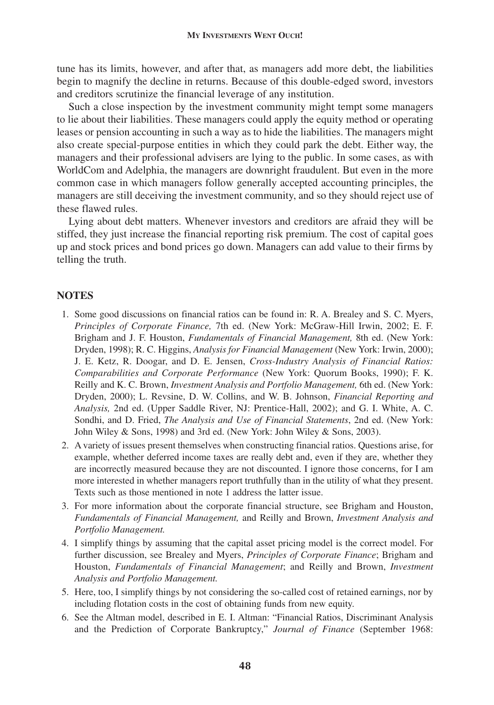tune has its limits, however, and after that, as managers add more debt, the liabilities begin to magnify the decline in returns. Because of this double-edged sword, investors and creditors scrutinize the financial leverage of any institution.

Such a close inspection by the investment community might tempt some managers to lie about their liabilities. These managers could apply the equity method or operating leases or pension accounting in such a way as to hide the liabilities. The managers might also create special-purpose entities in which they could park the debt. Either way, the managers and their professional advisers are lying to the public. In some cases, as with WorldCom and Adelphia, the managers are downright fraudulent. But even in the more common case in which managers follow generally accepted accounting principles, the managers are still deceiving the investment community, and so they should reject use of these flawed rules.

Lying about debt matters. Whenever investors and creditors are afraid they will be stiffed, they just increase the financial reporting risk premium. The cost of capital goes up and stock prices and bond prices go down. Managers can add value to their firms by telling the truth.

#### **NOTES**

- 1. Some good discussions on financial ratios can be found in: R. A. Brealey and S. C. Myers, *Principles of Corporate Finance,* 7th ed. (New York: McGraw-Hill Irwin, 2002; E. F. Brigham and J. F. Houston, *Fundamentals of Financial Management,* 8th ed. (New York: Dryden, 1998); R. C. Higgins, *Analysis for Financial Management* (New York: Irwin, 2000); J. E. Ketz, R. Doogar, and D. E. Jensen, *Cross-Industry Analysis of Financial Ratios: Comparabilities and Corporate Performance* (New York: Quorum Books, 1990); F. K. Reilly and K. C. Brown, *Investment Analysis and Portfolio Management,* 6th ed. (New York: Dryden, 2000); L. Revsine, D. W. Collins, and W. B. Johnson, *Financial Reporting and Analysis,* 2nd ed. (Upper Saddle River, NJ: Prentice-Hall, 2002); and G. I. White, A. C. Sondhi, and D. Fried, *The Analysis and Use of Financial Statements*, 2nd ed. (New York: John Wiley & Sons, 1998) and 3rd ed. (New York: John Wiley & Sons, 2003).
- 2. A variety of issues present themselves when constructing financial ratios. Questions arise, for example, whether deferred income taxes are really debt and, even if they are, whether they are incorrectly measured because they are not discounted. I ignore those concerns, for I am more interested in whether managers report truthfully than in the utility of what they present. Texts such as those mentioned in note 1 address the latter issue.
- 3. For more information about the corporate financial structure, see Brigham and Houston, *Fundamentals of Financial Management,* and Reilly and Brown, *Investment Analysis and Portfolio Management.*
- 4. I simplify things by assuming that the capital asset pricing model is the correct model. For further discussion, see Brealey and Myers, *Principles of Corporate Finance*; Brigham and Houston, *Fundamentals of Financial Management*; and Reilly and Brown, *Investment Analysis and Portfolio Management.*
- 5. Here, too, I simplify things by not considering the so-called cost of retained earnings, nor by including flotation costs in the cost of obtaining funds from new equity.
- 6. See the Altman model, described in E. I. Altman: "Financial Ratios, Discriminant Analysis and the Prediction of Corporate Bankruptcy," *Journal of Finance* (September 1968: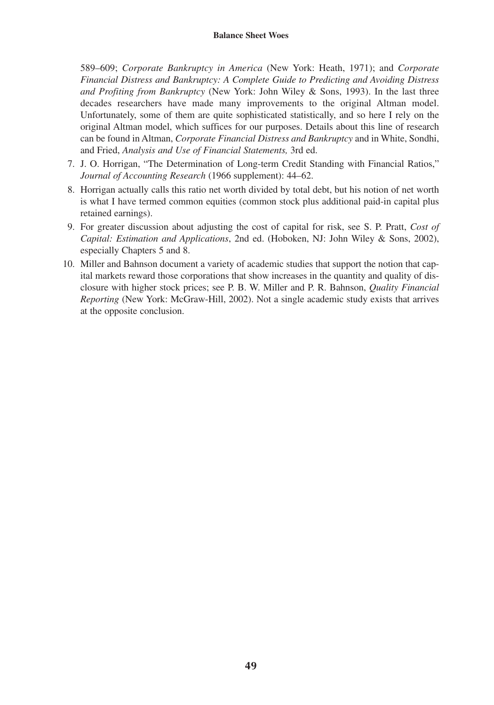589–609; *Corporate Bankruptcy in America* (New York: Heath, 1971); and *Corporate Financial Distress and Bankruptcy: A Complete Guide to Predicting and Avoiding Distress and Profiting from Bankruptcy* (New York: John Wiley & Sons, 1993). In the last three decades researchers have made many improvements to the original Altman model. Unfortunately, some of them are quite sophisticated statistically, and so here I rely on the original Altman model, which suffices for our purposes. Details about this line of research can be found in Altman, *Corporate Financial Distress and Bankruptcy* and in White, Sondhi, and Fried, *Analysis and Use of Financial Statements,* 3rd ed.

- 7. J. O. Horrigan, "The Determination of Long-term Credit Standing with Financial Ratios," *Journal of Accounting Research* (1966 supplement): 44–62.
- 8. Horrigan actually calls this ratio net worth divided by total debt, but his notion of net worth is what I have termed common equities (common stock plus additional paid-in capital plus retained earnings).
- 9. For greater discussion about adjusting the cost of capital for risk, see S. P. Pratt, *Cost of Capital: Estimation and Applications*, 2nd ed. (Hoboken, NJ: John Wiley & Sons, 2002), especially Chapters 5 and 8.
- 10. Miller and Bahnson document a variety of academic studies that support the notion that capital markets reward those corporations that show increases in the quantity and quality of disclosure with higher stock prices; see P. B. W. Miller and P. R. Bahnson, *Quality Financial Reporting* (New York: McGraw-Hill, 2002). Not a single academic study exists that arrives at the opposite conclusion.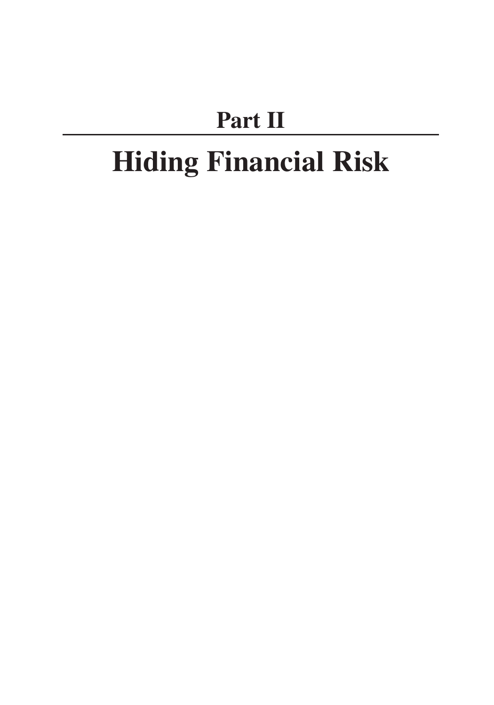# **Part II**

# **Hiding Financial Risk**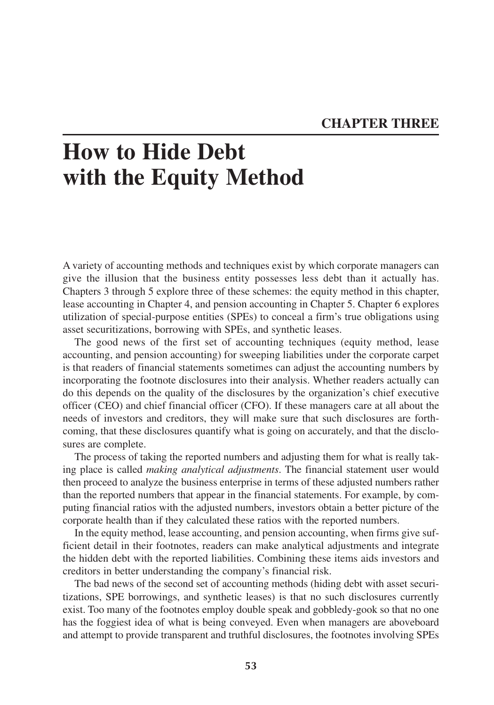# **How to Hide Debt with the Equity Method**

A variety of accounting methods and techniques exist by which corporate managers can give the illusion that the business entity possesses less debt than it actually has. Chapters 3 through 5 explore three of these schemes: the equity method in this chapter, lease accounting in Chapter 4, and pension accounting in Chapter 5. Chapter 6 explores utilization of special-purpose entities (SPEs) to conceal a firm's true obligations using asset securitizations, borrowing with SPEs, and synthetic leases.

The good news of the first set of accounting techniques (equity method, lease accounting, and pension accounting) for sweeping liabilities under the corporate carpet is that readers of financial statements sometimes can adjust the accounting numbers by incorporating the footnote disclosures into their analysis. Whether readers actually can do this depends on the quality of the disclosures by the organization's chief executive officer (CEO) and chief financial officer (CFO). If these managers care at all about the needs of investors and creditors, they will make sure that such disclosures are forthcoming, that these disclosures quantify what is going on accurately, and that the disclosures are complete.

The process of taking the reported numbers and adjusting them for what is really taking place is called *making analytical adjustments*. The financial statement user would then proceed to analyze the business enterprise in terms of these adjusted numbers rather than the reported numbers that appear in the financial statements. For example, by computing financial ratios with the adjusted numbers, investors obtain a better picture of the corporate health than if they calculated these ratios with the reported numbers.

In the equity method, lease accounting, and pension accounting, when firms give sufficient detail in their footnotes, readers can make analytical adjustments and integrate the hidden debt with the reported liabilities. Combining these items aids investors and creditors in better understanding the company's financial risk.

The bad news of the second set of accounting methods (hiding debt with asset securitizations, SPE borrowings, and synthetic leases) is that no such disclosures currently exist. Too many of the footnotes employ double speak and gobbledy-gook so that no one has the foggiest idea of what is being conveyed. Even when managers are aboveboard and attempt to provide transparent and truthful disclosures, the footnotes involving SPEs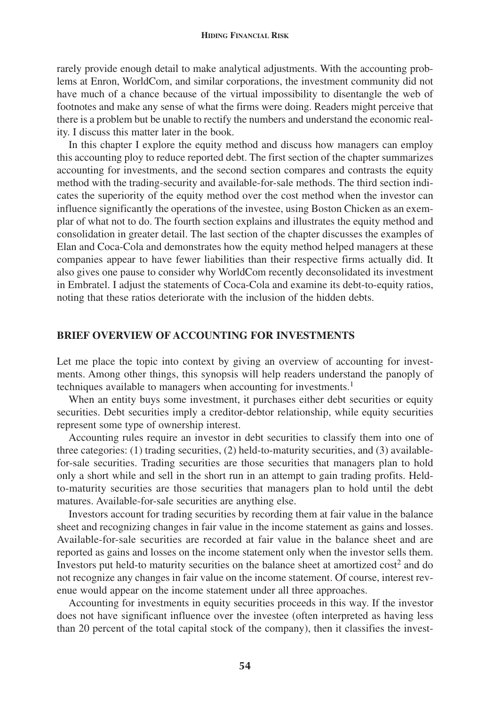rarely provide enough detail to make analytical adjustments. With the accounting problems at Enron, WorldCom, and similar corporations, the investment community did not have much of a chance because of the virtual impossibility to disentangle the web of footnotes and make any sense of what the firms were doing. Readers might perceive that there is a problem but be unable to rectify the numbers and understand the economic reality. I discuss this matter later in the book.

In this chapter I explore the equity method and discuss how managers can employ this accounting ploy to reduce reported debt. The first section of the chapter summarizes accounting for investments, and the second section compares and contrasts the equity method with the trading-security and available-for-sale methods. The third section indicates the superiority of the equity method over the cost method when the investor can influence significantly the operations of the investee, using Boston Chicken as an exemplar of what not to do. The fourth section explains and illustrates the equity method and consolidation in greater detail. The last section of the chapter discusses the examples of Elan and Coca-Cola and demonstrates how the equity method helped managers at these companies appear to have fewer liabilities than their respective firms actually did. It also gives one pause to consider why WorldCom recently deconsolidated its investment in Embratel. I adjust the statements of Coca-Cola and examine its debt-to-equity ratios, noting that these ratios deteriorate with the inclusion of the hidden debts.

#### **BRIEF OVERVIEW OF ACCOUNTING FOR INVESTMENTS**

Let me place the topic into context by giving an overview of accounting for investments. Among other things, this synopsis will help readers understand the panoply of techniques available to managers when accounting for investments.<sup>1</sup>

When an entity buys some investment, it purchases either debt securities or equity securities. Debt securities imply a creditor-debtor relationship, while equity securities represent some type of ownership interest.

Accounting rules require an investor in debt securities to classify them into one of three categories: (1) trading securities, (2) held-to-maturity securities, and (3) availablefor-sale securities. Trading securities are those securities that managers plan to hold only a short while and sell in the short run in an attempt to gain trading profits. Heldto-maturity securities are those securities that managers plan to hold until the debt matures. Available-for-sale securities are anything else.

Investors account for trading securities by recording them at fair value in the balance sheet and recognizing changes in fair value in the income statement as gains and losses. Available-for-sale securities are recorded at fair value in the balance sheet and are reported as gains and losses on the income statement only when the investor sells them. Investors put held-to maturity securities on the balance sheet at amortized  $cost<sup>2</sup>$  and do not recognize any changes in fair value on the income statement. Of course, interest revenue would appear on the income statement under all three approaches.

Accounting for investments in equity securities proceeds in this way. If the investor does not have significant influence over the investee (often interpreted as having less than 20 percent of the total capital stock of the company), then it classifies the invest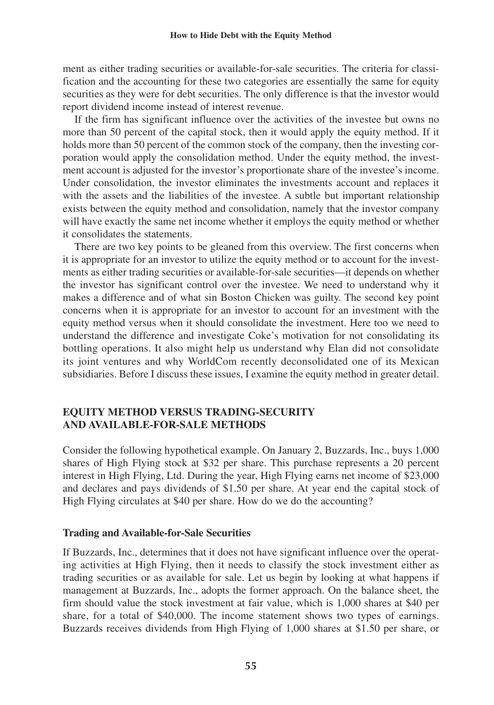ment as either trading securities or available-for-sale securities. The criteria for classification and the accounting for these two categories are essentially the same for equity securities as they were for debt securities. The only difference is that the investor would report dividend income instead of interest revenue.

If the firm has significant influence over the activities of the investee but owns no more than 50 percent of the capital stock, then it would apply the equity method. If it holds more than 50 percent of the common stock of the company, then the investing corporation would apply the consolidation method. Under the equity method, the investment account is adjusted for the investor's proportionate share of the investee's income. Under consolidation, the investor eliminates the investments account and replaces it with the assets and the liabilities of the investee. A subtle but important relationship exists between the equity method and consolidation, namely that the investor company will have exactly the same net income whether it employs the equity method or whether it consolidates the statements.

There are two key points to be gleaned from this overview. The first concerns when it is appropriate for an investor to utilize the equity method or to account for the investments as either trading securities or available-for-sale securities—it depends on whether the investor has significant control over the investee. We need to understand why it makes a difference and of what sin Boston Chicken was guilty. The second key point concerns when it is appropriate for an investor to account for an investment with the equity method versus when it should consolidate the investment. Here too we need to understand the difference and investigate Coke's motivation for not consolidating its bottling operations. It also might help us understand why Elan did not consolidate its joint ventures and why WorldCom recently deconsolidated one of its Mexican subsidiaries. Before I discuss these issues, I examine the equity method in greater detail.

#### **EQUITY METHOD VERSUS TRADING-SECURITY AND AVAILABLE-FOR-SALE METHODS**

Consider the following hypothetical example. On January 2, Buzzards, Inc., buys 1,000 shares of High Flying stock at \$32 per share. This purchase represents a 20 percent interest in High Flying, Ltd. During the year, High Flying earns net income of \$23,000 and declares and pays dividends of \$1.50 per share. At year end the capital stock of High Flying circulates at \$40 per share. How do we do the accounting?

#### **Trading and Available-for-Sale Securities**

If Buzzards, Inc., determines that it does not have significant influence over the operating activities at High Flying, then it needs to classify the stock investment either as trading securities or as available for sale. Let us begin by looking at what happens if management at Buzzards, Inc., adopts the former approach. On the balance sheet, the firm should value the stock investment at fair value, which is 1,000 shares at \$40 per share, for a total of \$40,000. The income statement shows two types of earnings. Buzzards receives dividends from High Flying of 1,000 shares at \$1.50 per share, or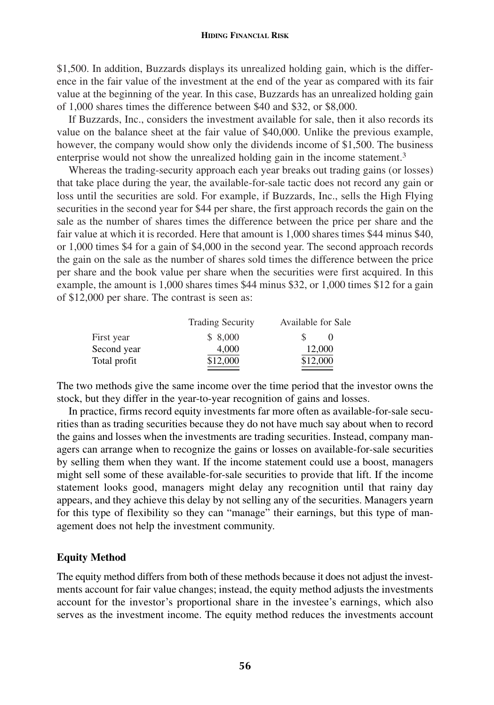\$1,500. In addition, Buzzards displays its unrealized holding gain, which is the difference in the fair value of the investment at the end of the year as compared with its fair value at the beginning of the year. In this case, Buzzards has an unrealized holding gain of 1,000 shares times the difference between \$40 and \$32, or \$8,000.

If Buzzards, Inc., considers the investment available for sale, then it also records its value on the balance sheet at the fair value of \$40,000. Unlike the previous example, however, the company would show only the dividends income of \$1,500. The business enterprise would not show the unrealized holding gain in the income statement.<sup>3</sup>

Whereas the trading-security approach each year breaks out trading gains (or losses) that take place during the year, the available-for-sale tactic does not record any gain or loss until the securities are sold. For example, if Buzzards, Inc., sells the High Flying securities in the second year for \$44 per share, the first approach records the gain on the sale as the number of shares times the difference between the price per share and the fair value at which it is recorded. Here that amount is 1,000 shares times \$44 minus \$40, or 1,000 times \$4 for a gain of \$4,000 in the second year. The second approach records the gain on the sale as the number of shares sold times the difference between the price per share and the book value per share when the securities were first acquired. In this example, the amount is 1,000 shares times \$44 minus \$32, or 1,000 times \$12 for a gain of \$12,000 per share. The contrast is seen as:

|              | <b>Trading Security</b> | Available for Sale |
|--------------|-------------------------|--------------------|
| First year   | \$ 8,000                |                    |
| Second year  | 4,000                   | 12,000             |
| Total profit | \$12,000                | \$12,000           |

The two methods give the same income over the time period that the investor owns the stock, but they differ in the year-to-year recognition of gains and losses.

In practice, firms record equity investments far more often as available-for-sale securities than as trading securities because they do not have much say about when to record the gains and losses when the investments are trading securities. Instead, company managers can arrange when to recognize the gains or losses on available-for-sale securities by selling them when they want. If the income statement could use a boost, managers might sell some of these available-for-sale securities to provide that lift. If the income statement looks good, managers might delay any recognition until that rainy day appears, and they achieve this delay by not selling any of the securities. Managers yearn for this type of flexibility so they can "manage" their earnings, but this type of management does not help the investment community.

### **Equity Method**

The equity method differs from both of these methods because it does not adjust the investments account for fair value changes; instead, the equity method adjusts the investments account for the investor's proportional share in the investee's earnings, which also serves as the investment income. The equity method reduces the investments account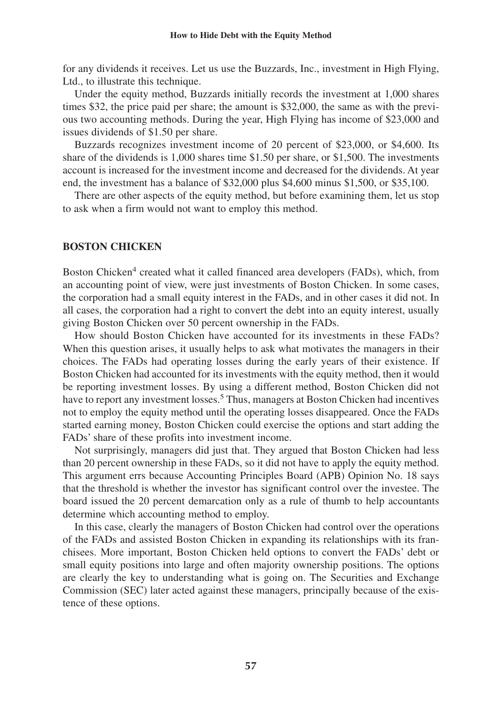for any dividends it receives. Let us use the Buzzards, Inc., investment in High Flying, Ltd., to illustrate this technique.

Under the equity method, Buzzards initially records the investment at 1,000 shares times \$32, the price paid per share; the amount is \$32,000, the same as with the previous two accounting methods. During the year, High Flying has income of \$23,000 and issues dividends of \$1.50 per share.

Buzzards recognizes investment income of 20 percent of \$23,000, or \$4,600. Its share of the dividends is 1,000 shares time \$1.50 per share, or \$1,500. The investments account is increased for the investment income and decreased for the dividends. At year end, the investment has a balance of \$32,000 plus \$4,600 minus \$1,500, or \$35,100.

There are other aspects of the equity method, but before examining them, let us stop to ask when a firm would not want to employ this method.

#### **BOSTON CHICKEN**

Boston Chicken<sup>4</sup> created what it called financed area developers (FADs), which, from an accounting point of view, were just investments of Boston Chicken. In some cases, the corporation had a small equity interest in the FADs, and in other cases it did not. In all cases, the corporation had a right to convert the debt into an equity interest, usually giving Boston Chicken over 50 percent ownership in the FADs.

How should Boston Chicken have accounted for its investments in these FADs? When this question arises, it usually helps to ask what motivates the managers in their choices. The FADs had operating losses during the early years of their existence. If Boston Chicken had accounted for its investments with the equity method, then it would be reporting investment losses. By using a different method, Boston Chicken did not have to report any investment losses.<sup>5</sup> Thus, managers at Boston Chicken had incentives not to employ the equity method until the operating losses disappeared. Once the FADs started earning money, Boston Chicken could exercise the options and start adding the FADs' share of these profits into investment income.

Not surprisingly, managers did just that. They argued that Boston Chicken had less than 20 percent ownership in these FADs, so it did not have to apply the equity method. This argument errs because Accounting Principles Board (APB) Opinion No. 18 says that the threshold is whether the investor has significant control over the investee. The board issued the 20 percent demarcation only as a rule of thumb to help accountants determine which accounting method to employ.

In this case, clearly the managers of Boston Chicken had control over the operations of the FADs and assisted Boston Chicken in expanding its relationships with its franchisees. More important, Boston Chicken held options to convert the FADs' debt or small equity positions into large and often majority ownership positions. The options are clearly the key to understanding what is going on. The Securities and Exchange Commission (SEC) later acted against these managers, principally because of the existence of these options.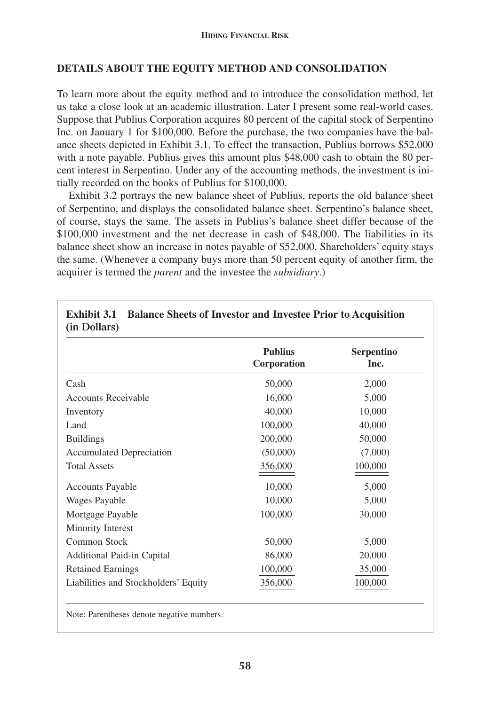### **DETAILS ABOUT THE EQUITY METHOD AND CONSOLIDATION**

To learn more about the equity method and to introduce the consolidation method, let us take a close look at an academic illustration. Later I present some real-world cases. Suppose that Publius Corporation acquires 80 percent of the capital stock of Serpentino Inc. on January 1 for \$100,000. Before the purchase, the two companies have the balance sheets depicted in Exhibit 3.1. To effect the transaction, Publius borrows \$52,000 with a note payable. Publius gives this amount plus \$48,000 cash to obtain the 80 percent interest in Serpentino. Under any of the accounting methods, the investment is initially recorded on the books of Publius for \$100,000.

Exhibit 3.2 portrays the new balance sheet of Publius, reports the old balance sheet of Serpentino, and displays the consolidated balance sheet. Serpentino's balance sheet, of course, stays the same. The assets in Publius's balance sheet differ because of the \$100,000 investment and the net decrease in cash of \$48,000. The liabilities in its balance sheet show an increase in notes payable of \$52,000. Shareholders' equity stays the same. (Whenever a company buys more than 50 percent equity of another firm, the acquirer is termed the *parent* and the investee the *subsidiary*.)

|                                      | <b>Publius</b><br>Corporation | Serpentino<br>Inc. |
|--------------------------------------|-------------------------------|--------------------|
| Cash                                 | 50,000                        | 2,000              |
| Accounts Receivable                  | 16,000                        | 5,000              |
| Inventory                            | 40,000                        | 10,000             |
| Land                                 | 100,000                       | 40,000             |
| <b>Buildings</b>                     | 200,000                       | 50,000             |
| <b>Accumulated Depreciation</b>      | (50,000)                      | (7,000)            |
| <b>Total Assets</b>                  | 356,000                       | 100,000            |
| <b>Accounts Payable</b>              | 10,000                        | 5,000              |
| <b>Wages Payable</b>                 | 10,000                        | 5,000              |
| Mortgage Payable                     | 100,000                       | 30,000             |
| Minority Interest                    |                               |                    |
| Common Stock                         | 50,000                        | 5,000              |
| Additional Paid-in Capital           | 86,000                        | 20,000             |
| <b>Retained Earnings</b>             | 100,000                       | 35,000             |
| Liabilities and Stockholders' Equity | 356,000                       | 100,000            |

#### **Exhibit 3.1 Balance Sheets of Investor and Investee Prior to Acquisition (in Dollars)**

Note: Parentheses denote negative numbers.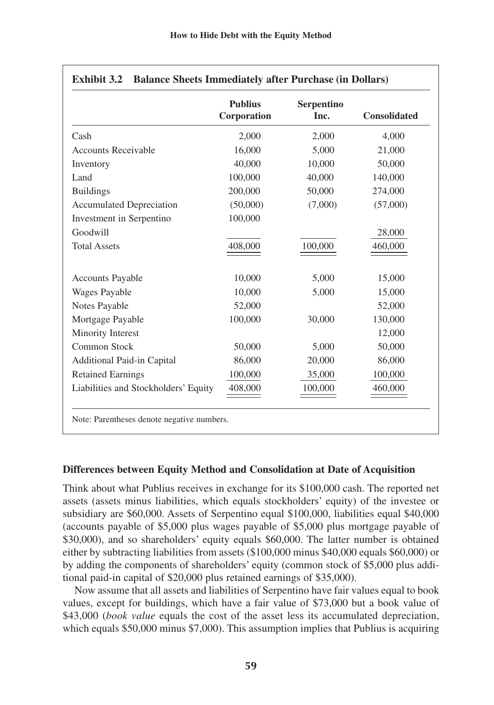|                                      | <b>Publius</b><br>Corporation | Serpentino<br>Inc. | <b>Consolidated</b> |
|--------------------------------------|-------------------------------|--------------------|---------------------|
| Cash                                 | 2,000                         | 2,000              | 4,000               |
| <b>Accounts Receivable</b>           | 16,000                        | 5,000              | 21,000              |
| Inventory                            | 40,000                        | 10,000             | 50,000              |
| Land                                 | 100,000                       | 40,000             | 140,000             |
| <b>Buildings</b>                     | 200,000                       | 50,000             | 274,000             |
| <b>Accumulated Depreciation</b>      | (50,000)                      | (7,000)            | (57,000)            |
| Investment in Serpentino             | 100,000                       |                    |                     |
| Goodwill                             |                               |                    | 28,000              |
| <b>Total Assets</b>                  | 408,000                       | 100,000            | 460,000             |
| <b>Accounts Payable</b>              | 10,000                        | 5,000              | 15,000              |
| <b>Wages Payable</b>                 | 10,000                        | 5,000              | 15,000              |
| Notes Payable                        | 52,000                        |                    | 52,000              |
| Mortgage Payable                     | 100,000                       | 30,000             | 130,000             |
| Minority Interest                    |                               |                    | 12,000              |
| <b>Common Stock</b>                  | 50,000                        | 5,000              | 50,000              |
| Additional Paid-in Capital           | 86,000                        | 20,000             | 86,000              |
| <b>Retained Earnings</b>             | 100,000                       | 35,000             | 100,000             |
| Liabilities and Stockholders' Equity | 408,000                       | 100,000            | 460,000             |

# **Exhibit 3.2 Balance Sheets Immediately after Purchase (in Dollars)**

#### **Differences between Equity Method and Consolidation at Date of Acquisition**

Think about what Publius receives in exchange for its \$100,000 cash. The reported net assets (assets minus liabilities, which equals stockholders' equity) of the investee or subsidiary are \$60,000. Assets of Serpentino equal \$100,000, liabilities equal \$40,000 (accounts payable of \$5,000 plus wages payable of \$5,000 plus mortgage payable of \$30,000), and so shareholders' equity equals \$60,000. The latter number is obtained either by subtracting liabilities from assets (\$100,000 minus \$40,000 equals \$60,000) or by adding the components of shareholders' equity (common stock of \$5,000 plus additional paid-in capital of \$20,000 plus retained earnings of \$35,000).

Now assume that all assets and liabilities of Serpentino have fair values equal to book values, except for buildings, which have a fair value of \$73,000 but a book value of \$43,000 *(book value* equals the cost of the asset less its accumulated depreciation, which equals \$50,000 minus \$7,000). This assumption implies that Publius is acquiring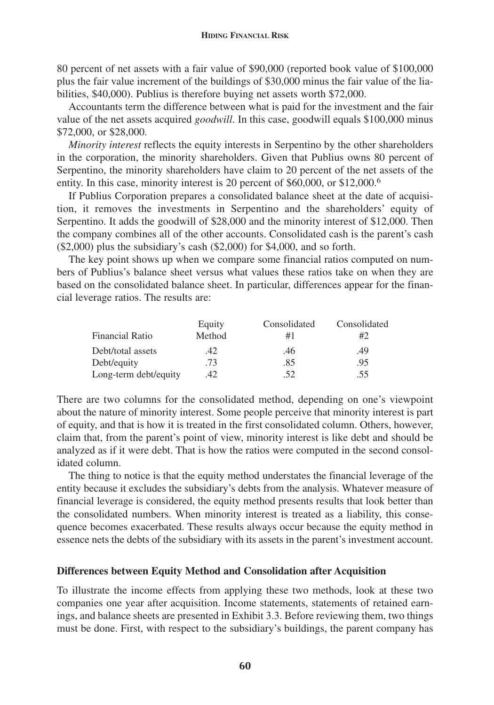80 percent of net assets with a fair value of \$90,000 (reported book value of \$100,000 plus the fair value increment of the buildings of \$30,000 minus the fair value of the liabilities, \$40,000). Publius is therefore buying net assets worth \$72,000.

Accountants term the difference between what is paid for the investment and the fair value of the net assets acquired *goodwill*. In this case, goodwill equals \$100,000 minus \$72,000, or \$28,000.

*Minority interest* reflects the equity interests in Serpentino by the other shareholders in the corporation, the minority shareholders. Given that Publius owns 80 percent of Serpentino, the minority shareholders have claim to 20 percent of the net assets of the entity. In this case, minority interest is 20 percent of \$60,000, or \$12,000.<sup>6</sup>

If Publius Corporation prepares a consolidated balance sheet at the date of acquisition, it removes the investments in Serpentino and the shareholders' equity of Serpentino. It adds the goodwill of \$28,000 and the minority interest of \$12,000. Then the company combines all of the other accounts. Consolidated cash is the parent's cash (\$2,000) plus the subsidiary's cash (\$2,000) for \$4,000, and so forth.

The key point shows up when we compare some financial ratios computed on numbers of Publius's balance sheet versus what values these ratios take on when they are based on the consolidated balance sheet. In particular, differences appear for the financial leverage ratios. The results are:

|                        | Equity | Consolidated | Consolidated |
|------------------------|--------|--------------|--------------|
| <b>Financial Ratio</b> | Method | #1           | #2           |
| Debt/total assets      | 42     | .46          | .49          |
| Debt/equity            | .73    | .85          | .95          |
| Long-term debt/equity  | .42    | .52          | .55          |

There are two columns for the consolidated method, depending on one's viewpoint about the nature of minority interest. Some people perceive that minority interest is part of equity, and that is how it is treated in the first consolidated column. Others, however, claim that, from the parent's point of view, minority interest is like debt and should be analyzed as if it were debt. That is how the ratios were computed in the second consolidated column.

The thing to notice is that the equity method understates the financial leverage of the entity because it excludes the subsidiary's debts from the analysis. Whatever measure of financial leverage is considered, the equity method presents results that look better than the consolidated numbers. When minority interest is treated as a liability, this consequence becomes exacerbated. These results always occur because the equity method in essence nets the debts of the subsidiary with its assets in the parent's investment account.

#### **Differences between Equity Method and Consolidation after Acquisition**

To illustrate the income effects from applying these two methods, look at these two companies one year after acquisition. Income statements, statements of retained earnings, and balance sheets are presented in Exhibit 3.3. Before reviewing them, two things must be done. First, with respect to the subsidiary's buildings, the parent company has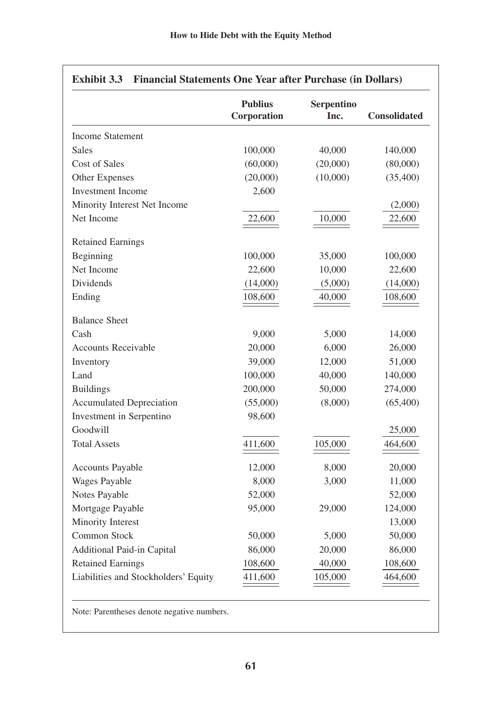|                                      | <b>Publius</b><br>Corporation | Serpentino<br>Inc. | <b>Consolidated</b> |
|--------------------------------------|-------------------------------|--------------------|---------------------|
| <b>Income Statement</b>              |                               |                    |                     |
| <b>Sales</b>                         | 100,000                       | 40,000             | 140,000             |
| Cost of Sales                        | (60,000)                      | (20,000)           | (80,000)            |
| Other Expenses                       | (20,000)                      | (10,000)           | (35,400)            |
| <b>Investment Income</b>             | 2,600                         |                    |                     |
| Minority Interest Net Income         |                               |                    | (2,000)             |
| Net Income                           | 22,600                        | 10,000             | 22,600              |
| <b>Retained Earnings</b>             |                               |                    |                     |
| Beginning                            | 100,000                       | 35,000             | 100,000             |
| Net Income                           | 22,600                        | 10,000             | 22,600              |
| Dividends                            | (14,000)                      | (5,000)            | (14,000)            |
| Ending                               | 108,600                       | 40,000             | 108,600             |
| <b>Balance Sheet</b>                 |                               |                    |                     |
| Cash                                 | 9,000                         | 5,000              | 14,000              |
| <b>Accounts Receivable</b>           | 20,000                        | 6,000              | 26,000              |
| Inventory                            | 39,000                        | 12,000             | 51,000              |
| Land                                 | 100,000                       | 40,000             | 140,000             |
| <b>Buildings</b>                     | 200,000                       | 50,000             | 274,000             |
| <b>Accumulated Depreciation</b>      | (55,000)                      | (8,000)            | (65,400)            |
| Investment in Serpentino             | 98,600                        |                    |                     |
| Goodwill                             |                               |                    | 25,000              |
| <b>Total Assets</b>                  | 411,600                       | 105,000            | 464,600             |
| <b>Accounts Payable</b>              | 12,000                        | 8,000              | 20,000              |
| <b>Wages Payable</b>                 | 8,000                         | 3,000              | 11,000              |
| Notes Payable                        | 52,000                        |                    | 52,000              |
| Mortgage Payable                     | 95,000                        | 29,000             | 124,000             |
| Minority Interest                    |                               |                    | 13,000              |
| Common Stock                         | 50,000                        | 5,000              | 50,000              |
| Additional Paid-in Capital           | 86,000                        | 20,000             | 86,000              |
| <b>Retained Earnings</b>             | 108,600                       | 40,000             | 108,600             |
| Liabilities and Stockholders' Equity | 411,600                       | 105,000            | 464,600             |

# **Exhibit 3.3 Financial Statements One Year after Purchase (in Dollars)**

Note: Parentheses denote negative numbers.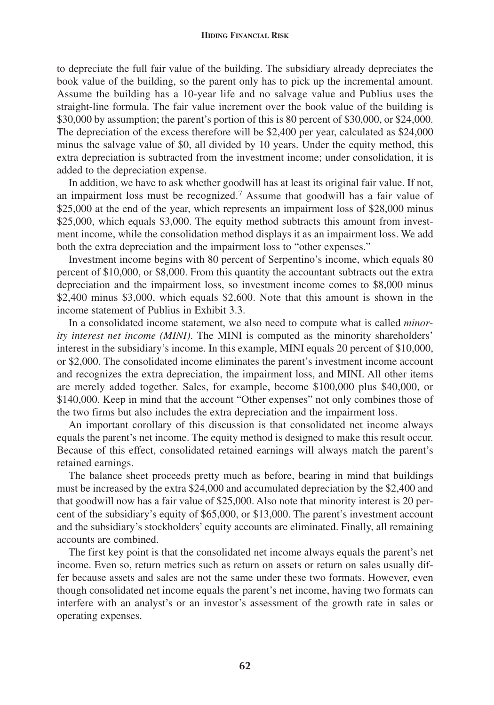to depreciate the full fair value of the building. The subsidiary already depreciates the book value of the building, so the parent only has to pick up the incremental amount. Assume the building has a 10-year life and no salvage value and Publius uses the straight-line formula. The fair value increment over the book value of the building is \$30,000 by assumption; the parent's portion of this is 80 percent of \$30,000, or \$24,000. The depreciation of the excess therefore will be \$2,400 per year, calculated as \$24,000 minus the salvage value of \$0, all divided by 10 years. Under the equity method, this extra depreciation is subtracted from the investment income; under consolidation, it is added to the depreciation expense.

In addition, we have to ask whether goodwill has at least its original fair value. If not, an impairment loss must be recognized.<sup>7</sup> Assume that goodwill has a fair value of \$25,000 at the end of the year, which represents an impairment loss of \$28,000 minus \$25,000, which equals \$3,000. The equity method subtracts this amount from investment income, while the consolidation method displays it as an impairment loss. We add both the extra depreciation and the impairment loss to "other expenses."

Investment income begins with 80 percent of Serpentino's income, which equals 80 percent of \$10,000, or \$8,000. From this quantity the accountant subtracts out the extra depreciation and the impairment loss, so investment income comes to \$8,000 minus \$2,400 minus \$3,000, which equals \$2,600. Note that this amount is shown in the income statement of Publius in Exhibit 3.3.

In a consolidated income statement, we also need to compute what is called *minority interest net income (MINI)*. The MINI is computed as the minority shareholders' interest in the subsidiary's income. In this example, MINI equals 20 percent of \$10,000, or \$2,000. The consolidated income eliminates the parent's investment income account and recognizes the extra depreciation, the impairment loss, and MINI. All other items are merely added together. Sales, for example, become \$100,000 plus \$40,000, or \$140,000. Keep in mind that the account "Other expenses" not only combines those of the two firms but also includes the extra depreciation and the impairment loss.

An important corollary of this discussion is that consolidated net income always equals the parent's net income. The equity method is designed to make this result occur. Because of this effect, consolidated retained earnings will always match the parent's retained earnings.

The balance sheet proceeds pretty much as before, bearing in mind that buildings must be increased by the extra \$24,000 and accumulated depreciation by the \$2,400 and that goodwill now has a fair value of \$25,000. Also note that minority interest is 20 percent of the subsidiary's equity of \$65,000, or \$13,000. The parent's investment account and the subsidiary's stockholders' equity accounts are eliminated. Finally, all remaining accounts are combined.

The first key point is that the consolidated net income always equals the parent's net income. Even so, return metrics such as return on assets or return on sales usually differ because assets and sales are not the same under these two formats. However, even though consolidated net income equals the parent's net income, having two formats can interfere with an analyst's or an investor's assessment of the growth rate in sales or operating expenses.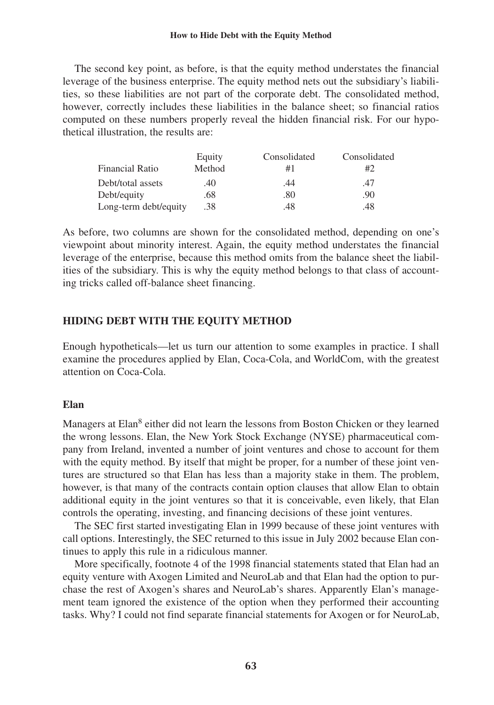#### **How to Hide Debt with the Equity Method**

The second key point, as before, is that the equity method understates the financial leverage of the business enterprise. The equity method nets out the subsidiary's liabilities, so these liabilities are not part of the corporate debt. The consolidated method, however, correctly includes these liabilities in the balance sheet; so financial ratios computed on these numbers properly reveal the hidden financial risk. For our hypothetical illustration, the results are:

|                        | Equity | Consolidated | Consolidated |
|------------------------|--------|--------------|--------------|
| <b>Financial Ratio</b> | Method | #1           | #2           |
| Debt/total assets      | .40    | .44          | .47          |
| Debt/equity            | .68    | .80          | .90          |
| Long-term debt/equity  | .38    | 48           | 48           |

As before, two columns are shown for the consolidated method, depending on one's viewpoint about minority interest. Again, the equity method understates the financial leverage of the enterprise, because this method omits from the balance sheet the liabilities of the subsidiary. This is why the equity method belongs to that class of accounting tricks called off-balance sheet financing.

#### **HIDING DEBT WITH THE EQUITY METHOD**

Enough hypotheticals—let us turn our attention to some examples in practice. I shall examine the procedures applied by Elan, Coca-Cola, and WorldCom, with the greatest attention on Coca-Cola.

#### **Elan**

Managers at Elan<sup>8</sup> either did not learn the lessons from Boston Chicken or they learned the wrong lessons. Elan, the New York Stock Exchange (NYSE) pharmaceutical company from Ireland, invented a number of joint ventures and chose to account for them with the equity method. By itself that might be proper, for a number of these joint ventures are structured so that Elan has less than a majority stake in them. The problem, however, is that many of the contracts contain option clauses that allow Elan to obtain additional equity in the joint ventures so that it is conceivable, even likely, that Elan controls the operating, investing, and financing decisions of these joint ventures.

The SEC first started investigating Elan in 1999 because of these joint ventures with call options. Interestingly, the SEC returned to this issue in July 2002 because Elan continues to apply this rule in a ridiculous manner.

More specifically, footnote 4 of the 1998 financial statements stated that Elan had an equity venture with Axogen Limited and NeuroLab and that Elan had the option to purchase the rest of Axogen's shares and NeuroLab's shares. Apparently Elan's management team ignored the existence of the option when they performed their accounting tasks. Why? I could not find separate financial statements for Axogen or for NeuroLab,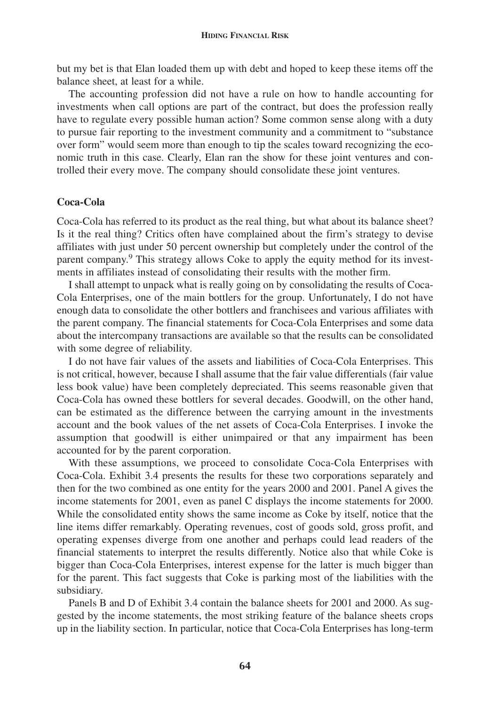but my bet is that Elan loaded them up with debt and hoped to keep these items off the balance sheet, at least for a while.

The accounting profession did not have a rule on how to handle accounting for investments when call options are part of the contract, but does the profession really have to regulate every possible human action? Some common sense along with a duty to pursue fair reporting to the investment community and a commitment to "substance over form" would seem more than enough to tip the scales toward recognizing the economic truth in this case. Clearly, Elan ran the show for these joint ventures and controlled their every move. The company should consolidate these joint ventures.

#### **Coca-Cola**

Coca-Cola has referred to its product as the real thing, but what about its balance sheet? Is it the real thing? Critics often have complained about the firm's strategy to devise affiliates with just under 50 percent ownership but completely under the control of the parent company.<sup>9</sup> This strategy allows Coke to apply the equity method for its investments in affiliates instead of consolidating their results with the mother firm.

I shall attempt to unpack what is really going on by consolidating the results of Coca-Cola Enterprises, one of the main bottlers for the group. Unfortunately, I do not have enough data to consolidate the other bottlers and franchisees and various affiliates with the parent company. The financial statements for Coca-Cola Enterprises and some data about the intercompany transactions are available so that the results can be consolidated with some degree of reliability.

I do not have fair values of the assets and liabilities of Coca-Cola Enterprises. This is not critical, however, because I shall assume that the fair value differentials (fair value less book value) have been completely depreciated. This seems reasonable given that Coca-Cola has owned these bottlers for several decades. Goodwill, on the other hand, can be estimated as the difference between the carrying amount in the investments account and the book values of the net assets of Coca-Cola Enterprises. I invoke the assumption that goodwill is either unimpaired or that any impairment has been accounted for by the parent corporation.

With these assumptions, we proceed to consolidate Coca-Cola Enterprises with Coca-Cola. Exhibit 3.4 presents the results for these two corporations separately and then for the two combined as one entity for the years 2000 and 2001. Panel A gives the income statements for 2001, even as panel C displays the income statements for 2000. While the consolidated entity shows the same income as Coke by itself, notice that the line items differ remarkably. Operating revenues, cost of goods sold, gross profit, and operating expenses diverge from one another and perhaps could lead readers of the financial statements to interpret the results differently. Notice also that while Coke is bigger than Coca-Cola Enterprises, interest expense for the latter is much bigger than for the parent. This fact suggests that Coke is parking most of the liabilities with the subsidiary.

Panels B and D of Exhibit 3.4 contain the balance sheets for 2001 and 2000. As suggested by the income statements, the most striking feature of the balance sheets crops up in the liability section. In particular, notice that Coca-Cola Enterprises has long-term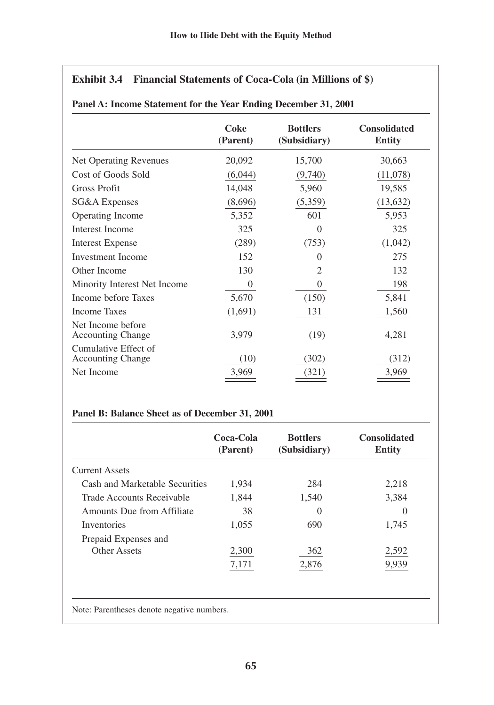| <b>Exhibit 3.4</b><br>Financial Statements of Coca-Cola (in Millions of \$) |                  |                                 |                                      |  |  |
|-----------------------------------------------------------------------------|------------------|---------------------------------|--------------------------------------|--|--|
| Panel A: Income Statement for the Year Ending December 31, 2001             |                  |                                 |                                      |  |  |
|                                                                             | Coke<br>(Parent) | <b>Bottlers</b><br>(Subsidiary) | <b>Consolidated</b><br><b>Entity</b> |  |  |
| <b>Net Operating Revenues</b>                                               | 20,092           | 15,700                          | 30,663                               |  |  |
| Cost of Goods Sold                                                          | (6,044)          | (9,740)                         | (11,078)                             |  |  |
| <b>Gross Profit</b>                                                         | 14,048           | 5,960                           | 19,585                               |  |  |
| SG&A Expenses                                                               | (8,696)          | (5,359)                         | (13, 632)                            |  |  |
| Operating Income                                                            | 5,352            | 601                             | 5,953                                |  |  |
| Interest Income                                                             | 325              | $\theta$                        | 325                                  |  |  |
| <b>Interest Expense</b>                                                     | (289)            | (753)                           | (1,042)                              |  |  |
| <b>Investment</b> Income                                                    | 152              | 0                               | 275                                  |  |  |
| Other Income                                                                | 130              | 2                               | 132                                  |  |  |
| Minority Interest Net Income                                                | $\theta$         | $\theta$                        | 198                                  |  |  |
| Income before Taxes                                                         | 5,670            | (150)                           | 5,841                                |  |  |
| <b>Income Taxes</b>                                                         | (1,691)          | 131                             | 1,560                                |  |  |
| Net Income before<br><b>Accounting Change</b>                               | 3,979            | (19)                            | 4,281                                |  |  |
| Cumulative Effect of<br>Accounting Change                                   | (10)             | (302)                           | (312)                                |  |  |
| Net Income                                                                  | 3,969            | (321)                           | 3,969                                |  |  |

# **Panel B: Balance Sheet as of December 31, 2001**

|                                | Coca-Cola<br>(Parent) | <b>Bottlers</b><br>(Subsidiary) | <b>Consolidated</b><br><b>Entity</b> |
|--------------------------------|-----------------------|---------------------------------|--------------------------------------|
| <b>Current Assets</b>          |                       |                                 |                                      |
| Cash and Marketable Securities | 1,934                 | 284                             | 2,218                                |
| Trade Accounts Receivable      | 1,844                 | 1,540                           | 3,384                                |
| Amounts Due from Affiliate     | 38                    | $\theta$                        | $\theta$                             |
| Inventories                    | 1,055                 | 690                             | 1,745                                |
| Prepaid Expenses and           |                       |                                 |                                      |
| Other Assets                   | 2,300                 | 362                             | 2,592                                |
|                                | 7,171                 | 2,876                           | 9,939                                |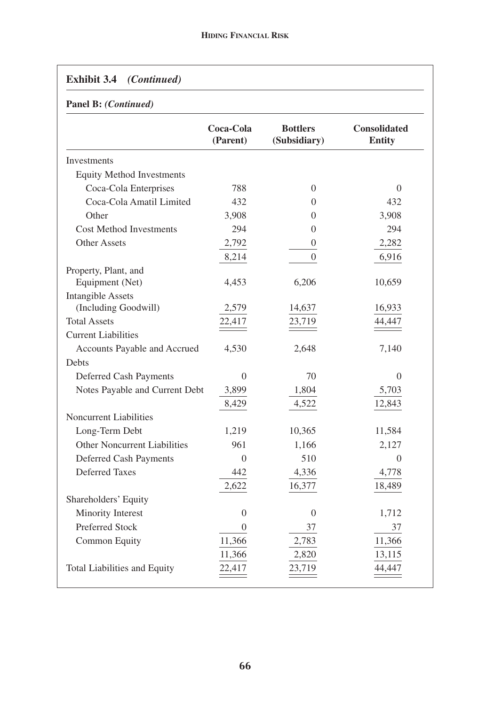#### **HIDING FINANCIAL RISK**

## **Exhibit 3.4** *(Continued)*

# **Panel B:** *(Continued)*

|                                         | Coca-Cola<br>(Parent) | <b>Bottlers</b><br>(Subsidiary) | <b>Consolidated</b><br><b>Entity</b> |
|-----------------------------------------|-----------------------|---------------------------------|--------------------------------------|
| <b>Investments</b>                      |                       |                                 |                                      |
| <b>Equity Method Investments</b>        |                       |                                 |                                      |
| Coca-Cola Enterprises                   | 788                   | $\Omega$                        | $\theta$                             |
| Coca-Cola Amatil Limited                | 432                   | $\Omega$                        | 432                                  |
| Other                                   | 3,908                 | $\Omega$                        | 3,908                                |
| <b>Cost Method Investments</b>          | 294                   | $\Omega$                        | 294                                  |
| <b>Other Assets</b>                     | 2,792                 | $\theta$                        | 2,282                                |
|                                         | 8,214                 | $\Omega$                        | 6,916                                |
| Property, Plant, and<br>Equipment (Net) | 4,453                 | 6,206                           | 10,659                               |
| <b>Intangible Assets</b>                |                       |                                 |                                      |
| (Including Goodwill)                    | 2,579                 | 14,637                          | 16,933                               |
| <b>Total Assets</b>                     | 22,417                | 23,719                          | 44,447                               |
| <b>Current Liabilities</b>              |                       |                                 |                                      |
| Accounts Payable and Accrued            | 4,530                 | 2,648                           | 7,140                                |
| Debts                                   |                       |                                 |                                      |
| Deferred Cash Payments                  | $\theta$              | 70                              | $\overline{0}$                       |
| Notes Payable and Current Debt          | 3,899                 | 1,804                           | 5,703                                |
|                                         | 8,429                 | 4,522                           | 12,843                               |
| <b>Noncurrent Liabilities</b>           |                       |                                 |                                      |
| Long-Term Debt                          | 1,219                 | 10,365                          | 11,584                               |
| Other Noncurrent Liabilities            | 961                   | 1,166                           | 2,127                                |
| Deferred Cash Payments                  | $\theta$              | 510                             | $\theta$                             |
| <b>Deferred Taxes</b>                   | 442                   | 4,336                           | 4,778                                |
|                                         | 2,622                 | 16,377                          | 18,489                               |
| Shareholders' Equity                    |                       |                                 |                                      |
| Minority Interest                       | $\theta$              | $\boldsymbol{0}$                | 1,712                                |
| <b>Preferred Stock</b>                  | $\Omega$              | 37                              | 37                                   |
| Common Equity                           | 11,366                | 2,783                           | 11,366                               |
|                                         | 11,366                | 2,820                           | 13,115                               |
| Total Liabilities and Equity            | 22,417                | 23,719                          | 44,447                               |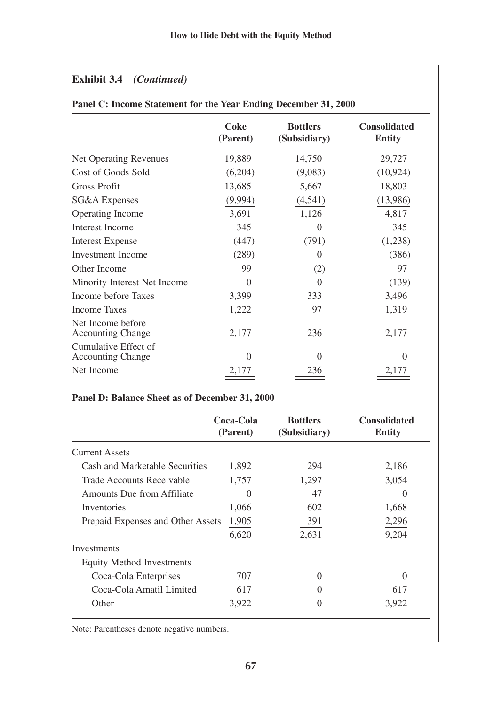# **Exhibit 3.4** *(Continued)*

# **Panel C: Income Statement for the Year Ending December 31, 2000**

|                                                  | Coke<br>(Parent) | <b>Bottlers</b><br>(Subsidiary) | <b>Consolidated</b><br><b>Entity</b> |
|--------------------------------------------------|------------------|---------------------------------|--------------------------------------|
| <b>Net Operating Revenues</b>                    | 19,889           | 14,750                          | 29,727                               |
| Cost of Goods Sold                               | (6,204)          | (9,083)                         | (10, 924)                            |
| <b>Gross Profit</b>                              | 13,685           | 5,667                           | 18,803                               |
| SG&A Expenses                                    | (9,994)          | (4,541)                         | (13,986)                             |
| <b>Operating Income</b>                          | 3,691            | 1,126                           | 4,817                                |
| <b>Interest Income</b>                           | 345              | $\Omega$                        | 345                                  |
| <b>Interest Expense</b>                          | (447)            | (791)                           | (1,238)                              |
| <b>Investment</b> Income                         | (289)            | $\Omega$                        | (386)                                |
| Other Income                                     | 99               | (2)                             | 97                                   |
| Minority Interest Net Income                     | $\theta$         | $\overline{0}$                  | (139)                                |
| Income before Taxes                              | 3,399            | 333                             | 3,496                                |
| <b>Income Taxes</b>                              | 1,222            | 97                              | 1,319                                |
| Net Income before<br><b>Accounting Change</b>    | 2,177            | 236                             | 2,177                                |
| Cumulative Effect of<br><b>Accounting Change</b> | $\Omega$         | $\theta$                        | 0                                    |
| Net Income                                       | 2,177            | 236                             | 2,177                                |

### **Panel D: Balance Sheet as of December 31, 2000**

|                                   | Coca-Cola<br>(Parent) | <b>Bottlers</b><br>(Subsidiary) | <b>Consolidated</b><br><b>Entity</b> |
|-----------------------------------|-----------------------|---------------------------------|--------------------------------------|
| <b>Current Assets</b>             |                       |                                 |                                      |
| Cash and Marketable Securities    | 1,892                 | 294                             | 2,186                                |
| Trade Accounts Receivable         | 1,757                 | 1,297                           | 3,054                                |
| Amounts Due from Affiliate        | $\Omega$              | 47                              | $\theta$                             |
| Inventories                       | 1,066                 | 602                             | 1,668                                |
| Prepaid Expenses and Other Assets | 1,905                 | 391                             | 2,296                                |
|                                   | 6,620                 | 2,631                           | 9,204                                |
| Investments                       |                       |                                 |                                      |
| <b>Equity Method Investments</b>  |                       |                                 |                                      |
| Coca-Cola Enterprises             | 707                   | $\left( \right)$                | $\left( \right)$                     |
| Coca-Cola Amatil Limited          | 617                   | $\theta$                        | 617                                  |
| Other                             | 3,922                 | 0                               | 3,922                                |

Note: Parentheses denote negative numbers.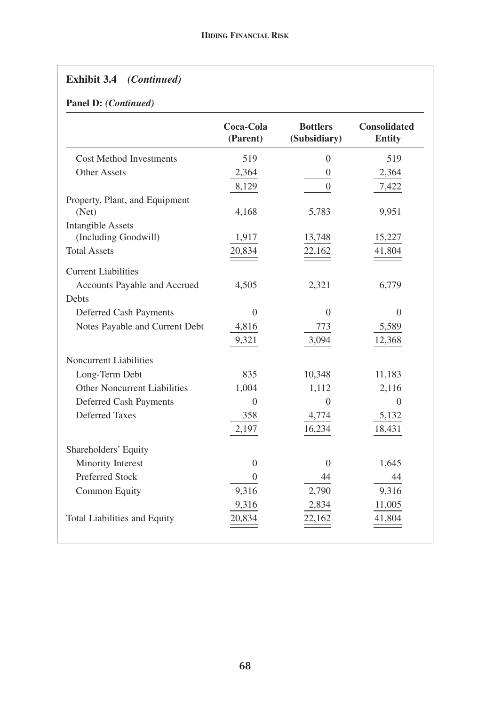# **Exhibit 3.4** *(Continued)*

# **Panel D:** *(Continued)*

|                                         | Coca-Cola<br>(Parent) | <b>Bottlers</b><br>(Subsidiary) | <b>Consolidated</b><br><b>Entity</b> |
|-----------------------------------------|-----------------------|---------------------------------|--------------------------------------|
| <b>Cost Method Investments</b>          | 519                   | $\mathbf{0}$                    | 519                                  |
| <b>Other Assets</b>                     | 2,364                 | $\overline{0}$                  | 2,364                                |
|                                         | 8,129                 | $\boldsymbol{0}$                | 7,422                                |
| Property, Plant, and Equipment<br>(Net) | 4,168                 | 5,783                           | 9,951                                |
| <b>Intangible Assets</b>                |                       |                                 |                                      |
| (Including Goodwill)                    | 1,917                 | 13,748                          | 15,227                               |
| <b>Total Assets</b>                     | 20,834                | 22,162                          | 41,804                               |
| <b>Current Liabilities</b>              |                       |                                 |                                      |
| Accounts Payable and Accrued            | 4,505                 | 2,321                           | 6,779                                |
| Debts                                   |                       |                                 |                                      |
| Deferred Cash Payments                  | $\Omega$              | $\mathbf{0}$                    | $\boldsymbol{0}$                     |
| Notes Payable and Current Debt          | 4,816                 | 773                             | 5,589                                |
|                                         | 9,321                 | 3,094                           | 12,368                               |
| Noncurrent Liabilities                  |                       |                                 |                                      |
| Long-Term Debt                          | 835                   | 10,348                          | 11,183                               |
| Other Noncurrent Liabilities            | 1,004                 | 1,112                           | 2,116                                |
| Deferred Cash Payments                  | $\Omega$              | $\Omega$                        | $\theta$                             |
| <b>Deferred Taxes</b>                   | 358                   | 4,774                           | 5,132                                |
|                                         | 2,197                 | 16,234                          | 18,431                               |
| Shareholders' Equity                    |                       |                                 |                                      |
| Minority Interest                       | $\overline{0}$        | $\overline{0}$                  | 1,645                                |
| <b>Preferred Stock</b>                  | $\Omega$              | 44                              | 44                                   |
| Common Equity                           | 9,316                 | 2,790                           | 9,316                                |
|                                         | 9,316                 | 2,834                           | 11,005                               |
| <b>Total Liabilities and Equity</b>     | 20,834                | 22,162                          | 41,804                               |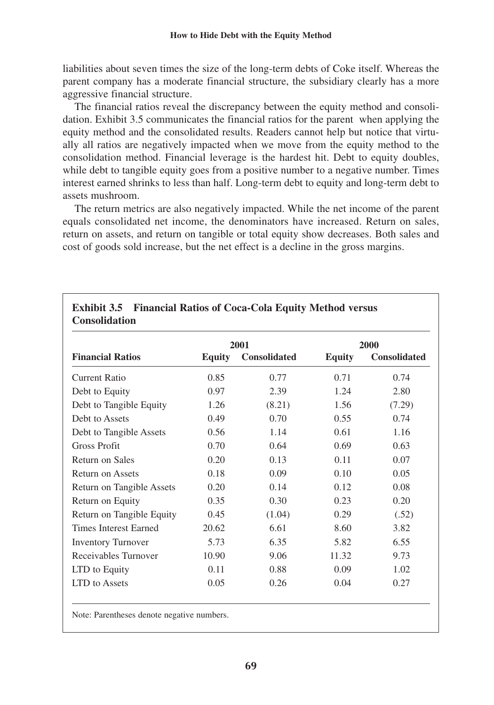liabilities about seven times the size of the long-term debts of Coke itself. Whereas the parent company has a moderate financial structure, the subsidiary clearly has a more aggressive financial structure.

The financial ratios reveal the discrepancy between the equity method and consolidation. Exhibit 3.5 communicates the financial ratios for the parent when applying the equity method and the consolidated results. Readers cannot help but notice that virtually all ratios are negatively impacted when we move from the equity method to the consolidation method. Financial leverage is the hardest hit. Debt to equity doubles, while debt to tangible equity goes from a positive number to a negative number. Times interest earned shrinks to less than half. Long-term debt to equity and long-term debt to assets mushroom.

The return metrics are also negatively impacted. While the net income of the parent equals consolidated net income, the denominators have increased. Return on sales, return on assets, and return on tangible or total equity show decreases. Both sales and cost of goods sold increase, but the net effect is a decline in the gross margins.

|                              |               | 2001                |               | 2000                |  |
|------------------------------|---------------|---------------------|---------------|---------------------|--|
| <b>Financial Ratios</b>      | <b>Equity</b> | <b>Consolidated</b> | <b>Equity</b> | <b>Consolidated</b> |  |
| <b>Current Ratio</b>         | 0.85          | 0.77                | 0.71          | 0.74                |  |
| Debt to Equity               | 0.97          | 2.39                | 1.24          | 2.80                |  |
| Debt to Tangible Equity      | 1.26          | (8.21)              | 1.56          | (7.29)              |  |
| Debt to Assets               | 0.49          | 0.70                | 0.55          | 0.74                |  |
| Debt to Tangible Assets      | 0.56          | 1.14                | 0.61          | 1.16                |  |
| <b>Gross Profit</b>          | 0.70          | 0.64                | 0.69          | 0.63                |  |
| Return on Sales              | 0.20          | 0.13                | 0.11          | 0.07                |  |
| <b>Return on Assets</b>      | 0.18          | 0.09                | 0.10          | 0.05                |  |
| Return on Tangible Assets    | 0.20          | 0.14                | 0.12          | 0.08                |  |
| Return on Equity             | 0.35          | 0.30                | 0.23          | 0.20                |  |
| Return on Tangible Equity    | 0.45          | (1.04)              | 0.29          | (.52)               |  |
| <b>Times Interest Earned</b> | 20.62         | 6.61                | 8.60          | 3.82                |  |
| <b>Inventory Turnover</b>    | 5.73          | 6.35                | 5.82          | 6.55                |  |
| Receivables Turnover         | 10.90         | 9.06                | 11.32         | 9.73                |  |
| LTD to Equity                | 0.11          | 0.88                | 0.09          | 1.02                |  |
| LTD to Assets                | 0.05          | 0.26                | 0.04          | 0.27                |  |

#### **Exhibit 3.5 Financial Ratios of Coca-Cola Equity Method versus Consolidation**

Note: Parentheses denote negative numbers.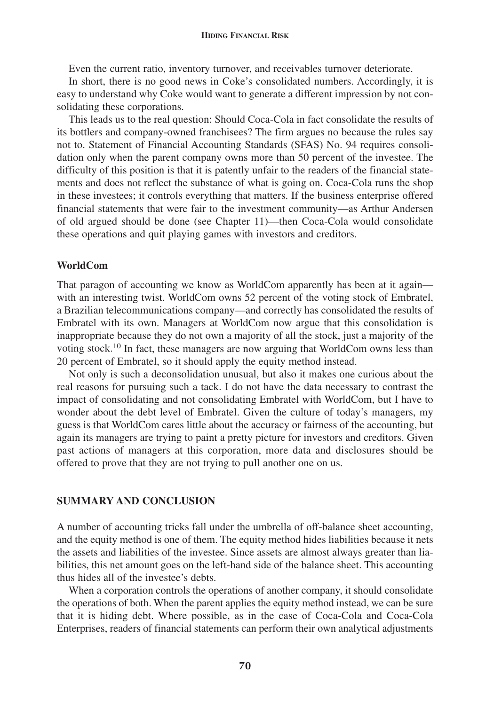Even the current ratio, inventory turnover, and receivables turnover deteriorate.

In short, there is no good news in Coke's consolidated numbers. Accordingly, it is easy to understand why Coke would want to generate a different impression by not consolidating these corporations.

This leads us to the real question: Should Coca-Cola in fact consolidate the results of its bottlers and company-owned franchisees? The firm argues no because the rules say not to. Statement of Financial Accounting Standards (SFAS) No. 94 requires consolidation only when the parent company owns more than 50 percent of the investee. The difficulty of this position is that it is patently unfair to the readers of the financial statements and does not reflect the substance of what is going on. Coca-Cola runs the shop in these investees; it controls everything that matters. If the business enterprise offered financial statements that were fair to the investment community—as Arthur Andersen of old argued should be done (see Chapter 11)—then Coca-Cola would consolidate these operations and quit playing games with investors and creditors.

#### **WorldCom**

That paragon of accounting we know as WorldCom apparently has been at it again with an interesting twist. WorldCom owns 52 percent of the voting stock of Embratel, a Brazilian telecommunications company—and correctly has consolidated the results of Embratel with its own. Managers at WorldCom now argue that this consolidation is inappropriate because they do not own a majority of all the stock, just a majority of the voting stock.10 In fact, these managers are now arguing that WorldCom owns less than 20 percent of Embratel, so it should apply the equity method instead.

Not only is such a deconsolidation unusual, but also it makes one curious about the real reasons for pursuing such a tack. I do not have the data necessary to contrast the impact of consolidating and not consolidating Embratel with WorldCom, but I have to wonder about the debt level of Embratel. Given the culture of today's managers, my guess is that WorldCom cares little about the accuracy or fairness of the accounting, but again its managers are trying to paint a pretty picture for investors and creditors. Given past actions of managers at this corporation, more data and disclosures should be offered to prove that they are not trying to pull another one on us.

#### **SUMMARY AND CONCLUSION**

A number of accounting tricks fall under the umbrella of off-balance sheet accounting, and the equity method is one of them. The equity method hides liabilities because it nets the assets and liabilities of the investee. Since assets are almost always greater than liabilities, this net amount goes on the left-hand side of the balance sheet. This accounting thus hides all of the investee's debts.

When a corporation controls the operations of another company, it should consolidate the operations of both. When the parent applies the equity method instead, we can be sure that it is hiding debt. Where possible, as in the case of Coca-Cola and Coca-Cola Enterprises, readers of financial statements can perform their own analytical adjustments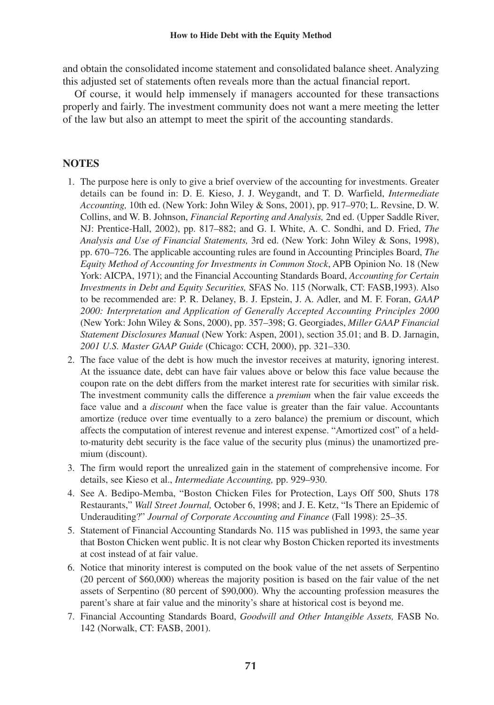and obtain the consolidated income statement and consolidated balance sheet. Analyzing this adjusted set of statements often reveals more than the actual financial report.

Of course, it would help immensely if managers accounted for these transactions properly and fairly. The investment community does not want a mere meeting the letter of the law but also an attempt to meet the spirit of the accounting standards.

### **NOTES**

- 1. The purpose here is only to give a brief overview of the accounting for investments. Greater details can be found in: D. E. Kieso, J. J. Weygandt, and T. D. Warfield, *Intermediate Accounting,* 10th ed. (New York: John Wiley & Sons, 2001), pp. 917–970; L. Revsine, D. W. Collins, and W. B. Johnson, *Financial Reporting and Analysis,* 2nd ed. (Upper Saddle River, NJ: Prentice-Hall, 2002), pp. 817–882; and G. I. White, A. C. Sondhi, and D. Fried, *The Analysis and Use of Financial Statements,* 3rd ed. (New York: John Wiley & Sons, 1998), pp. 670–726. The applicable accounting rules are found in Accounting Principles Board, *The Equity Method of Accounting for Investments in Common Stock*, APB Opinion No. 18 (New York: AICPA, 1971); and the Financial Accounting Standards Board, *Accounting for Certain Investments in Debt and Equity Securities,* SFAS No. 115 (Norwalk, CT: FASB,1993). Also to be recommended are: P. R. Delaney, B. J. Epstein, J. A. Adler, and M. F. Foran, *GAAP 2000: Interpretation and Application of Generally Accepted Accounting Principles 2000* (New York: John Wiley & Sons, 2000), pp. 357–398; G. Georgiades, *Miller GAAP Financial Statement Disclosures Manual* (New York: Aspen, 2001), section 35.01; and B. D. Jarnagin, *2001 U.S. Master GAAP Guide* (Chicago: CCH, 2000), pp. 321–330.
- 2. The face value of the debt is how much the investor receives at maturity, ignoring interest. At the issuance date, debt can have fair values above or below this face value because the coupon rate on the debt differs from the market interest rate for securities with similar risk. The investment community calls the difference a *premium* when the fair value exceeds the face value and a *discount* when the face value is greater than the fair value. Accountants amortize (reduce over time eventually to a zero balance) the premium or discount, which affects the computation of interest revenue and interest expense. "Amortized cost" of a heldto-maturity debt security is the face value of the security plus (minus) the unamortized premium (discount).
- 3. The firm would report the unrealized gain in the statement of comprehensive income. For details, see Kieso et al., *Intermediate Accounting,* pp. 929–930.
- 4. See A. Bedipo-Memba, "Boston Chicken Files for Protection, Lays Off 500, Shuts 178 Restaurants," *Wall Street Journal,* October 6, 1998; and J. E. Ketz, "Is There an Epidemic of Underauditing?" *Journal of Corporate Accounting and Finance* (Fall 1998): 25–35.
- 5. Statement of Financial Accounting Standards No. 115 was published in 1993, the same year that Boston Chicken went public. It is not clear why Boston Chicken reported its investments at cost instead of at fair value.
- 6. Notice that minority interest is computed on the book value of the net assets of Serpentino (20 percent of \$60,000) whereas the majority position is based on the fair value of the net assets of Serpentino (80 percent of \$90,000). Why the accounting profession measures the parent's share at fair value and the minority's share at historical cost is beyond me.
- 7. Financial Accounting Standards Board, *Goodwill and Other Intangible Assets,* FASB No. 142 (Norwalk, CT: FASB, 2001).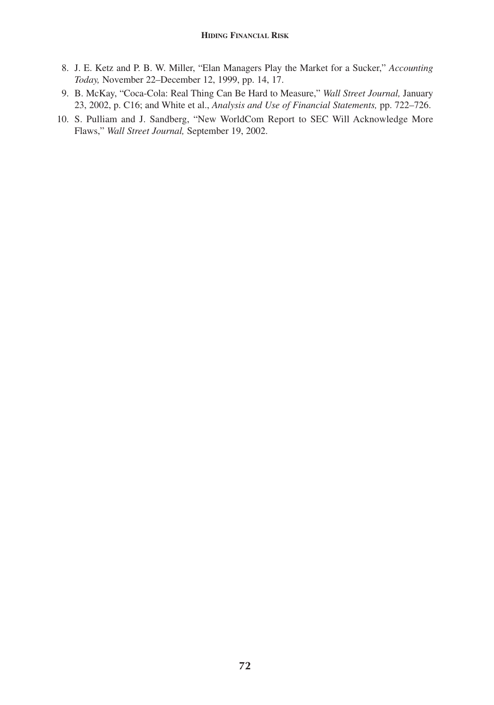- 8. J. E. Ketz and P. B. W. Miller, "Elan Managers Play the Market for a Sucker," *Accounting Today,* November 22–December 12, 1999, pp. 14, 17.
- 9. B. McKay, "Coca-Cola: Real Thing Can Be Hard to Measure," *Wall Street Journal,* January 23, 2002, p. C16; and White et al., *Analysis and Use of Financial Statements,* pp. 722–726.
- 10. S. Pulliam and J. Sandberg, "New WorldCom Report to SEC Will Acknowledge More Flaws," *Wall Street Journal,* September 19, 2002.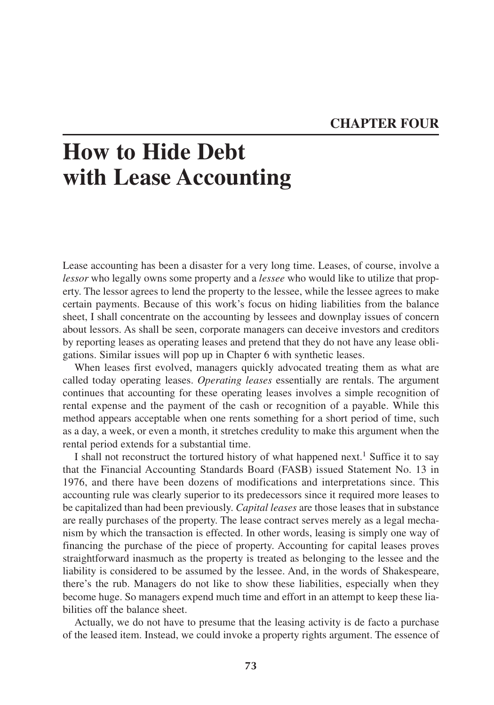# **How to Hide Debt with Lease Accounting**

Lease accounting has been a disaster for a very long time. Leases, of course, involve a *lessor* who legally owns some property and a *lessee* who would like to utilize that property. The lessor agrees to lend the property to the lessee, while the lessee agrees to make certain payments. Because of this work's focus on hiding liabilities from the balance sheet, I shall concentrate on the accounting by lessees and downplay issues of concern about lessors. As shall be seen, corporate managers can deceive investors and creditors by reporting leases as operating leases and pretend that they do not have any lease obligations. Similar issues will pop up in Chapter 6 with synthetic leases.

When leases first evolved, managers quickly advocated treating them as what are called today operating leases. *Operating leases* essentially are rentals. The argument continues that accounting for these operating leases involves a simple recognition of rental expense and the payment of the cash or recognition of a payable. While this method appears acceptable when one rents something for a short period of time, such as a day, a week, or even a month, it stretches credulity to make this argument when the rental period extends for a substantial time.

I shall not reconstruct the tortured history of what happened next.<sup>1</sup> Suffice it to say that the Financial Accounting Standards Board (FASB) issued Statement No. 13 in 1976, and there have been dozens of modifications and interpretations since. This accounting rule was clearly superior to its predecessors since it required more leases to be capitalized than had been previously. *Capital leases* are those leases that in substance are really purchases of the property. The lease contract serves merely as a legal mechanism by which the transaction is effected. In other words, leasing is simply one way of financing the purchase of the piece of property. Accounting for capital leases proves straightforward inasmuch as the property is treated as belonging to the lessee and the liability is considered to be assumed by the lessee. And, in the words of Shakespeare, there's the rub. Managers do not like to show these liabilities, especially when they become huge. So managers expend much time and effort in an attempt to keep these liabilities off the balance sheet.

Actually, we do not have to presume that the leasing activity is de facto a purchase of the leased item. Instead, we could invoke a property rights argument. The essence of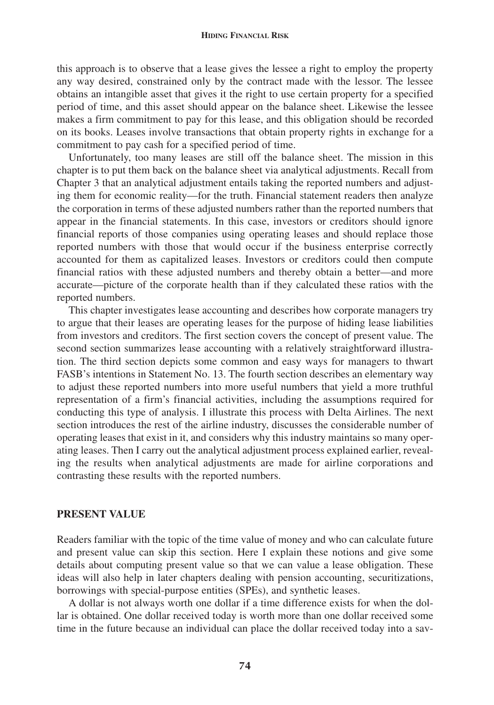this approach is to observe that a lease gives the lessee a right to employ the property any way desired, constrained only by the contract made with the lessor. The lessee obtains an intangible asset that gives it the right to use certain property for a specified period of time, and this asset should appear on the balance sheet. Likewise the lessee makes a firm commitment to pay for this lease, and this obligation should be recorded on its books. Leases involve transactions that obtain property rights in exchange for a commitment to pay cash for a specified period of time.

Unfortunately, too many leases are still off the balance sheet. The mission in this chapter is to put them back on the balance sheet via analytical adjustments. Recall from Chapter 3 that an analytical adjustment entails taking the reported numbers and adjusting them for economic reality—for the truth. Financial statement readers then analyze the corporation in terms of these adjusted numbers rather than the reported numbers that appear in the financial statements. In this case, investors or creditors should ignore financial reports of those companies using operating leases and should replace those reported numbers with those that would occur if the business enterprise correctly accounted for them as capitalized leases. Investors or creditors could then compute financial ratios with these adjusted numbers and thereby obtain a better—and more accurate—picture of the corporate health than if they calculated these ratios with the reported numbers.

This chapter investigates lease accounting and describes how corporate managers try to argue that their leases are operating leases for the purpose of hiding lease liabilities from investors and creditors. The first section covers the concept of present value. The second section summarizes lease accounting with a relatively straightforward illustration. The third section depicts some common and easy ways for managers to thwart FASB's intentions in Statement No. 13. The fourth section describes an elementary way to adjust these reported numbers into more useful numbers that yield a more truthful representation of a firm's financial activities, including the assumptions required for conducting this type of analysis. I illustrate this process with Delta Airlines. The next section introduces the rest of the airline industry, discusses the considerable number of operating leases that exist in it, and considers why this industry maintains so many operating leases. Then I carry out the analytical adjustment process explained earlier, revealing the results when analytical adjustments are made for airline corporations and contrasting these results with the reported numbers.

#### **PRESENT VALUE**

Readers familiar with the topic of the time value of money and who can calculate future and present value can skip this section. Here I explain these notions and give some details about computing present value so that we can value a lease obligation. These ideas will also help in later chapters dealing with pension accounting, securitizations, borrowings with special-purpose entities (SPEs), and synthetic leases.

A dollar is not always worth one dollar if a time difference exists for when the dollar is obtained. One dollar received today is worth more than one dollar received some time in the future because an individual can place the dollar received today into a sav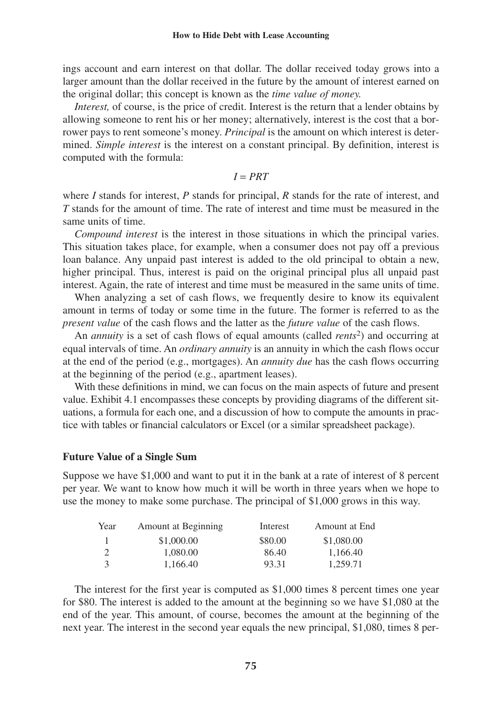ings account and earn interest on that dollar. The dollar received today grows into a larger amount than the dollar received in the future by the amount of interest earned on the original dollar; this concept is known as the *time value of money.*

*Interest,* of course, is the price of credit. Interest is the return that a lender obtains by allowing someone to rent his or her money; alternatively, interest is the cost that a borrower pays to rent someone's money. *Principal* is the amount on which interest is determined. *Simple interest* is the interest on a constant principal. By definition, interest is computed with the formula:

 $I = PRT$ 

where *I* stands for interest, *P* stands for principal, *R* stands for the rate of interest, and *T* stands for the amount of time. The rate of interest and time must be measured in the same units of time.

*Compound interest* is the interest in those situations in which the principal varies. This situation takes place, for example, when a consumer does not pay off a previous loan balance. Any unpaid past interest is added to the old principal to obtain a new, higher principal. Thus, interest is paid on the original principal plus all unpaid past interest. Again, the rate of interest and time must be measured in the same units of time.

When analyzing a set of cash flows, we frequently desire to know its equivalent amount in terms of today or some time in the future. The former is referred to as the *present value* of the cash flows and the latter as the *future value* of the cash flows.

An *annuity* is a set of cash flows of equal amounts (called *rents*2) and occurring at equal intervals of time. An *ordinary annuity* is an annuity in which the cash flows occur at the end of the period (e.g., mortgages). An *annuity due* has the cash flows occurring at the beginning of the period (e.g., apartment leases).

With these definitions in mind, we can focus on the main aspects of future and present value. Exhibit 4.1 encompasses these concepts by providing diagrams of the different situations, a formula for each one, and a discussion of how to compute the amounts in practice with tables or financial calculators or Excel (or a similar spreadsheet package).

#### **Future Value of a Single Sum**

Suppose we have \$1,000 and want to put it in the bank at a rate of interest of 8 percent per year. We want to know how much it will be worth in three years when we hope to use the money to make some purchase. The principal of \$1,000 grows in this way.

| Year          | Amount at Beginning | Interest | Amount at End |
|---------------|---------------------|----------|---------------|
|               | \$1,000.00          | \$80.00  | \$1,080.00    |
|               | 1.080.00            | 86.40    | 1.166.40      |
| $\mathcal{R}$ | 1.166.40            | 93.31    | 1.259.71      |

The interest for the first year is computed as \$1,000 times 8 percent times one year for \$80. The interest is added to the amount at the beginning so we have \$1,080 at the end of the year. This amount, of course, becomes the amount at the beginning of the next year. The interest in the second year equals the new principal, \$1,080, times 8 per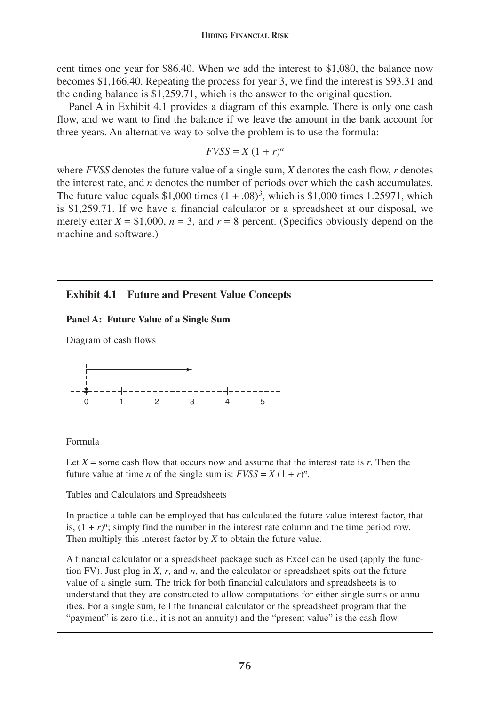cent times one year for \$86.40. When we add the interest to \$1,080, the balance now becomes \$1,166.40. Repeating the process for year 3, we find the interest is \$93.31 and the ending balance is \$1,259.71, which is the answer to the original question.

Panel A in Exhibit 4.1 provides a diagram of this example. There is only one cash flow, and we want to find the balance if we leave the amount in the bank account for three years. An alternative way to solve the problem is to use the formula:

$$
FVSS = X (1 + r)^n
$$

where *FVSS* denotes the future value of a single sum, *X* denotes the cash flow, *r* denotes the interest rate, and *n* denotes the number of periods over which the cash accumulates. The future value equals  $$1,000$  times  $(1 + .08)^3$ , which is  $$1,000$  times 1.25971, which is \$1,259.71. If we have a financial calculator or a spreadsheet at our disposal, we merely enter  $X = $1,000$ ,  $n = 3$ , and  $r = 8$  percent. (Specifics obviously depend on the machine and software.)



Let  $X =$  some cash flow that occurs now and assume that the interest rate is  $r$ . Then the future value at time *n* of the single sum is:  $FVSS = X(1 + r)^n$ .

Tables and Calculators and Spreadsheets

In practice a table can be employed that has calculated the future value interest factor, that is,  $(1 + r)^n$ ; simply find the number in the interest rate column and the time period row. Then multiply this interest factor by *X* to obtain the future value.

A financial calculator or a spreadsheet package such as Excel can be used (apply the function FV). Just plug in *X*, *r*, and *n*, and the calculator or spreadsheet spits out the future value of a single sum. The trick for both financial calculators and spreadsheets is to understand that they are constructed to allow computations for either single sums or annuities. For a single sum, tell the financial calculator or the spreadsheet program that the "payment" is zero (i.e., it is not an annuity) and the "present value" is the cash flow.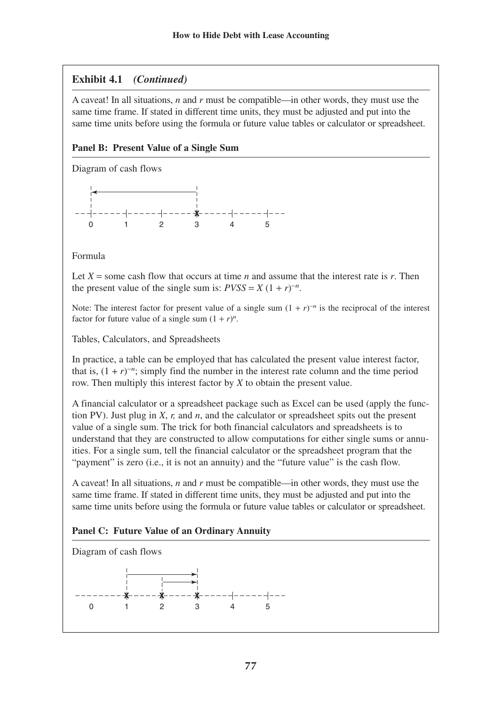# **Exhibit 4.1** *(Continued)*

A caveat! In all situations, *n* and *r* must be compatible—in other words, they must use the same time frame. If stated in different time units, they must be adjusted and put into the same time units before using the formula or future value tables or calculator or spreadsheet.

### **Panel B: Present Value of a Single Sum**

Diagram of cash flows



Formula

Let  $X =$  some cash flow that occurs at time *n* and assume that the interest rate is *r*. Then the present value of the single sum is:  $PVSS = X(1 + r)^{-n}$ .

Note: The interest factor for present value of a single sum  $(1 + r)^{-n}$  is the reciprocal of the interest factor for future value of a single sum  $(1 + r)^n$ .

Tables, Calculators, and Spreadsheets

In practice, a table can be employed that has calculated the present value interest factor, that is,  $(1 + r)^{-n}$ ; simply find the number in the interest rate column and the time period row. Then multiply this interest factor by *X* to obtain the present value.

A financial calculator or a spreadsheet package such as Excel can be used (apply the function PV). Just plug in *X*, *r,* and *n*, and the calculator or spreadsheet spits out the present value of a single sum. The trick for both financial calculators and spreadsheets is to understand that they are constructed to allow computations for either single sums or annuities. For a single sum, tell the financial calculator or the spreadsheet program that the "payment" is zero (i.e., it is not an annuity) and the "future value" is the cash flow.

A caveat! In all situations, *n* and *r* must be compatible—in other words, they must use the same time frame. If stated in different time units, they must be adjusted and put into the same time units before using the formula or future value tables or calculator or spreadsheet.

### **Panel C: Future Value of an Ordinary Annuity**

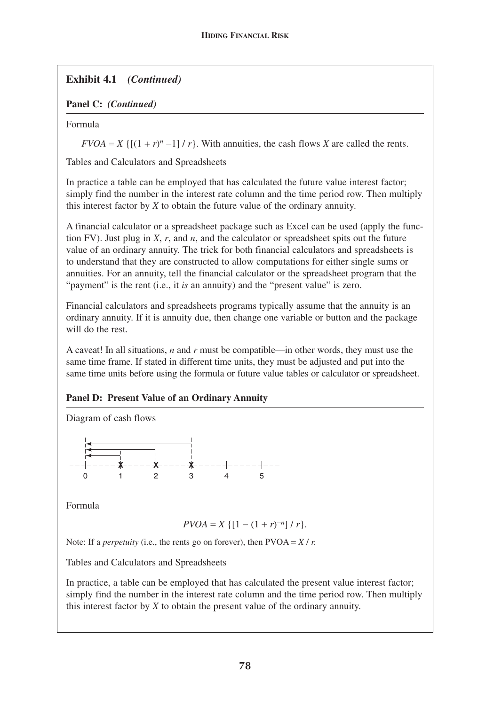# **Exhibit 4.1** *(Continued)*

# **Panel C:** *(Continued)*

Formula

 $FVOA = X \{[(1 + r)^n -1] / r\}$ . With annuities, the cash flows *X* are called the rents.

Tables and Calculators and Spreadsheets

In practice a table can be employed that has calculated the future value interest factor; simply find the number in the interest rate column and the time period row. Then multiply this interest factor by *X* to obtain the future value of the ordinary annuity.

A financial calculator or a spreadsheet package such as Excel can be used (apply the function FV). Just plug in *X*, *r*, and *n*, and the calculator or spreadsheet spits out the future value of an ordinary annuity. The trick for both financial calculators and spreadsheets is to understand that they are constructed to allow computations for either single sums or annuities. For an annuity, tell the financial calculator or the spreadsheet program that the "payment" is the rent (i.e., it *is* an annuity) and the "present value" is zero.

Financial calculators and spreadsheets programs typically assume that the annuity is an ordinary annuity. If it is annuity due, then change one variable or button and the package will do the rest.

A caveat! In all situations, *n* and *r* must be compatible—in other words, they must use the same time frame. If stated in different time units, they must be adjusted and put into the same time units before using the formula or future value tables or calculator or spreadsheet.

# **Panel D: Present Value of an Ordinary Annuity**

Diagram of cash flows



Formula

$$
PVOA = X \{ [1 - (1 + r)^{-n}] / r \}.
$$

Note: If a *perpetuity* (i.e., the rents go on forever), then  $PVOA = X / r$ .

Tables and Calculators and Spreadsheets

In practice, a table can be employed that has calculated the present value interest factor; simply find the number in the interest rate column and the time period row. Then multiply this interest factor by *X* to obtain the present value of the ordinary annuity.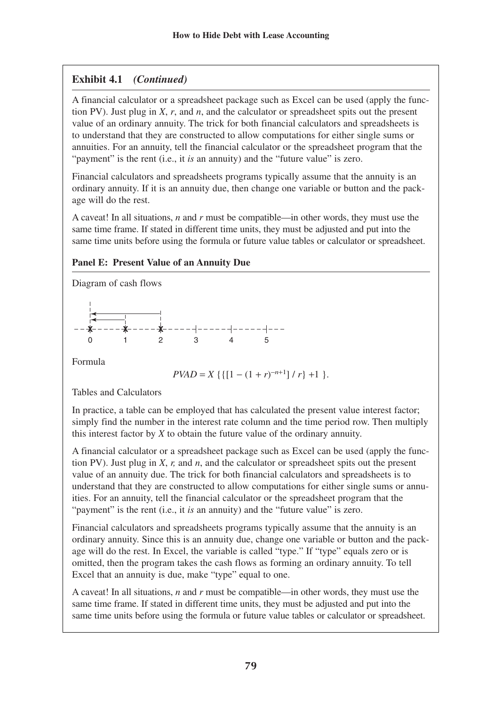# **Exhibit 4.1** *(Continued)*

A financial calculator or a spreadsheet package such as Excel can be used (apply the function PV). Just plug in *X*, *r*, and *n*, and the calculator or spreadsheet spits out the present value of an ordinary annuity. The trick for both financial calculators and spreadsheets is to understand that they are constructed to allow computations for either single sums or annuities. For an annuity, tell the financial calculator or the spreadsheet program that the "payment" is the rent (i.e., it *is* an annuity) and the "future value" is zero.

Financial calculators and spreadsheets programs typically assume that the annuity is an ordinary annuity. If it is an annuity due, then change one variable or button and the package will do the rest.

A caveat! In all situations, *n* and *r* must be compatible—in other words, they must use the same time frame. If stated in different time units, they must be adjusted and put into the same time units before using the formula or future value tables or calculator or spreadsheet.

#### **Panel E: Present Value of an Annuity Due**





Formula

 $PVAD = X \{ \{ [1 - (1 + r)^{-n+1}] / r \} + 1 \}.$ 

Tables and Calculators

In practice, a table can be employed that has calculated the present value interest factor; simply find the number in the interest rate column and the time period row. Then multiply this interest factor by *X* to obtain the future value of the ordinary annuity.

A financial calculator or a spreadsheet package such as Excel can be used (apply the function PV). Just plug in *X*, *r,* and *n*, and the calculator or spreadsheet spits out the present value of an annuity due. The trick for both financial calculators and spreadsheets is to understand that they are constructed to allow computations for either single sums or annuities. For an annuity, tell the financial calculator or the spreadsheet program that the "payment" is the rent (i.e., it *is* an annuity) and the "future value" is zero.

Financial calculators and spreadsheets programs typically assume that the annuity is an ordinary annuity. Since this is an annuity due, change one variable or button and the package will do the rest. In Excel, the variable is called "type." If "type" equals zero or is omitted, then the program takes the cash flows as forming an ordinary annuity. To tell Excel that an annuity is due, make "type" equal to one.

A caveat! In all situations, *n* and *r* must be compatible—in other words, they must use the same time frame. If stated in different time units, they must be adjusted and put into the same time units before using the formula or future value tables or calculator or spreadsheet.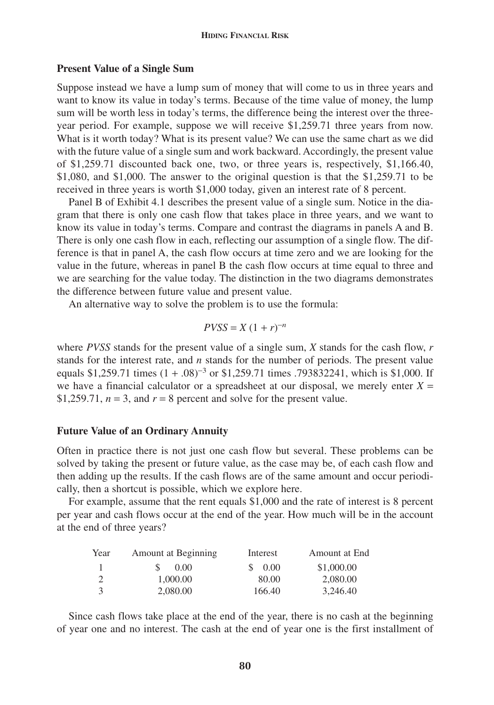#### **Present Value of a Single Sum**

Suppose instead we have a lump sum of money that will come to us in three years and want to know its value in today's terms. Because of the time value of money, the lump sum will be worth less in today's terms, the difference being the interest over the threeyear period. For example, suppose we will receive \$1,259.71 three years from now. What is it worth today? What is its present value? We can use the same chart as we did with the future value of a single sum and work backward. Accordingly, the present value of \$1,259.71 discounted back one, two, or three years is, respectively, \$1,166.40, \$1,080, and \$1,000. The answer to the original question is that the \$1,259.71 to be received in three years is worth \$1,000 today, given an interest rate of 8 percent.

Panel B of Exhibit 4.1 describes the present value of a single sum. Notice in the diagram that there is only one cash flow that takes place in three years, and we want to know its value in today's terms. Compare and contrast the diagrams in panels A and B. There is only one cash flow in each, reflecting our assumption of a single flow. The difference is that in panel A, the cash flow occurs at time zero and we are looking for the value in the future, whereas in panel B the cash flow occurs at time equal to three and we are searching for the value today. The distinction in the two diagrams demonstrates the difference between future value and present value.

An alternative way to solve the problem is to use the formula:

$$
PVSS = X (1 + r)^{-n}
$$

where *PVSS* stands for the present value of a single sum, *X* stands for the cash flow, *r* stands for the interest rate, and *n* stands for the number of periods. The present value equals \$1,259.71 times  $(1 + .08)^{-3}$  or \$1,259.71 times .793832241, which is \$1,000. If we have a financial calculator or a spreadsheet at our disposal, we merely enter  $X =$ \$1,259.71,  $n = 3$ , and  $r = 8$  percent and solve for the present value.

#### **Future Value of an Ordinary Annuity**

Often in practice there is not just one cash flow but several. These problems can be solved by taking the present or future value, as the case may be, of each cash flow and then adding up the results. If the cash flows are of the same amount and occur periodically, then a shortcut is possible, which we explore here.

For example, assume that the rent equals \$1,000 and the rate of interest is 8 percent per year and cash flows occur at the end of the year. How much will be in the account at the end of three years?

| Year          | Amount at Beginning | Interest | Amount at End |
|---------------|---------------------|----------|---------------|
|               | 0.00<br>SS.         | \$0.00   | \$1,000.00    |
|               | 1,000.00            | 80.00    | 2.080.00      |
| $\mathcal{R}$ | 2.080.00            | 166.40   | 3,246.40      |

Since cash flows take place at the end of the year, there is no cash at the beginning of year one and no interest. The cash at the end of year one is the first installment of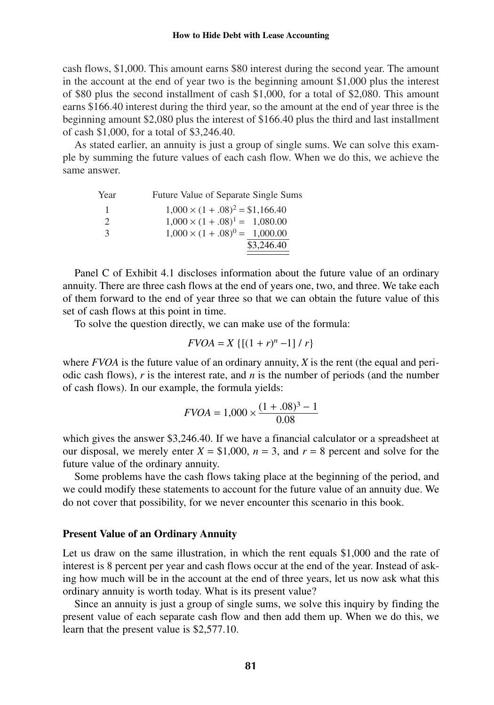cash flows, \$1,000. This amount earns \$80 interest during the second year. The amount in the account at the end of year two is the beginning amount \$1,000 plus the interest of \$80 plus the second installment of cash \$1,000, for a total of \$2,080. This amount earns \$166.40 interest during the third year, so the amount at the end of year three is the beginning amount \$2,080 plus the interest of \$166.40 plus the third and last installment of cash \$1,000, for a total of \$3,246.40.

As stated earlier, an annuity is just a group of single sums. We can solve this example by summing the future values of each cash flow. When we do this, we achieve the same answer.

| Year                        | Future Value of Separate Single Sums   |
|-----------------------------|----------------------------------------|
|                             | $1,000 \times (1 + .08)^2 = $1,166.40$ |
| $\mathcal{D}_{\mathcal{L}}$ | $1,000 \times (1+.08)^{1} = 1,080.00$  |
| 3                           | $1,000 \times (1+.08)^0 = 1,000.00$    |
|                             | \$3,246.40                             |
|                             |                                        |

Panel C of Exhibit 4.1 discloses information about the future value of an ordinary annuity. There are three cash flows at the end of years one, two, and three. We take each of them forward to the end of year three so that we can obtain the future value of this set of cash flows at this point in time.

To solve the question directly, we can make use of the formula:

$$
FVOA = X \{ [(1 + r)^n - 1] / r \}
$$

where *FVOA* is the future value of an ordinary annuity, *X* is the rent (the equal and periodic cash flows),  $r$  is the interest rate, and  $n$  is the number of periods (and the number of cash flows). In our example, the formula yields:

$$
FVOA = 1,000 \times \frac{(1 + .08)^3 - 1}{0.08}
$$

which gives the answer \$3,246.40. If we have a financial calculator or a spreadsheet at our disposal, we merely enter  $X = $1,000$ ,  $n = 3$ , and  $r = 8$  percent and solve for the future value of the ordinary annuity.

Some problems have the cash flows taking place at the beginning of the period, and we could modify these statements to account for the future value of an annuity due. We do not cover that possibility, for we never encounter this scenario in this book.

#### **Present Value of an Ordinary Annuity**

Let us draw on the same illustration, in which the rent equals \$1,000 and the rate of interest is 8 percent per year and cash flows occur at the end of the year. Instead of asking how much will be in the account at the end of three years, let us now ask what this ordinary annuity is worth today. What is its present value?

Since an annuity is just a group of single sums, we solve this inquiry by finding the present value of each separate cash flow and then add them up. When we do this, we learn that the present value is \$2,577.10.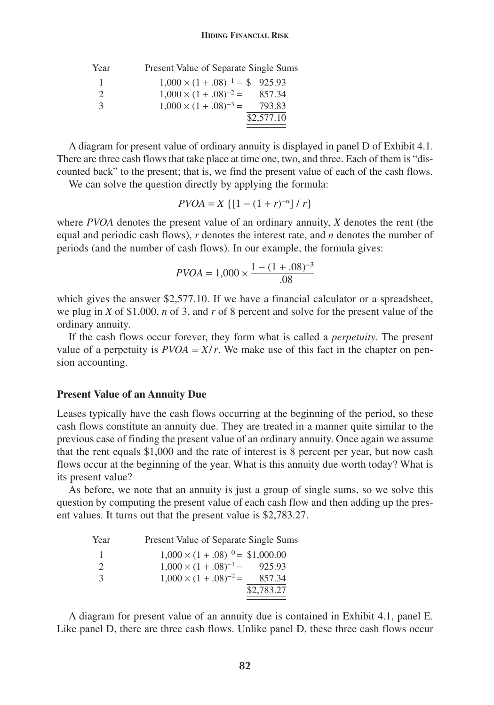| Year          | Present Value of Separate Single Sums   |  |
|---------------|-----------------------------------------|--|
|               | $1,000 \times (1+.08)^{-1} = $925.93$   |  |
| $\mathcal{L}$ | $1,000 \times (1+.08)^{-2} =$<br>857.34 |  |
| $\mathcal{L}$ | $1,000 \times (1+.08)^{-3} =$<br>793.83 |  |
|               | \$2,577.10                              |  |

A diagram for present value of ordinary annuity is displayed in panel D of Exhibit 4.1. There are three cash flows that take place at time one, two, and three. Each of them is "discounted back" to the present; that is, we find the present value of each of the cash flows.

We can solve the question directly by applying the formula:

$$
PVOA = X \{ [1 - (1 + r)^{-n}] / r \}
$$

where *PVOA* denotes the present value of an ordinary annuity, *X* denotes the rent (the equal and periodic cash flows), *r* denotes the interest rate, and *n* denotes the number of periods (and the number of cash flows). In our example, the formula gives:

$$
PVOA = 1,000 \times \frac{1 - (1 + .08)^{-3}}{.08}
$$

which gives the answer \$2,577.10. If we have a financial calculator or a spreadsheet, we plug in *X* of \$1,000, *n* of 3, and *r* of 8 percent and solve for the present value of the ordinary annuity.

If the cash flows occur forever, they form what is called a *perpetuity*. The present value of a perpetuity is  $PVOA = X/r$ . We make use of this fact in the chapter on pension accounting.

#### **Present Value of an Annuity Due**

Leases typically have the cash flows occurring at the beginning of the period, so these cash flows constitute an annuity due. They are treated in a manner quite similar to the previous case of finding the present value of an ordinary annuity. Once again we assume that the rent equals \$1,000 and the rate of interest is 8 percent per year, but now cash flows occur at the beginning of the year. What is this annuity due worth today? What is its present value?

As before, we note that an annuity is just a group of single sums, so we solve this question by computing the present value of each cash flow and then adding up the present values. It turns out that the present value is \$2,783.27.

| Year          | Present Value of Separate Single Sums   |
|---------------|-----------------------------------------|
|               | $1,000 \times (1+.08)^{-0} = $1,000.00$ |
| $\mathcal{L}$ | $1,000 \times (1+.08)^{-1} =$<br>925.93 |
| $\mathcal{R}$ | $1,000 \times (1+.08)^{-2}$ =<br>857.34 |
|               | \$2,783.27                              |

A diagram for present value of an annuity due is contained in Exhibit 4.1, panel E. Like panel D, there are three cash flows. Unlike panel D, these three cash flows occur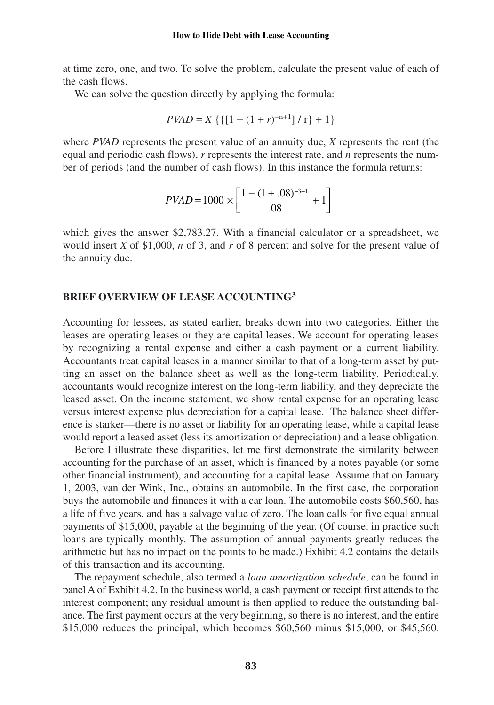at time zero, one, and two. To solve the problem, calculate the present value of each of the cash flows.

We can solve the question directly by applying the formula:

$$
PVAD = X \{ \{ [1 - (1 + r)^{-n+1}] / r \} + 1 \}
$$

where *PVAD* represents the present value of an annuity due, *X* represents the rent (the equal and periodic cash flows), *r* represents the interest rate, and *n* represents the number of periods (and the number of cash flows). In this instance the formula returns:

$$
PVAD = 1000 \times \left[ \frac{1 - (1 + .08)^{-3+1}}{.08} + 1 \right]
$$

which gives the answer \$2,783.27. With a financial calculator or a spreadsheet, we would insert *X* of \$1,000, *n* of 3, and *r* of 8 percent and solve for the present value of the annuity due.

#### **BRIEF OVERVIEW OF LEASE ACCOUNTING<sup>3</sup>**

Accounting for lessees, as stated earlier, breaks down into two categories. Either the leases are operating leases or they are capital leases. We account for operating leases by recognizing a rental expense and either a cash payment or a current liability. Accountants treat capital leases in a manner similar to that of a long-term asset by putting an asset on the balance sheet as well as the long-term liability. Periodically, accountants would recognize interest on the long-term liability, and they depreciate the leased asset. On the income statement, we show rental expense for an operating lease versus interest expense plus depreciation for a capital lease. The balance sheet difference is starker—there is no asset or liability for an operating lease, while a capital lease would report a leased asset (less its amortization or depreciation) and a lease obligation.

Before I illustrate these disparities, let me first demonstrate the similarity between accounting for the purchase of an asset, which is financed by a notes payable (or some other financial instrument), and accounting for a capital lease. Assume that on January 1, 2003, van der Wink, Inc., obtains an automobile. In the first case, the corporation buys the automobile and finances it with a car loan. The automobile costs \$60,560, has a life of five years, and has a salvage value of zero. The loan calls for five equal annual payments of \$15,000, payable at the beginning of the year. (Of course, in practice such loans are typically monthly. The assumption of annual payments greatly reduces the arithmetic but has no impact on the points to be made.) Exhibit 4.2 contains the details of this transaction and its accounting.

The repayment schedule, also termed a *loan amortization schedule*, can be found in panel A of Exhibit 4.2. In the business world, a cash payment or receipt first attends to the interest component; any residual amount is then applied to reduce the outstanding balance. The first payment occurs at the very beginning, so there is no interest, and the entire \$15,000 reduces the principal, which becomes \$60,560 minus \$15,000, or \$45,560.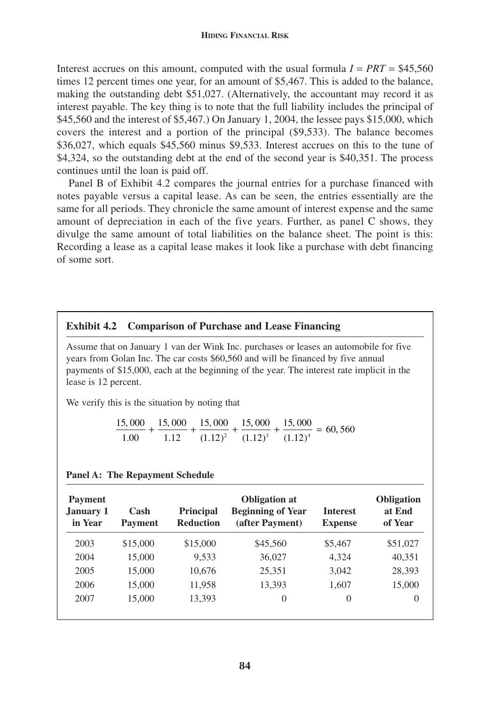Interest accrues on this amount, computed with the usual formula  $I = PRT = $45,560$ times 12 percent times one year, for an amount of \$5,467. This is added to the balance, making the outstanding debt \$51,027. (Alternatively, the accountant may record it as interest payable. The key thing is to note that the full liability includes the principal of \$45,560 and the interest of \$5,467.) On January 1, 2004, the lessee pays \$15,000, which covers the interest and a portion of the principal (\$9,533). The balance becomes \$36,027, which equals \$45,560 minus \$9,533. Interest accrues on this to the tune of \$4,324, so the outstanding debt at the end of the second year is \$40,351. The process continues until the loan is paid off.

Panel B of Exhibit 4.2 compares the journal entries for a purchase financed with notes payable versus a capital lease. As can be seen, the entries essentially are the same for all periods. They chronicle the same amount of interest expense and the same amount of depreciation in each of the five years. Further, as panel C shows, they divulge the same amount of total liabilities on the balance sheet. The point is this: Recording a lease as a capital lease makes it look like a purchase with debt financing of some sort.

#### **Exhibit 4.2 Comparison of Purchase and Lease Financing**

Assume that on January 1 van der Wink Inc. purchases or leases an automobile for five years from Golan Inc. The car costs \$60,560 and will be financed by five annual payments of \$15,000, each at the beginning of the year. The interest rate implicit in the lease is 12 percent.

We verify this is the situation by noting that

$$
\frac{15,000}{1.00} + \frac{15,000}{1.12} + \frac{15,000}{(1.12)^2} + \frac{15,000}{(1.12)^3} + \frac{15,000}{(1.12)^4} = 60,560
$$

#### **Panel A: The Repayment Schedule**

| <b>Payment</b><br><b>January 1</b><br>in Year | Cash<br><b>Payment</b> | <b>Principal</b><br><b>Reduction</b> | <b>Obligation at</b><br><b>Beginning of Year</b><br>(after Payment) | <b>Interest</b><br><b>Expense</b> | Obligation<br>at End<br>of Year |
|-----------------------------------------------|------------------------|--------------------------------------|---------------------------------------------------------------------|-----------------------------------|---------------------------------|
| 2003                                          | \$15,000               | \$15,000                             | \$45,560                                                            | \$5,467                           | \$51,027                        |
| 2004                                          | 15,000                 | 9,533                                | 36,027                                                              | 4.324                             | 40,351                          |
| 2005                                          | 15,000                 | 10,676                               | 25,351                                                              | 3,042                             | 28,393                          |
| 2006                                          | 15,000                 | 11,958                               | 13,393                                                              | 1,607                             | 15,000                          |
| 2007                                          | 15,000                 | 13,393                               | $\theta$                                                            | $\Omega$                          | $\Omega$                        |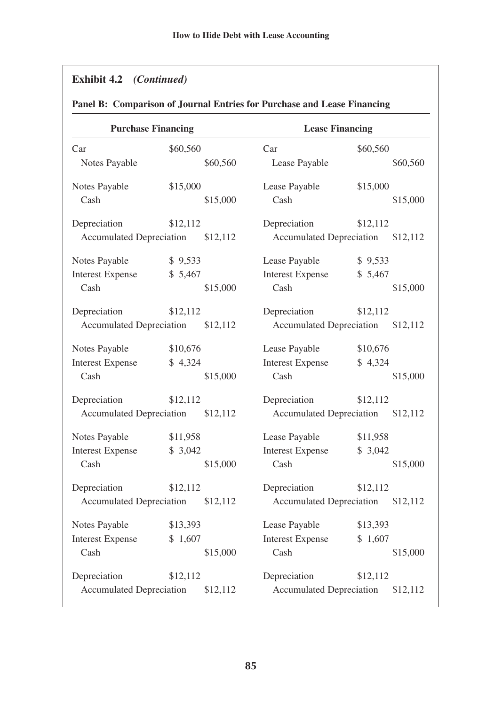| Exhibit 4.2 (Continued)                                                 |          |                                 |                                   |  |
|-------------------------------------------------------------------------|----------|---------------------------------|-----------------------------------|--|
| Panel B: Comparison of Journal Entries for Purchase and Lease Financing |          |                                 |                                   |  |
| <b>Purchase Financing</b>                                               |          |                                 | <b>Lease Financing</b>            |  |
| Car                                                                     | \$60,560 | Car                             | \$60,560                          |  |
| Notes Payable                                                           | \$60,560 | Lease Payable                   | \$60,560                          |  |
| Notes Payable                                                           | \$15,000 | Lease Payable                   | \$15,000                          |  |
| Cash                                                                    | \$15,000 | Cash                            | \$15,000                          |  |
| Depreciation                                                            | \$12,112 | Depreciation                    | \$12,112                          |  |
| <b>Accumulated Depreciation</b>                                         | \$12,112 | <b>Accumulated Depreciation</b> | \$12,112                          |  |
| Notes Payable                                                           | \$9,533  | Lease Payable                   | \$9,533                           |  |
| <b>Interest Expense</b>                                                 | \$5,467  | <b>Interest Expense</b>         | \$5,467                           |  |
| Cash                                                                    | \$15,000 | Cash                            | \$15,000                          |  |
| Depreciation                                                            | \$12,112 | Depreciation                    | \$12,112                          |  |
| Accumulated Depreciation \$12,112                                       |          | <b>Accumulated Depreciation</b> | \$12,112                          |  |
| Notes Payable                                                           | \$10,676 | Lease Payable                   | \$10,676                          |  |
| <b>Interest Expense</b>                                                 | \$4,324  | <b>Interest Expense</b>         | \$4,324                           |  |
| Cash                                                                    | \$15,000 | Cash                            | \$15,000                          |  |
| Depreciation                                                            | \$12,112 | Depreciation                    | \$12,112                          |  |
| <b>Accumulated Depreciation</b>                                         | \$12,112 | <b>Accumulated Depreciation</b> | \$12,112                          |  |
| Notes Payable                                                           | \$11,958 | Lease Payable                   | \$11,958                          |  |
| <b>Interest Expense</b>                                                 | \$3,042  | <b>Interest Expense</b>         | \$3,042                           |  |
| Cash                                                                    | \$15,000 | Cash                            | \$15,000                          |  |
| Depreciation                                                            | \$12,112 | Depreciation                    | \$12,112                          |  |
| Accumulated Depreciation \$12,112                                       |          |                                 | Accumulated Depreciation \$12,112 |  |
| Notes Payable                                                           | \$13,393 | Lease Payable                   | \$13,393                          |  |
| <b>Interest Expense</b>                                                 | \$1,607  | <b>Interest Expense</b>         | \$1,607                           |  |
| Cash                                                                    | \$15,000 | Cash                            | \$15,000                          |  |
| Depreciation                                                            | \$12,112 | Depreciation                    | \$12,112                          |  |
| <b>Accumulated Depreciation</b>                                         | \$12,112 | <b>Accumulated Depreciation</b> | \$12,112                          |  |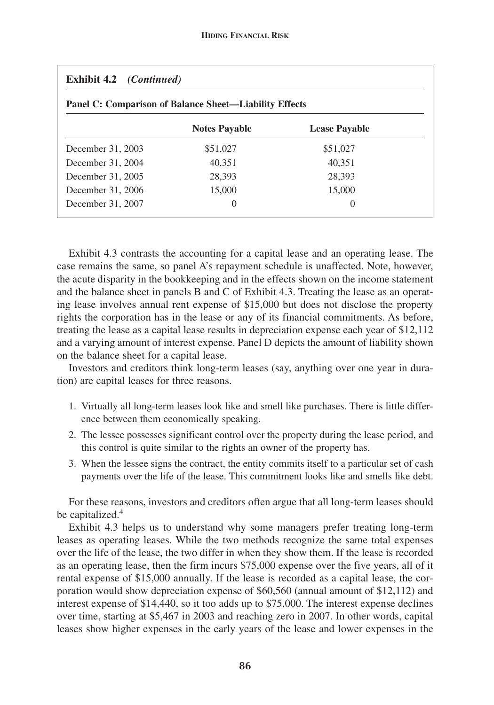| <b>Exhibit 4.2</b> <i>(Continued)</i>                         |                      |                      |  |
|---------------------------------------------------------------|----------------------|----------------------|--|
| <b>Panel C: Comparison of Balance Sheet—Liability Effects</b> |                      |                      |  |
|                                                               | <b>Notes Payable</b> | <b>Lease Payable</b> |  |
| December 31, 2003                                             | \$51,027             | \$51,027             |  |
| December 31, 2004                                             | 40,351               | 40,351               |  |
| December 31, 2005                                             | 28,393               | 28,393               |  |
| December 31, 2006                                             | 15,000               | 15,000               |  |
| December 31, 2007                                             | $\Omega$             | $\theta$             |  |

Exhibit 4.3 contrasts the accounting for a capital lease and an operating lease. The case remains the same, so panel A's repayment schedule is unaffected. Note, however, the acute disparity in the bookkeeping and in the effects shown on the income statement and the balance sheet in panels B and C of Exhibit 4.3. Treating the lease as an operating lease involves annual rent expense of \$15,000 but does not disclose the property rights the corporation has in the lease or any of its financial commitments. As before, treating the lease as a capital lease results in depreciation expense each year of \$12,112 and a varying amount of interest expense. Panel D depicts the amount of liability shown on the balance sheet for a capital lease.

Investors and creditors think long-term leases (say, anything over one year in duration) are capital leases for three reasons.

- 1. Virtually all long-term leases look like and smell like purchases. There is little difference between them economically speaking.
- 2. The lessee possesses significant control over the property during the lease period, and this control is quite similar to the rights an owner of the property has.
- 3. When the lessee signs the contract, the entity commits itself to a particular set of cash payments over the life of the lease. This commitment looks like and smells like debt.

For these reasons, investors and creditors often argue that all long-term leases should be capitalized.<sup>4</sup>

Exhibit 4.3 helps us to understand why some managers prefer treating long-term leases as operating leases. While the two methods recognize the same total expenses over the life of the lease, the two differ in when they show them. If the lease is recorded as an operating lease, then the firm incurs \$75,000 expense over the five years, all of it rental expense of \$15,000 annually. If the lease is recorded as a capital lease, the corporation would show depreciation expense of \$60,560 (annual amount of \$12,112) and interest expense of \$14,440, so it too adds up to \$75,000. The interest expense declines over time, starting at \$5,467 in 2003 and reaching zero in 2007. In other words, capital leases show higher expenses in the early years of the lease and lower expenses in the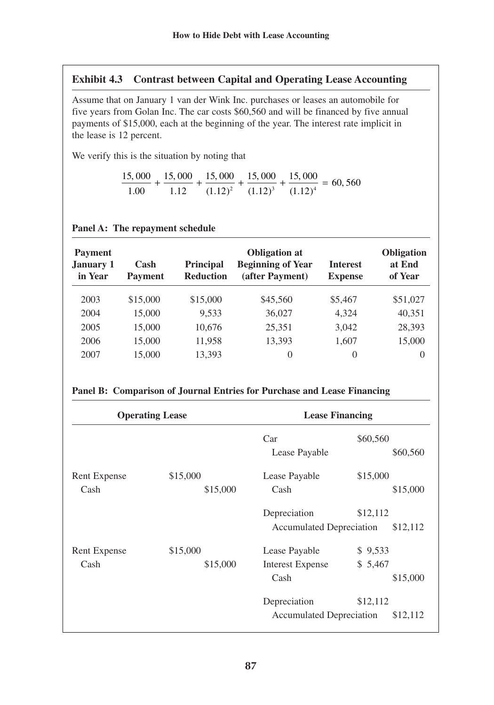# **Exhibit 4.3 Contrast between Capital and Operating Lease Accounting**

Assume that on January 1 van der Wink Inc. purchases or leases an automobile for five years from Golan Inc. The car costs \$60,560 and will be financed by five annual payments of \$15,000, each at the beginning of the year. The interest rate implicit in the lease is 12 percent.

We verify this is the situation by noting that

$$
\frac{15,000}{1.00} + \frac{15,000}{1.12} + \frac{15,000}{(1.12)^2} + \frac{15,000}{(1.12)^3} + \frac{15,000}{(1.12)^4} = 60,560
$$

#### **Panel A: The repayment schedule**

| <b>Payment</b><br><b>January 1</b><br>in Year | Cash<br><b>Payment</b> | <b>Principal</b><br><b>Reduction</b> | <b>Obligation at</b><br><b>Beginning of Year</b><br>(after Payment) | <b>Interest</b><br><b>Expense</b> | <b>Obligation</b><br>at End<br>of Year |
|-----------------------------------------------|------------------------|--------------------------------------|---------------------------------------------------------------------|-----------------------------------|----------------------------------------|
| 2003                                          | \$15,000               | \$15,000                             | \$45,560                                                            | \$5,467                           | \$51,027                               |
| 2004                                          | 15,000                 | 9,533                                | 36,027                                                              | 4,324                             | 40,351                                 |
| 2005                                          | 15,000                 | 10,676                               | 25,351                                                              | 3.042                             | 28,393                                 |
| 2006                                          | 15,000                 | 11,958                               | 13,393                                                              | 1,607                             | 15,000                                 |
| 2007                                          | 15,000                 | 13,393                               | 0                                                                   | $\Omega$                          | 0                                      |

#### **Panel B: Comparison of Journal Entries for Purchase and Lease Financing**

| <b>Operating Lease</b>      |                      | <b>Lease Financing</b>                           |                                 |  |
|-----------------------------|----------------------|--------------------------------------------------|---------------------------------|--|
|                             |                      | Car<br>Lease Payable                             | \$60,560<br>\$60,560            |  |
| <b>Rent Expense</b><br>Cash | \$15,000<br>\$15,000 | Lease Payable<br>Cash                            | \$15,000<br>\$15,000            |  |
|                             |                      | Depreciation<br><b>Accumulated Depreciation</b>  | \$12,112<br>\$12,112            |  |
| Rent Expense<br>Cash        | \$15,000<br>\$15,000 | Lease Payable<br><b>Interest Expense</b><br>Cash | \$9,533<br>\$ 5,467<br>\$15,000 |  |
|                             |                      | Depreciation<br><b>Accumulated Depreciation</b>  | \$12,112<br>\$12,112            |  |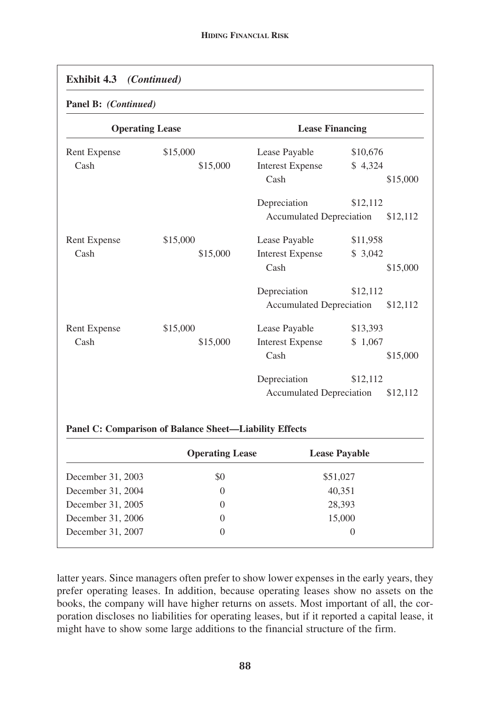| <b>Exhibit 4.3</b>     | (Continued)                                            |                                 |                      |          |
|------------------------|--------------------------------------------------------|---------------------------------|----------------------|----------|
| Panel B: (Continued)   |                                                        |                                 |                      |          |
| <b>Operating Lease</b> |                                                        | <b>Lease Financing</b>          |                      |          |
| Rent Expense           | \$15,000                                               | Lease Payable                   | \$10,676             |          |
| Cash                   | \$15,000                                               | <b>Interest Expense</b><br>Cash | \$4,324              | \$15,000 |
|                        |                                                        | Depreciation                    | \$12,112             |          |
|                        |                                                        | <b>Accumulated Depreciation</b> |                      | \$12,112 |
| Rent Expense           | \$15,000                                               | Lease Payable                   | \$11,958             |          |
| Cash                   | \$15,000                                               | <b>Interest Expense</b>         | \$3,042              |          |
|                        |                                                        | Cash                            |                      | \$15,000 |
|                        |                                                        | Depreciation                    | \$12,112             |          |
|                        |                                                        | <b>Accumulated Depreciation</b> |                      | \$12,112 |
| Rent Expense           | \$15,000                                               | Lease Payable                   | \$13,393             |          |
| Cash                   | \$15,000                                               | <b>Interest Expense</b>         | \$1,067              |          |
|                        |                                                        | Cash                            |                      | \$15,000 |
|                        |                                                        | Depreciation                    | \$12,112             |          |
|                        |                                                        | <b>Accumulated Depreciation</b> |                      | \$12,112 |
|                        | Panel C: Comparison of Balance Sheet-Liability Effects |                                 |                      |          |
|                        | <b>Operating Lease</b>                                 |                                 | <b>Lease Payable</b> |          |
| December 31, 2003      | \$0                                                    |                                 | \$51,027             |          |
| December 31, 2004      | $\theta$                                               |                                 | 40,351               |          |
| December 31, 2005      | 0                                                      |                                 | 28,393               |          |
| December 31, 2006      | $\theta$                                               |                                 | 15,000               |          |
| December 31, 2007      | $\Omega$                                               |                                 | $\boldsymbol{0}$     |          |

latter years. Since managers often prefer to show lower expenses in the early years, they prefer operating leases. In addition, because operating leases show no assets on the books, the company will have higher returns on assets. Most important of all, the corporation discloses no liabilities for operating leases, but if it reported a capital lease, it might have to show some large additions to the financial structure of the firm.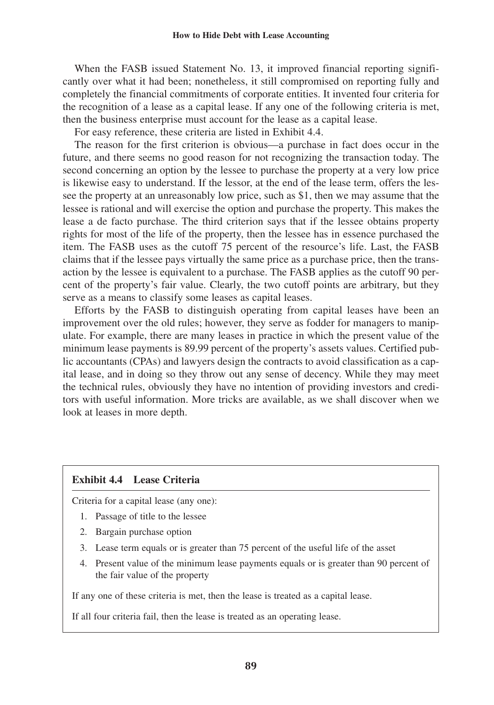When the FASB issued Statement No. 13, it improved financial reporting significantly over what it had been; nonetheless, it still compromised on reporting fully and completely the financial commitments of corporate entities. It invented four criteria for the recognition of a lease as a capital lease. If any one of the following criteria is met, then the business enterprise must account for the lease as a capital lease.

For easy reference, these criteria are listed in Exhibit 4.4.

The reason for the first criterion is obvious—a purchase in fact does occur in the future, and there seems no good reason for not recognizing the transaction today. The second concerning an option by the lessee to purchase the property at a very low price is likewise easy to understand. If the lessor, at the end of the lease term, offers the lessee the property at an unreasonably low price, such as \$1, then we may assume that the lessee is rational and will exercise the option and purchase the property. This makes the lease a de facto purchase. The third criterion says that if the lessee obtains property rights for most of the life of the property, then the lessee has in essence purchased the item. The FASB uses as the cutoff 75 percent of the resource's life. Last, the FASB claims that if the lessee pays virtually the same price as a purchase price, then the transaction by the lessee is equivalent to a purchase. The FASB applies as the cutoff 90 percent of the property's fair value. Clearly, the two cutoff points are arbitrary, but they serve as a means to classify some leases as capital leases.

Efforts by the FASB to distinguish operating from capital leases have been an improvement over the old rules; however, they serve as fodder for managers to manipulate. For example, there are many leases in practice in which the present value of the minimum lease payments is 89.99 percent of the property's assets values. Certified public accountants (CPAs) and lawyers design the contracts to avoid classification as a capital lease, and in doing so they throw out any sense of decency. While they may meet the technical rules, obviously they have no intention of providing investors and creditors with useful information. More tricks are available, as we shall discover when we look at leases in more depth.

#### **Exhibit 4.4 Lease Criteria**

Criteria for a capital lease (any one):

- 1. Passage of title to the lessee
- 2. Bargain purchase option
- 3. Lease term equals or is greater than 75 percent of the useful life of the asset
- 4. Present value of the minimum lease payments equals or is greater than 90 percent of the fair value of the property

If any one of these criteria is met, then the lease is treated as a capital lease.

If all four criteria fail, then the lease is treated as an operating lease.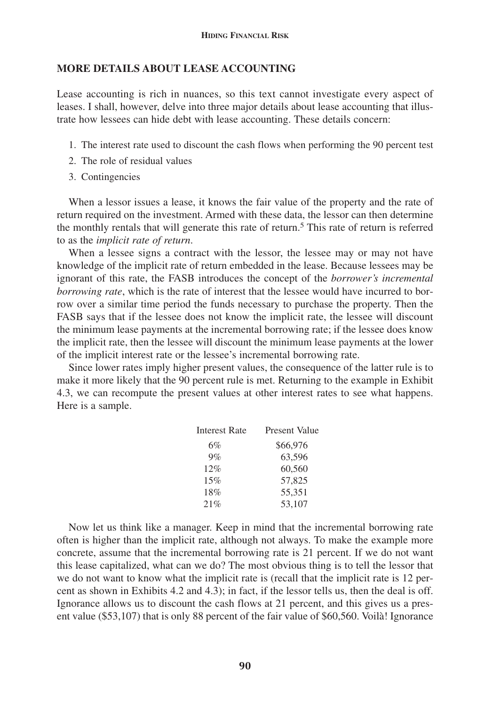#### **MORE DETAILS ABOUT LEASE ACCOUNTING**

Lease accounting is rich in nuances, so this text cannot investigate every aspect of leases. I shall, however, delve into three major details about lease accounting that illustrate how lessees can hide debt with lease accounting. These details concern:

- 1. The interest rate used to discount the cash flows when performing the 90 percent test
- 2. The role of residual values
- 3. Contingencies

When a lessor issues a lease, it knows the fair value of the property and the rate of return required on the investment. Armed with these data, the lessor can then determine the monthly rentals that will generate this rate of return.5 This rate of return is referred to as the *implicit rate of return*.

When a lessee signs a contract with the lessor, the lessee may or may not have knowledge of the implicit rate of return embedded in the lease. Because lessees may be ignorant of this rate, the FASB introduces the concept of the *borrower's incremental borrowing rate*, which is the rate of interest that the lessee would have incurred to borrow over a similar time period the funds necessary to purchase the property. Then the FASB says that if the lessee does not know the implicit rate, the lessee will discount the minimum lease payments at the incremental borrowing rate; if the lessee does know the implicit rate, then the lessee will discount the minimum lease payments at the lower of the implicit interest rate or the lessee's incremental borrowing rate.

Since lower rates imply higher present values, the consequence of the latter rule is to make it more likely that the 90 percent rule is met. Returning to the example in Exhibit 4.3, we can recompute the present values at other interest rates to see what happens. Here is a sample.

| <b>Interest Rate</b> | <b>Present Value</b> |
|----------------------|----------------------|
| 6%                   | \$66,976             |
| 9%                   | 63,596               |
| 12%                  | 60,560               |
| 15%                  | 57.825               |
| 18%                  | 55,351               |
| 21%                  | 53,107               |

Now let us think like a manager. Keep in mind that the incremental borrowing rate often is higher than the implicit rate, although not always. To make the example more concrete, assume that the incremental borrowing rate is 21 percent. If we do not want this lease capitalized, what can we do? The most obvious thing is to tell the lessor that we do not want to know what the implicit rate is (recall that the implicit rate is 12 percent as shown in Exhibits 4.2 and 4.3); in fact, if the lessor tells us, then the deal is off. Ignorance allows us to discount the cash flows at 21 percent, and this gives us a present value (\$53,107) that is only 88 percent of the fair value of \$60,560. Voilà! Ignorance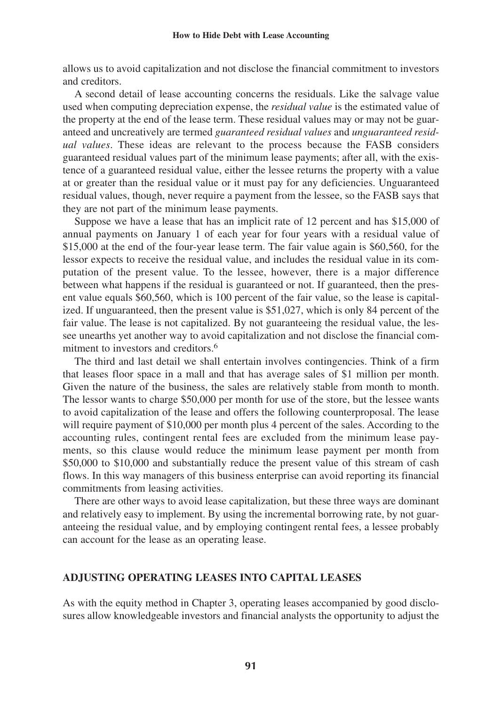allows us to avoid capitalization and not disclose the financial commitment to investors and creditors.

A second detail of lease accounting concerns the residuals. Like the salvage value used when computing depreciation expense, the *residual value* is the estimated value of the property at the end of the lease term. These residual values may or may not be guaranteed and uncreatively are termed *guaranteed residual values* and *unguaranteed residual values*. These ideas are relevant to the process because the FASB considers guaranteed residual values part of the minimum lease payments; after all, with the existence of a guaranteed residual value, either the lessee returns the property with a value at or greater than the residual value or it must pay for any deficiencies. Unguaranteed residual values, though, never require a payment from the lessee, so the FASB says that they are not part of the minimum lease payments.

Suppose we have a lease that has an implicit rate of 12 percent and has \$15,000 of annual payments on January 1 of each year for four years with a residual value of \$15,000 at the end of the four-year lease term. The fair value again is \$60,560, for the lessor expects to receive the residual value, and includes the residual value in its computation of the present value. To the lessee, however, there is a major difference between what happens if the residual is guaranteed or not. If guaranteed, then the present value equals \$60,560, which is 100 percent of the fair value, so the lease is capitalized. If unguaranteed, then the present value is \$51,027, which is only 84 percent of the fair value. The lease is not capitalized. By not guaranteeing the residual value, the lessee unearths yet another way to avoid capitalization and not disclose the financial commitment to investors and creditors.<sup>6</sup>

The third and last detail we shall entertain involves contingencies. Think of a firm that leases floor space in a mall and that has average sales of \$1 million per month. Given the nature of the business, the sales are relatively stable from month to month. The lessor wants to charge \$50,000 per month for use of the store, but the lessee wants to avoid capitalization of the lease and offers the following counterproposal. The lease will require payment of \$10,000 per month plus 4 percent of the sales. According to the accounting rules, contingent rental fees are excluded from the minimum lease payments, so this clause would reduce the minimum lease payment per month from \$50,000 to \$10,000 and substantially reduce the present value of this stream of cash flows. In this way managers of this business enterprise can avoid reporting its financial commitments from leasing activities.

There are other ways to avoid lease capitalization, but these three ways are dominant and relatively easy to implement. By using the incremental borrowing rate, by not guaranteeing the residual value, and by employing contingent rental fees, a lessee probably can account for the lease as an operating lease.

#### **ADJUSTING OPERATING LEASES INTO CAPITAL LEASES**

As with the equity method in Chapter 3, operating leases accompanied by good disclosures allow knowledgeable investors and financial analysts the opportunity to adjust the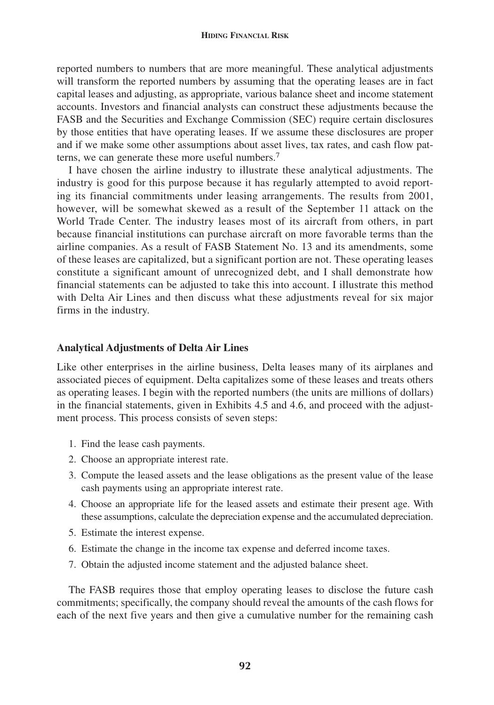reported numbers to numbers that are more meaningful. These analytical adjustments will transform the reported numbers by assuming that the operating leases are in fact capital leases and adjusting, as appropriate, various balance sheet and income statement accounts. Investors and financial analysts can construct these adjustments because the FASB and the Securities and Exchange Commission (SEC) require certain disclosures by those entities that have operating leases. If we assume these disclosures are proper and if we make some other assumptions about asset lives, tax rates, and cash flow patterns, we can generate these more useful numbers.7

I have chosen the airline industry to illustrate these analytical adjustments. The industry is good for this purpose because it has regularly attempted to avoid reporting its financial commitments under leasing arrangements. The results from 2001, however, will be somewhat skewed as a result of the September 11 attack on the World Trade Center. The industry leases most of its aircraft from others, in part because financial institutions can purchase aircraft on more favorable terms than the airline companies. As a result of FASB Statement No. 13 and its amendments, some of these leases are capitalized, but a significant portion are not. These operating leases constitute a significant amount of unrecognized debt, and I shall demonstrate how financial statements can be adjusted to take this into account. I illustrate this method with Delta Air Lines and then discuss what these adjustments reveal for six major firms in the industry.

#### **Analytical Adjustments of Delta Air Lines**

Like other enterprises in the airline business, Delta leases many of its airplanes and associated pieces of equipment. Delta capitalizes some of these leases and treats others as operating leases. I begin with the reported numbers (the units are millions of dollars) in the financial statements, given in Exhibits 4.5 and 4.6, and proceed with the adjustment process. This process consists of seven steps:

- 1. Find the lease cash payments.
- 2. Choose an appropriate interest rate.
- 3. Compute the leased assets and the lease obligations as the present value of the lease cash payments using an appropriate interest rate.
- 4. Choose an appropriate life for the leased assets and estimate their present age. With these assumptions, calculate the depreciation expense and the accumulated depreciation.
- 5. Estimate the interest expense.
- 6. Estimate the change in the income tax expense and deferred income taxes.
- 7. Obtain the adjusted income statement and the adjusted balance sheet.

The FASB requires those that employ operating leases to disclose the future cash commitments; specifically, the company should reveal the amounts of the cash flows for each of the next five years and then give a cumulative number for the remaining cash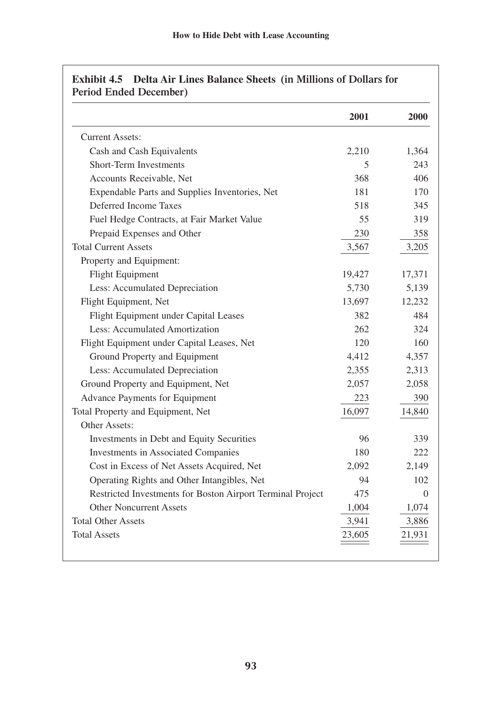|                                                            | 2001   | 2000   |
|------------------------------------------------------------|--------|--------|
| <b>Current Assets:</b>                                     |        |        |
| Cash and Cash Equivalents                                  | 2,210  | 1,364  |
| <b>Short-Term Investments</b>                              | 5      | 243    |
| Accounts Receivable, Net                                   | 368    | 406    |
| Expendable Parts and Supplies Inventories, Net             | 181    | 170    |
| Deferred Income Taxes                                      | 518    | 345    |
| Fuel Hedge Contracts, at Fair Market Value                 | 55     | 319    |
| Prepaid Expenses and Other                                 | 230    | 358    |
| <b>Total Current Assets</b>                                | 3,567  | 3,205  |
| Property and Equipment:                                    |        |        |
| <b>Flight Equipment</b>                                    | 19,427 | 17,371 |
| Less: Accumulated Depreciation                             | 5,730  | 5,139  |
| Flight Equipment, Net                                      | 13,697 | 12,232 |
| Flight Equipment under Capital Leases                      | 382    | 484    |
| Less: Accumulated Amortization                             | 262    | 324    |
| Flight Equipment under Capital Leases, Net                 | 120    | 160    |
| Ground Property and Equipment                              | 4,412  | 4,357  |
| Less: Accumulated Depreciation                             | 2,355  | 2,313  |
| Ground Property and Equipment, Net                         | 2,057  | 2,058  |
| Advance Payments for Equipment                             | 223    | 390    |
| Total Property and Equipment, Net                          | 16,097 | 14,840 |
| Other Assets:                                              |        |        |
| Investments in Debt and Equity Securities                  | 96     | 339    |
| <b>Investments in Associated Companies</b>                 | 180    | 222    |
| Cost in Excess of Net Assets Acquired, Net                 | 2,092  | 2,149  |
| Operating Rights and Other Intangibles, Net                | 94     | 102    |
| Restricted Investments for Boston Airport Terminal Project | 475    | 0      |
| <b>Other Noncurrent Assets</b>                             | 1,004  | 1,074  |
| <b>Total Other Assets</b>                                  | 3,941  | 3,886  |
| <b>Total Assets</b>                                        | 23,605 | 21,931 |

# **Exhibit 4.5 Delta Air Lines Balance Sheets (in Millions of Dollars for**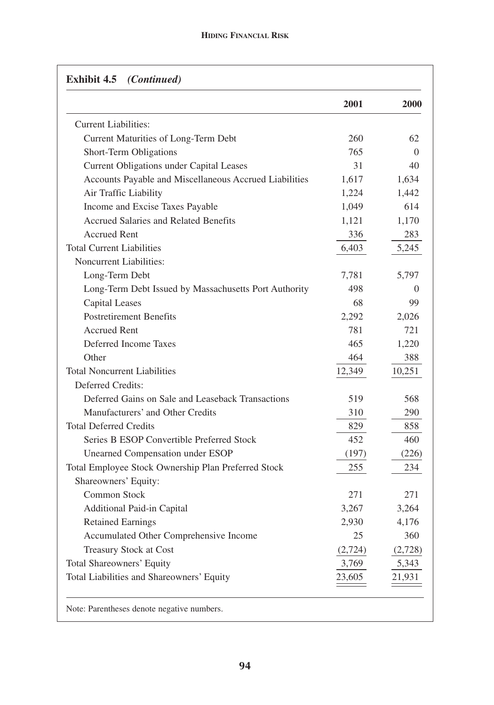#### **HIDING FINANCIAL RISK**

|                                                        | 2001    | <b>2000</b> |
|--------------------------------------------------------|---------|-------------|
| <b>Current Liabilities:</b>                            |         |             |
| Current Maturities of Long-Term Debt                   | 260     | 62          |
| Short-Term Obligations                                 | 765     | $\Omega$    |
| <b>Current Obligations under Capital Leases</b>        | 31      | 40          |
| Accounts Payable and Miscellaneous Accrued Liabilities | 1,617   | 1,634       |
| Air Traffic Liability                                  | 1,224   | 1,442       |
| Income and Excise Taxes Payable                        | 1,049   | 614         |
| <b>Accrued Salaries and Related Benefits</b>           | 1,121   | 1,170       |
| <b>Accrued Rent</b>                                    | 336     | 283         |
| <b>Total Current Liabilities</b>                       | 6,403   | 5,245       |
| <b>Noncurrent Liabilities:</b>                         |         |             |
| Long-Term Debt                                         | 7,781   | 5,797       |
| Long-Term Debt Issued by Massachusetts Port Authority  | 498     | $\Omega$    |
| Capital Leases                                         | 68      | 99          |
| <b>Postretirement Benefits</b>                         | 2,292   | 2,026       |
| <b>Accrued Rent</b>                                    | 781     | 721         |
| Deferred Income Taxes                                  | 465     | 1,220       |
| Other                                                  | 464     | 388         |
| <b>Total Noncurrent Liabilities</b>                    | 12,349  | 10,251      |
| Deferred Credits:                                      |         |             |
| Deferred Gains on Sale and Leaseback Transactions      | 519     | 568         |
| Manufacturers' and Other Credits                       | 310     | 290         |
| <b>Total Deferred Credits</b>                          | 829     | 858         |
| Series B ESOP Convertible Preferred Stock              | 452     | 460         |
| <b>Unearned Compensation under ESOP</b>                | (197)   | (226)       |
| Total Employee Stock Ownership Plan Preferred Stock    | 255     | 234         |
| Shareowners' Equity:                                   |         |             |
| Common Stock                                           | 271     | 271         |
| Additional Paid-in Capital                             | 3,267   | 3,264       |
| <b>Retained Earnings</b>                               | 2,930   | 4,176       |
| Accumulated Other Comprehensive Income                 | 25      | 360         |
| Treasury Stock at Cost                                 | (2,724) | (2,728)     |
| Total Shareowners' Equity                              | 3,769   | 5,343       |
| Total Liabilities and Shareowners' Equity              | 23,605  | 21,931      |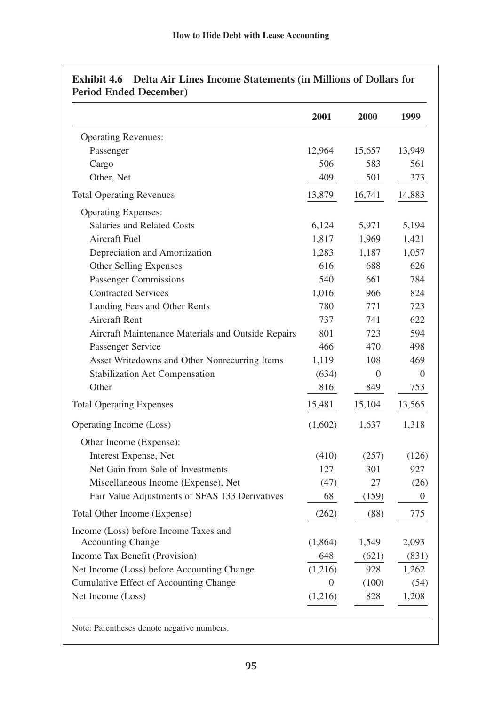|                                                    | 2001    | 2000           | 1999           |
|----------------------------------------------------|---------|----------------|----------------|
| <b>Operating Revenues:</b>                         |         |                |                |
| Passenger                                          | 12,964  | 15,657         | 13,949         |
| Cargo                                              | 506     | 583            | 561            |
| Other, Net                                         | 409     | 501            | 373            |
| <b>Total Operating Revenues</b>                    | 13,879  | 16,741         | 14,883         |
| <b>Operating Expenses:</b>                         |         |                |                |
| <b>Salaries and Related Costs</b>                  | 6,124   | 5,971          | 5,194          |
| Aircraft Fuel                                      | 1,817   | 1,969          | 1,421          |
| Depreciation and Amortization                      | 1,283   | 1,187          | 1,057          |
| Other Selling Expenses                             | 616     | 688            | 626            |
| Passenger Commissions                              | 540     | 661            | 784            |
| <b>Contracted Services</b>                         | 1,016   | 966            | 824            |
| Landing Fees and Other Rents                       | 780     | 771            | 723            |
| Aircraft Rent                                      | 737     | 741            | 622            |
| Aircraft Maintenance Materials and Outside Repairs | 801     | 723            | 594            |
| Passenger Service                                  | 466     | 470            | 498            |
| Asset Writedowns and Other Nonrecurring Items      | 1,119   | 108            | 469            |
| Stabilization Act Compensation                     | (634)   | $\overline{0}$ | $\Omega$       |
| Other                                              | 816     | 849            | 753            |
| <b>Total Operating Expenses</b>                    | 15,481  | 15,104         | 13,565         |
| Operating Income (Loss)                            | (1,602) | 1,637          | 1,318          |
| Other Income (Expense):                            |         |                |                |
| Interest Expense, Net                              | (410)   | (257)          | (126)          |
| Net Gain from Sale of Investments                  | 127     | 301            | 927            |
| Miscellaneous Income (Expense), Net                | (47)    | 27             | (26)           |
| Fair Value Adjustments of SFAS 133 Derivatives     | 68      | (159)          | $\overline{0}$ |
| Total Other Income (Expense)                       | (262)   | (88)           | 775            |
| Income (Loss) before Income Taxes and              |         |                |                |
| <b>Accounting Change</b>                           | (1,864) | 1,549          | 2,093          |
| Income Tax Benefit (Provision)                     | 648     | (621)          | (831)          |
| Net Income (Loss) before Accounting Change         | (1,216) | 928            | 1,262          |
| Cumulative Effect of Accounting Change             | 0       | (100)          | (54)           |
| Net Income (Loss)                                  | (1,216) | 828            | 1,208          |

# **Exhibit 4.6 Delta Air Lines Income Statements (in Millions of Dollars for**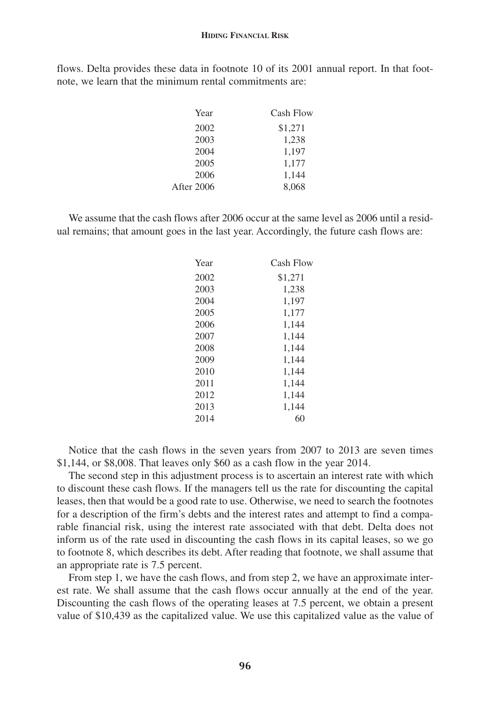flows. Delta provides these data in footnote 10 of its 2001 annual report. In that footnote, we learn that the minimum rental commitments are:

| Year       | <b>Cash Flow</b> |
|------------|------------------|
| 2002       | \$1,271          |
| 2003       | 1,238            |
| 2004       | 1,197            |
| 2005       | 1,177            |
| 2006       | 1,144            |
| After 2006 | 8,068            |

We assume that the cash flows after 2006 occur at the same level as 2006 until a residual remains; that amount goes in the last year. Accordingly, the future cash flows are:

| Year | Cash Flow |
|------|-----------|
| 2002 | \$1,271   |
| 2003 | 1,238     |
| 2004 | 1,197     |
| 2005 | 1,177     |
| 2006 | 1,144     |
| 2007 | 1,144     |
| 2008 | 1,144     |
| 2009 | 1,144     |
| 2010 | 1,144     |
| 2011 | 1,144     |
| 2012 | 1,144     |
| 2013 | 1,144     |
| 2014 | 60        |
|      |           |

Notice that the cash flows in the seven years from 2007 to 2013 are seven times \$1,144, or \$8,008. That leaves only \$60 as a cash flow in the year 2014.

The second step in this adjustment process is to ascertain an interest rate with which to discount these cash flows. If the managers tell us the rate for discounting the capital leases, then that would be a good rate to use. Otherwise, we need to search the footnotes for a description of the firm's debts and the interest rates and attempt to find a comparable financial risk, using the interest rate associated with that debt. Delta does not inform us of the rate used in discounting the cash flows in its capital leases, so we go to footnote 8, which describes its debt. After reading that footnote, we shall assume that an appropriate rate is 7.5 percent.

From step 1, we have the cash flows, and from step 2, we have an approximate interest rate. We shall assume that the cash flows occur annually at the end of the year. Discounting the cash flows of the operating leases at 7.5 percent, we obtain a present value of \$10,439 as the capitalized value. We use this capitalized value as the value of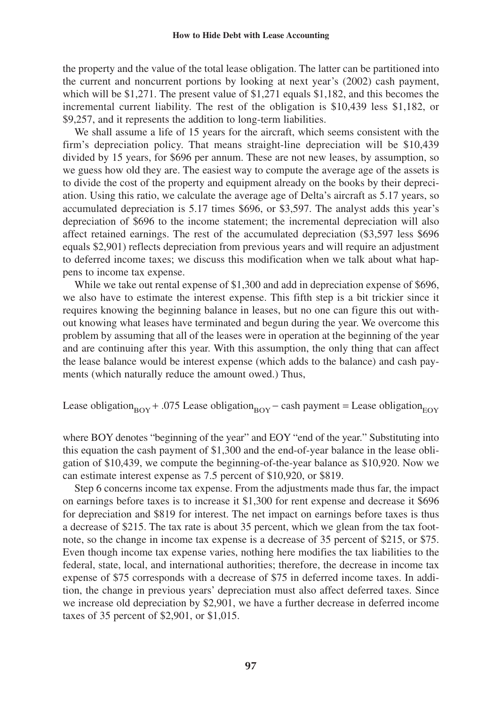the property and the value of the total lease obligation. The latter can be partitioned into the current and noncurrent portions by looking at next year's (2002) cash payment, which will be \$1,271. The present value of \$1,271 equals \$1,182, and this becomes the incremental current liability. The rest of the obligation is \$10,439 less \$1,182, or \$9,257, and it represents the addition to long-term liabilities.

We shall assume a life of 15 years for the aircraft, which seems consistent with the firm's depreciation policy. That means straight-line depreciation will be \$10,439 divided by 15 years, for \$696 per annum. These are not new leases, by assumption, so we guess how old they are. The easiest way to compute the average age of the assets is to divide the cost of the property and equipment already on the books by their depreciation. Using this ratio, we calculate the average age of Delta's aircraft as 5.17 years, so accumulated depreciation is 5.17 times \$696, or \$3,597. The analyst adds this year's depreciation of \$696 to the income statement; the incremental depreciation will also affect retained earnings. The rest of the accumulated depreciation (\$3,597 less \$696 equals \$2,901) reflects depreciation from previous years and will require an adjustment to deferred income taxes; we discuss this modification when we talk about what happens to income tax expense.

While we take out rental expense of \$1,300 and add in depreciation expense of \$696, we also have to estimate the interest expense. This fifth step is a bit trickier since it requires knowing the beginning balance in leases, but no one can figure this out without knowing what leases have terminated and begun during the year. We overcome this problem by assuming that all of the leases were in operation at the beginning of the year and are continuing after this year. With this assumption, the only thing that can affect the lease balance would be interest expense (which adds to the balance) and cash payments (which naturally reduce the amount owed.) Thus,

Lease obligation<sub>ROY</sub> + .075 Lease obligation<sub>BOY</sub> − cash payment = Lease obligation<sub>EOY</sub>

where BOY denotes "beginning of the year" and EOY "end of the year." Substituting into this equation the cash payment of \$1,300 and the end-of-year balance in the lease obligation of \$10,439, we compute the beginning-of-the-year balance as \$10,920. Now we can estimate interest expense as 7.5 percent of \$10,920, or \$819.

Step 6 concerns income tax expense. From the adjustments made thus far, the impact on earnings before taxes is to increase it \$1,300 for rent expense and decrease it \$696 for depreciation and \$819 for interest. The net impact on earnings before taxes is thus a decrease of \$215. The tax rate is about 35 percent, which we glean from the tax footnote, so the change in income tax expense is a decrease of 35 percent of \$215, or \$75. Even though income tax expense varies, nothing here modifies the tax liabilities to the federal, state, local, and international authorities; therefore, the decrease in income tax expense of \$75 corresponds with a decrease of \$75 in deferred income taxes. In addition, the change in previous years' depreciation must also affect deferred taxes. Since we increase old depreciation by \$2,901, we have a further decrease in deferred income taxes of 35 percent of \$2,901, or \$1,015.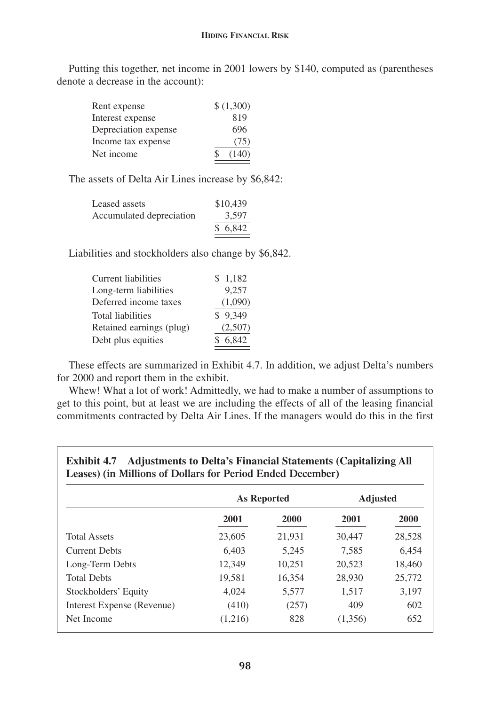Putting this together, net income in 2001 lowers by \$140, computed as (parentheses denote a decrease in the account):

| Rent expense         | \$(1,300) |
|----------------------|-----------|
| Interest expense     | 819       |
| Depreciation expense | 696       |
| Income tax expense   | (75)      |
| Net income           | (140)     |

The assets of Delta Air Lines increase by \$6,842:

| Leased assets            | \$10,439 |
|--------------------------|----------|
| Accumulated depreciation | 3.597    |
|                          | \$ 6,842 |

Liabilities and stockholders also change by \$6,842.

| Current liabilities      | \$1,182 |
|--------------------------|---------|
| Long-term liabilities    | 9,257   |
| Deferred income taxes    | (1,090) |
| Total liabilities        | \$9,349 |
| Retained earnings (plug) | (2,507) |
| Debt plus equities       | \$6,842 |

These effects are summarized in Exhibit 4.7. In addition, we adjust Delta's numbers for 2000 and report them in the exhibit.

Whew! What a lot of work! Admittedly, we had to make a number of assumptions to get to this point, but at least we are including the effects of all of the leasing financial commitments contracted by Delta Air Lines. If the managers would do this in the first

|                            | <b>As Reported</b> |        | <b>Adjusted</b> |             |
|----------------------------|--------------------|--------|-----------------|-------------|
|                            | 2001               | 2000   | 2001            | <b>2000</b> |
| <b>Total Assets</b>        | 23,605             | 21,931 | 30,447          | 28,528      |
| <b>Current Debts</b>       | 6,403              | 5,245  | 7,585           | 6,454       |
| Long-Term Debts            | 12,349             | 10,251 | 20,523          | 18,460      |
| <b>Total Debts</b>         | 19,581             | 16,354 | 28,930          | 25,772      |
| Stockholders' Equity       | 4,024              | 5,577  | 1,517           | 3,197       |
| Interest Expense (Revenue) | (410)              | (257)  | 409             | 602         |
| Net Income                 | (1,216)            | 828    | (1,356)         | 652         |

#### **Exhibit 4.7 Adjustments to Delta's Financial Statements (Capitalizing All Leases) (in Millions of Dollars for Period Ended December)**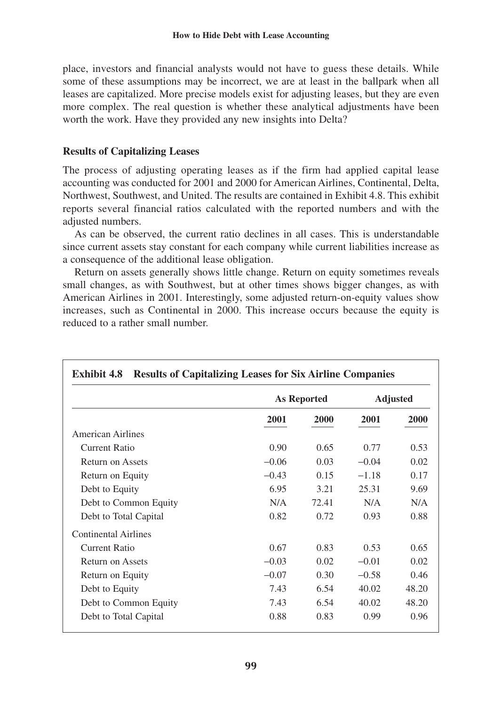place, investors and financial analysts would not have to guess these details. While some of these assumptions may be incorrect, we are at least in the ballpark when all leases are capitalized. More precise models exist for adjusting leases, but they are even more complex. The real question is whether these analytical adjustments have been worth the work. Have they provided any new insights into Delta?

### **Results of Capitalizing Leases**

The process of adjusting operating leases as if the firm had applied capital lease accounting was conducted for 2001 and 2000 for American Airlines, Continental, Delta, Northwest, Southwest, and United. The results are contained in Exhibit 4.8. This exhibit reports several financial ratios calculated with the reported numbers and with the adjusted numbers.

As can be observed, the current ratio declines in all cases. This is understandable since current assets stay constant for each company while current liabilities increase as a consequence of the additional lease obligation.

Return on assets generally shows little change. Return on equity sometimes reveals small changes, as with Southwest, but at other times shows bigger changes, as with American Airlines in 2001. Interestingly, some adjusted return-on-equity values show increases, such as Continental in 2000. This increase occurs because the equity is reduced to a rather small number.

|                             |         | <b>As Reported</b> |         | <b>Adjusted</b> |  |
|-----------------------------|---------|--------------------|---------|-----------------|--|
|                             | 2001    | <b>2000</b>        | 2001    | <b>2000</b>     |  |
| American Airlines           |         |                    |         |                 |  |
| Current Ratio               | 0.90    | 0.65               | 0.77    | 0.53            |  |
| Return on Assets            | $-0.06$ | 0.03               | $-0.04$ | 0.02            |  |
| Return on Equity            | $-0.43$ | 0.15               | $-1.18$ | 0.17            |  |
| Debt to Equity              | 6.95    | 3.21               | 25.31   | 9.69            |  |
| Debt to Common Equity       | N/A     | 72.41              | N/A     | N/A             |  |
| Debt to Total Capital       | 0.82    | 0.72               | 0.93    | 0.88            |  |
| <b>Continental Airlines</b> |         |                    |         |                 |  |
| Current Ratio               | 0.67    | 0.83               | 0.53    | 0.65            |  |
| Return on Assets            | $-0.03$ | 0.02               | $-0.01$ | 0.02            |  |
| Return on Equity            | $-0.07$ | 0.30               | $-0.58$ | 0.46            |  |
| Debt to Equity              | 7.43    | 6.54               | 40.02   | 48.20           |  |
| Debt to Common Equity       | 7.43    | 6.54               | 40.02   | 48.20           |  |
| Debt to Total Capital       | 0.88    | 0.83               | 0.99    | 0.96            |  |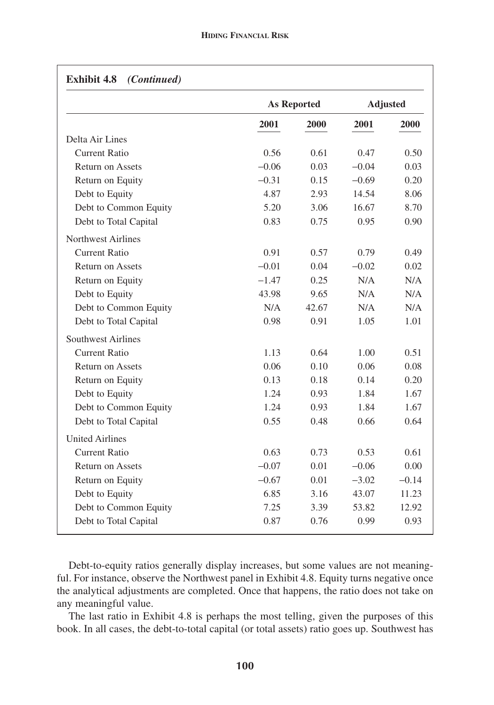|                           |         | <b>As Reported</b> |         | <b>Adjusted</b> |  |
|---------------------------|---------|--------------------|---------|-----------------|--|
|                           | 2001    | 2000               | 2001    | 2000            |  |
| Delta Air Lines           |         |                    |         |                 |  |
| <b>Current Ratio</b>      | 0.56    | 0.61               | 0.47    | 0.50            |  |
| Return on Assets          | $-0.06$ | 0.03               | $-0.04$ | 0.03            |  |
| Return on Equity          | $-0.31$ | 0.15               | $-0.69$ | 0.20            |  |
| Debt to Equity            | 4.87    | 2.93               | 14.54   | 8.06            |  |
| Debt to Common Equity     | 5.20    | 3.06               | 16.67   | 8.70            |  |
| Debt to Total Capital     | 0.83    | 0.75               | 0.95    | 0.90            |  |
| <b>Northwest Airlines</b> |         |                    |         |                 |  |
| <b>Current Ratio</b>      | 0.91    | 0.57               | 0.79    | 0.49            |  |
| <b>Return on Assets</b>   | $-0.01$ | 0.04               | $-0.02$ | 0.02            |  |
| Return on Equity          | $-1.47$ | 0.25               | N/A     | N/A             |  |
| Debt to Equity            | 43.98   | 9.65               | N/A     | N/A             |  |
| Debt to Common Equity     | N/A     | 42.67              | N/A     | N/A             |  |
| Debt to Total Capital     | 0.98    | 0.91               | 1.05    | 1.01            |  |
| <b>Southwest Airlines</b> |         |                    |         |                 |  |
| <b>Current Ratio</b>      | 1.13    | 0.64               | 1.00    | 0.51            |  |
| Return on Assets          | 0.06    | 0.10               | 0.06    | 0.08            |  |
| Return on Equity          | 0.13    | 0.18               | 0.14    | 0.20            |  |
| Debt to Equity            | 1.24    | 0.93               | 1.84    | 1.67            |  |
| Debt to Common Equity     | 1.24    | 0.93               | 1.84    | 1.67            |  |
| Debt to Total Capital     | 0.55    | 0.48               | 0.66    | 0.64            |  |
| <b>United Airlines</b>    |         |                    |         |                 |  |
| <b>Current Ratio</b>      | 0.63    | 0.73               | 0.53    | 0.61            |  |
| Return on Assets          | $-0.07$ | 0.01               | $-0.06$ | 0.00            |  |
| Return on Equity          | $-0.67$ | 0.01               | $-3.02$ | $-0.14$         |  |
| Debt to Equity            | 6.85    | 3.16               | 43.07   | 11.23           |  |
| Debt to Common Equity     | 7.25    | 3.39               | 53.82   | 12.92           |  |
| Debt to Total Capital     | 0.87    | 0.76               | 0.99    | 0.93            |  |
|                           |         |                    |         |                 |  |

Debt-to-equity ratios generally display increases, but some values are not meaningful. For instance, observe the Northwest panel in Exhibit 4.8. Equity turns negative once the analytical adjustments are completed. Once that happens, the ratio does not take on any meaningful value.

The last ratio in Exhibit 4.8 is perhaps the most telling, given the purposes of this book. In all cases, the debt-to-total capital (or total assets) ratio goes up. Southwest has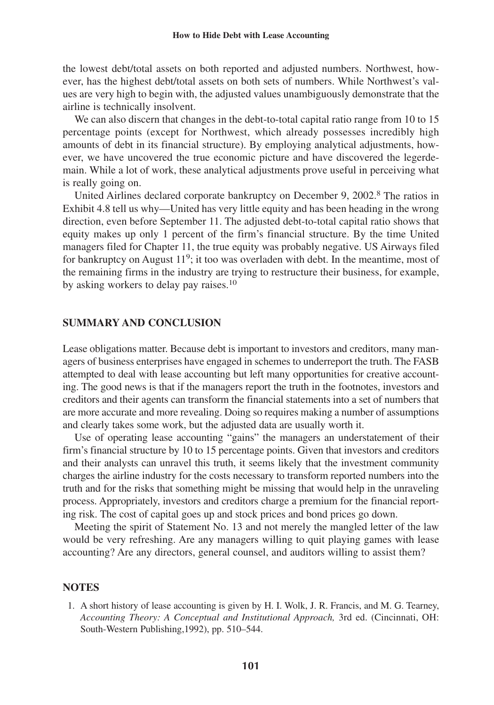the lowest debt/total assets on both reported and adjusted numbers. Northwest, however, has the highest debt/total assets on both sets of numbers. While Northwest's values are very high to begin with, the adjusted values unambiguously demonstrate that the airline is technically insolvent.

We can also discern that changes in the debt-to-total capital ratio range from 10 to 15 percentage points (except for Northwest, which already possesses incredibly high amounts of debt in its financial structure). By employing analytical adjustments, however, we have uncovered the true economic picture and have discovered the legerdemain. While a lot of work, these analytical adjustments prove useful in perceiving what is really going on.

United Airlines declared corporate bankruptcy on December 9, 2002.<sup>8</sup> The ratios in Exhibit 4.8 tell us why—United has very little equity and has been heading in the wrong direction, even before September 11. The adjusted debt-to-total capital ratio shows that equity makes up only 1 percent of the firm's financial structure. By the time United managers filed for Chapter 11, the true equity was probably negative. US Airways filed for bankruptcy on August  $11<sup>9</sup>$ ; it too was overladen with debt. In the meantime, most of the remaining firms in the industry are trying to restructure their business, for example, by asking workers to delay pay raises.<sup>10</sup>

#### **SUMMARY AND CONCLUSION**

Lease obligations matter. Because debt is important to investors and creditors, many managers of business enterprises have engaged in schemes to underreport the truth. The FASB attempted to deal with lease accounting but left many opportunities for creative accounting. The good news is that if the managers report the truth in the footnotes, investors and creditors and their agents can transform the financial statements into a set of numbers that are more accurate and more revealing. Doing so requires making a number of assumptions and clearly takes some work, but the adjusted data are usually worth it.

Use of operating lease accounting "gains" the managers an understatement of their firm's financial structure by 10 to 15 percentage points. Given that investors and creditors and their analysts can unravel this truth, it seems likely that the investment community charges the airline industry for the costs necessary to transform reported numbers into the truth and for the risks that something might be missing that would help in the unraveling process. Appropriately, investors and creditors charge a premium for the financial reporting risk. The cost of capital goes up and stock prices and bond prices go down.

Meeting the spirit of Statement No. 13 and not merely the mangled letter of the law would be very refreshing. Are any managers willing to quit playing games with lease accounting? Are any directors, general counsel, and auditors willing to assist them?

#### **NOTES**

1. A short history of lease accounting is given by H. I. Wolk, J. R. Francis, and M. G. Tearney, *Accounting Theory: A Conceptual and Institutional Approach,* 3rd ed. (Cincinnati, OH: South-Western Publishing,1992), pp. 510–544.